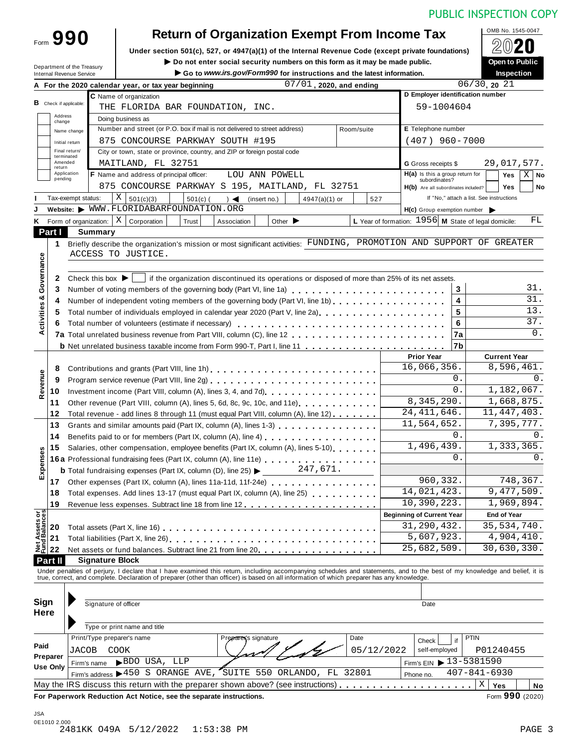| Form 990                      |                                                                            | <b>Return of Organization Exempt From Income Tax</b>                                                                                                                       |             |                                                        | OMB No. 1545-0047                        |  |  |
|-------------------------------|----------------------------------------------------------------------------|----------------------------------------------------------------------------------------------------------------------------------------------------------------------------|-------------|--------------------------------------------------------|------------------------------------------|--|--|
|                               |                                                                            | Under section 501(c), 527, or 4947(a)(1) of the Internal Revenue Code (except private foundations)                                                                         |             |                                                        |                                          |  |  |
| Department of the Treasury    |                                                                            | $\triangleright$ Do not enter social security numbers on this form as it may be made public.                                                                               |             |                                                        | Open to Public                           |  |  |
| Internal Revenue Service      |                                                                            | Go to www.irs.gov/Form990 for instructions and the latest information.                                                                                                     |             |                                                        | Inspection                               |  |  |
|                               | A For the 2020 calendar year, or tax year beginning                        | $07/01$ , 2020, and ending                                                                                                                                                 |             |                                                        | $06/30$ , 20 21                          |  |  |
|                               | C Name of organization                                                     |                                                                                                                                                                            |             | D Employer identification number                       |                                          |  |  |
| <b>B</b> Check if applicable: | THE FLORIDA BAR FOUNDATION, INC.                                           |                                                                                                                                                                            |             | 59-1004604                                             |                                          |  |  |
| Address<br>change             | Doing business as                                                          |                                                                                                                                                                            |             |                                                        |                                          |  |  |
| Name change                   | Number and street (or P.O. box if mail is not delivered to street address) |                                                                                                                                                                            | Room/suite  | E Telephone number                                     |                                          |  |  |
| Initial return                | 875 CONCOURSE PARKWAY SOUTH #195                                           |                                                                                                                                                                            |             | $(407)$ 960-7000                                       |                                          |  |  |
| Final return/<br>terminated   | City or town, state or province, country, and ZIP or foreign postal code   |                                                                                                                                                                            |             |                                                        |                                          |  |  |
| Amended<br>return             | MAITLAND, FL 32751                                                         |                                                                                                                                                                            |             | G Gross receipts \$                                    | 29,017,577.                              |  |  |
| Application<br>pending        | F Name and address of principal officer:                                   | LOU ANN POWELL                                                                                                                                                             |             | $H(a)$ is this a group return for<br>subordinates?     | $X \mid$ No<br>Yes                       |  |  |
|                               |                                                                            | 875 CONCOURSE PARKWAY S 195, MAITLAND, FL 32751                                                                                                                            |             | H(b) Are all subordinates included?                    | <b>Yes</b><br>No                         |  |  |
| Tax-exempt status:            | X   501(c)(3)<br>$501(c)$ (                                                | (insert no.)<br>$4947(a)(1)$ or<br>$\rightarrow$                                                                                                                           | 527         |                                                        | If "No," attach a list. See instructions |  |  |
|                               | Website: WWW.FLORIDABARFOUNDATION.ORG                                      |                                                                                                                                                                            |             | $H(c)$ Group exemption number                          |                                          |  |  |
|                               | Form of organization: $\mid X \mid$ Corporation<br>Trust                   | Other $\blacktriangleright$<br>Association                                                                                                                                 |             | L Year of formation: $1956$ M State of legal domicile: | FL                                       |  |  |
| Part I                        | <b>Summary</b>                                                             |                                                                                                                                                                            |             |                                                        |                                          |  |  |
| $\mathbf 1$                   |                                                                            | Briefly describe the organization's mission or most significant activities: FUNDING, PROMOTION AND SUPPORT OF GREATER                                                      |             |                                                        |                                          |  |  |
|                               | ACCESS TO JUSTICE.                                                         |                                                                                                                                                                            |             |                                                        |                                          |  |  |
|                               |                                                                            |                                                                                                                                                                            |             |                                                        |                                          |  |  |
| $\mathbf{2}$                  | Check this box $\blacktriangleright$                                       | if the organization discontinued its operations or disposed of more than 25% of its net assets.                                                                            |             |                                                        |                                          |  |  |
| 3                             |                                                                            | Number of voting members of the governing body (Part VI, line 1a)                                                                                                          |             | 3                                                      | 31.                                      |  |  |
| 4                             |                                                                            | Number of independent voting members of the governing body (Part VI, line 1b)                                                                                              |             | 4                                                      | 31.                                      |  |  |
| 5.                            |                                                                            |                                                                                                                                                                            |             | 5                                                      | 13.                                      |  |  |
| 6                             |                                                                            |                                                                                                                                                                            |             | 6                                                      | 37.                                      |  |  |
|                               |                                                                            |                                                                                                                                                                            |             | 7a                                                     | 0.                                       |  |  |
|                               |                                                                            |                                                                                                                                                                            |             | 7b                                                     |                                          |  |  |
|                               |                                                                            |                                                                                                                                                                            |             | <b>Prior Year</b>                                      | <b>Current Year</b>                      |  |  |
| 8                             |                                                                            | Contributions and grants (Part VIII, line 1h)                                                                                                                              |             | 16,066,356.                                            | 8,596,461.                               |  |  |
| 9                             |                                                                            |                                                                                                                                                                            |             | 0.                                                     | $0$ .                                    |  |  |
| 10                            |                                                                            |                                                                                                                                                                            |             | 0.                                                     | 1,182,067.                               |  |  |
| 11                            |                                                                            | Other revenue (Part VIII, column (A), lines 5, 6d, 8c, 9c, 10c, and 11e).                                                                                                  |             | 8,345,290.                                             | 1,668,875.                               |  |  |
| 12                            |                                                                            | Total revenue - add lines 8 through 11 (must equal Part VIII, column (A), line 12)                                                                                         |             | 24, 411, 646.                                          | 11,447,403.                              |  |  |
| 13                            |                                                                            | Grants and similar amounts paid (Part IX, column (A), lines 1-3)                                                                                                           |             | 11,564,652.                                            | 7,395,777.                               |  |  |
| 14                            |                                                                            |                                                                                                                                                                            |             | 0.                                                     | 0.                                       |  |  |
| 15                            |                                                                            | Salaries, other compensation, employee benefits (Part IX, column (A), lines 5-10).                                                                                         |             | 1,496,439.                                             | 1,333,365.                               |  |  |
|                               |                                                                            | 16a Professional fundraising fees (Part IX, column (A), line 11e)                                                                                                          |             | 0.                                                     | 0.                                       |  |  |
|                               |                                                                            | <b>b</b> Total fundraising expenses (Part IX, column (D), line 25) $\triangleright$ 247, 671.                                                                              |             |                                                        |                                          |  |  |
| 17                            |                                                                            | Other expenses (Part IX, column (A), lines 11a-11d, 11f-24e) [10]                                                                                                          |             | 960, 332.                                              | 748,367.                                 |  |  |
| 18                            | Total expenses. Add lines 13-17 (must equal Part IX, column (A), line 25)  |                                                                                                                                                                            | 14,021,423. | 9,477,509.                                             |                                          |  |  |
| 19                            |                                                                            |                                                                                                                                                                            |             | 10,390,223.                                            | 1,969,894.                               |  |  |
|                               |                                                                            |                                                                                                                                                                            |             | <b>Beginning of Current Year</b>                       | <b>End of Year</b>                       |  |  |
| 20                            |                                                                            |                                                                                                                                                                            |             | 31,290,432.                                            | 35, 534, 740.                            |  |  |
| 21                            |                                                                            |                                                                                                                                                                            |             | 5,607,923.                                             | 4,904,410.                               |  |  |
| 22                            |                                                                            | Net assets or fund balances. Subtract line 21 from line 20.                                                                                                                |             | 25,682,509.                                            | 30,630,330.                              |  |  |
| Part II                       | <b>Signature Block</b>                                                     |                                                                                                                                                                            |             |                                                        |                                          |  |  |
|                               |                                                                            | Under penalties of perjury, I declare that I have examined this return, including accompanying schedules and statements, and to the best of my knowledge and belief, it is |             |                                                        |                                          |  |  |
|                               |                                                                            | true, correct, and complete. Declaration of preparer (other than officer) is based on all information of which preparer has any knowledge.                                 |             |                                                        |                                          |  |  |
|                               |                                                                            |                                                                                                                                                                            |             |                                                        |                                          |  |  |
| Sign                          | Signature of officer                                                       |                                                                                                                                                                            |             | Date                                                   |                                          |  |  |
| Here                          |                                                                            |                                                                                                                                                                            |             |                                                        |                                          |  |  |
|                               | Type or print name and title                                               |                                                                                                                                                                            |             |                                                        |                                          |  |  |
|                               | Print/Type preparer's name                                                 | Preparer's signature                                                                                                                                                       | Date        | if<br>Check                                            | <b>PTIN</b>                              |  |  |
|                               | COOK                                                                       |                                                                                                                                                                            | 05/12/2022  | self-employed                                          | P01240455                                |  |  |
| JACOB                         |                                                                            |                                                                                                                                                                            |             | Firm's EIN ▶ 13-5381590                                |                                          |  |  |
|                               | BDO USA, LLP<br>Firm's name                                                |                                                                                                                                                                            |             |                                                        |                                          |  |  |
|                               |                                                                            | Firm's address >450 S ORANGE AVE, SUITE 550 ORLANDO, FL 32801                                                                                                              |             | Phone no.                                              | $407 - 841 - 6930$                       |  |  |
| Paid<br>Preparer<br>Use Only  |                                                                            |                                                                                                                                                                            |             |                                                        | X<br>Yes<br>No                           |  |  |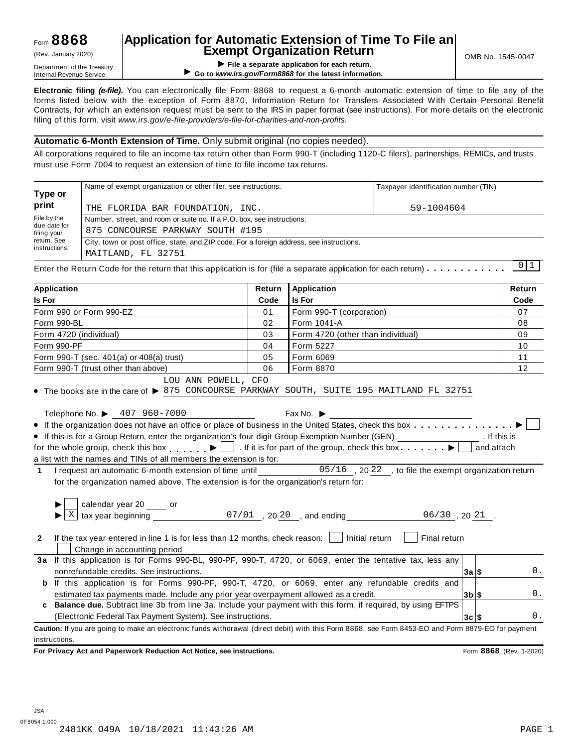Form 990-PF

Form 990-T (sec. 401(a) or 408(a) trust) Form 990-T (trust other than above)

### **Application for Automatic Extension of Time To File an Exempt Organization Return** (Rev. January 2020) OMB No. 1545-0047

**EXEMPL OF GETTIPL OF SERVIPTION ARELATION CONSUMPTION**<br>
Department of the Treasury<br>
Internal Revenue Service → Co to www.irs.gov/Form8868 for the latest information ▶ Go to www.irs.gov/Form8868 for the latest information.

**Electronic filing** *(e-file)***.** You can electronically file Form 8868 to request a 6-month automatic extension of time to file any of the forms listed below with the exception of Form 8870, Information Return for Transfers Associated With Certain Personal Benefit Contracts, for which an extension request must be sent to the IRS in paper format (see instructions). For more details on the electronic filing of this form, visit *www.irs.gov/e-file-providers/e-file-for-charities-and-non-profits.*

#### **Automatic 6-Month Extension of Time.** Only submit original (no copies needed).

Telephone No.  $\triangleright$  407 960-7000 Fax No.  $\triangleright$  Fax No.

If this is for a Group Return, enter the organization's four digit Group Exemption Number (GEN)  $\overline{\phantom{a}}$  for the organization's four digit Group Exemption Number (GEN)

LOU ANN POWELL, CFO

All corporations required to file an income tax return other than Form 990-T (including 1120-C filers), partnerships, REMICs, and trusts must use Form 7004 to request an extension of time to file income tax returns.

|                             | Name of exempt organization or other filer, see instructions.                                                                       |        |                                         | Taxpayer identification number (TIN) |               |  |  |  |  |
|-----------------------------|-------------------------------------------------------------------------------------------------------------------------------------|--------|-----------------------------------------|--------------------------------------|---------------|--|--|--|--|
| Type or<br>print            | THE FLORIDA BAR FOUNDATION, INC.                                                                                                    |        | 59-1004604                              |                                      |               |  |  |  |  |
| File by the                 | Number, street, and room or suite no. If a P.O. box, see instructions.                                                              |        |                                         |                                      |               |  |  |  |  |
| due date for<br>filing your | 875 CONCOURSE PARKWAY SOUTH #195                                                                                                    |        |                                         |                                      |               |  |  |  |  |
| return. See                 | City, town or post office, state, and ZIP code. For a foreign address, see instructions.                                            |        |                                         |                                      |               |  |  |  |  |
| instructions.               | MAITLAND, FL 32751                                                                                                                  |        |                                         |                                      |               |  |  |  |  |
|                             | Enter the Return Code for the return that this application is for (file a separate application for each return) $\dots \dots \dots$ |        |                                         |                                      | 0 1           |  |  |  |  |
| <b>Application</b>          |                                                                                                                                     | Return | <b>Application</b>                      |                                      | <b>Return</b> |  |  |  |  |
| <b>Is For</b>               |                                                                                                                                     | Code   | <b>Is For</b>                           |                                      | Code          |  |  |  |  |
|                             | Form 990 or Form 990-EZ                                                                                                             | 01     | Form 990-T (corporation)                |                                      |               |  |  |  |  |
| Form 990-BL                 |                                                                                                                                     | 02     | Form 1041-A                             |                                      | 08            |  |  |  |  |
| Form 4720 (individual)      |                                                                                                                                     | 03     | Form 4720 (other than individual)<br>09 |                                      |               |  |  |  |  |

Form 5227 Form 6069 Form 8870

04 05 06

LOU ANN POWELL, CFO<br>• The books are in the care of  $\triangleright$  875 CONCOURSE PARKWAY SOUTH, SUITE 195 MAITLAND FL 32751

|  | for the whole group, check this box $\Box$ . If it is for part of the group, check this box |  |  |                                                        |
|--|---------------------------------------------------------------------------------------------|--|--|--------------------------------------------------------|
|  | a list with the names and TINs of all members the extension is for.                         |  |  |                                                        |
|  | I request an automatic 6-month extension of time until                                      |  |  | $05/16$ , 2022, to file the exempt organization return |
|  | for the organization named above. The extension is for the organization's return for:       |  |  |                                                        |

Telephone No.  $\blacktriangleright$  407 960-7000 Fax No.  $\blacktriangleright$ <br>• If the organization does not have an office or place of business in the United States, check this box  $\ldots$ ........

|              | calendar year 20 _____ or                                                                                                                          |          |            |
|--------------|----------------------------------------------------------------------------------------------------------------------------------------------------|----------|------------|
|              | $\frac{1}{2}$ tax year beginning<br>$07/01$ , 20 20, and ending<br>06/30,2021                                                                      |          |            |
| $\mathbf{2}$ | If the tax year entered in line 1 is for less than 12 months, check reason:<br>Initial return<br>Final return<br>Change in accounting period       |          |            |
| За           | If this application is for Forms 990-BL, 990-PF, 990-T, 4720, or 6069, enter the tentative tax, less any                                           |          |            |
|              | nonrefundable credits. See instructions.                                                                                                           | 3a S     | 0.         |
| b            | If this application is for Forms 990-PF, 990-T, 4720, or 6069, enter any refundable credits and                                                    |          |            |
|              | estimated tax payments made. Include any prior year overpayment allowed as a credit.                                                               | $3b$ s   | 0.         |
|              | c Balance due. Subtract line 3b from line 3a. Include your payment with this form, if required, by using EFTPS                                     |          |            |
|              | (Electronic Federal Tax Payment System). See instructions.                                                                                         | $3c$ $s$ | $\Omega$ . |
|              | Caution: If you are going to make an electronic funds withdrawal (direct debit) with this Form 8868, see Form 8453-EO and Form 8879-EO for payment |          |            |
|              | instructions.                                                                                                                                      |          |            |

**For Privacy Act and Paperwork Reduction Act Notice, see instructions.** Form **8868** (Rev. 1-2020)

10 11 12

. If this is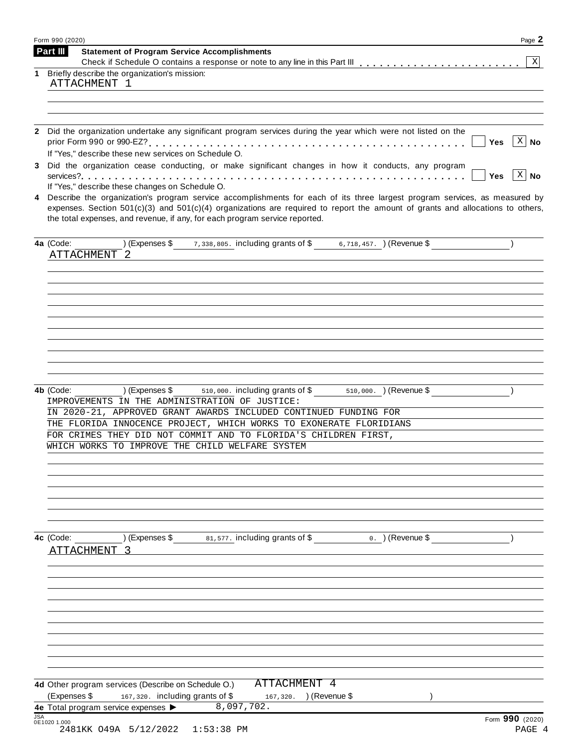| Form 990 (2020)                                                                                                                                                                                                                                                                                                                                      | Page 2                             |
|------------------------------------------------------------------------------------------------------------------------------------------------------------------------------------------------------------------------------------------------------------------------------------------------------------------------------------------------------|------------------------------------|
| Part III<br><b>Statement of Program Service Accomplishments</b>                                                                                                                                                                                                                                                                                      | $\boxed{\text{X}}$                 |
| Briefly describe the organization's mission:<br>1<br>ATTACHMENT 1                                                                                                                                                                                                                                                                                    |                                    |
|                                                                                                                                                                                                                                                                                                                                                      |                                    |
|                                                                                                                                                                                                                                                                                                                                                      |                                    |
| Did the organization undertake any significant program services during the year which were not listed on the<br>$\mathbf{2}$                                                                                                                                                                                                                         | $ X $ No<br>Yes                    |
| If "Yes," describe these new services on Schedule O.<br>Did the organization cease conducting, or make significant changes in how it conducts, any program<br>3                                                                                                                                                                                      | $\lceil x \rceil$ No<br><b>Yes</b> |
| If "Yes," describe these changes on Schedule O.                                                                                                                                                                                                                                                                                                      |                                    |
| Describe the organization's program service accomplishments for each of its three largest program services, as measured by<br>4<br>expenses. Section $501(c)(3)$ and $501(c)(4)$ organizations are required to report the amount of grants and allocations to others,<br>the total expenses, and revenue, if any, for each program service reported. |                                    |
| (Expenses \$ 7,338,805. including grants of \$ 6,718,457. ) (Revenue \$<br>4a (Code:                                                                                                                                                                                                                                                                 |                                    |
| ATTACHMENT 2                                                                                                                                                                                                                                                                                                                                         |                                    |
|                                                                                                                                                                                                                                                                                                                                                      |                                    |
|                                                                                                                                                                                                                                                                                                                                                      |                                    |
|                                                                                                                                                                                                                                                                                                                                                      |                                    |
|                                                                                                                                                                                                                                                                                                                                                      |                                    |
|                                                                                                                                                                                                                                                                                                                                                      |                                    |
|                                                                                                                                                                                                                                                                                                                                                      |                                    |
|                                                                                                                                                                                                                                                                                                                                                      |                                    |
| (Expenses \$510,000. including grants of \$510,000. ) (Revenue \$<br>4b (Code:<br>IMPROVEMENTS IN THE ADMINISTRATION OF JUSTICE:                                                                                                                                                                                                                     |                                    |
| IN 2020-21, APPROVED GRANT AWARDS INCLUDED CONTINUED FUNDING FOR                                                                                                                                                                                                                                                                                     |                                    |
| THE FLORIDA INNOCENCE PROJECT, WHICH WORKS TO EXONERATE FLORIDIANS<br>FOR CRIMES THEY DID NOT COMMIT AND TO FLORIDA'S CHILDREN FIRST,                                                                                                                                                                                                                |                                    |
| WHICH WORKS TO IMPROVE THE CHILD WELFARE SYSTEM                                                                                                                                                                                                                                                                                                      |                                    |
|                                                                                                                                                                                                                                                                                                                                                      |                                    |
|                                                                                                                                                                                                                                                                                                                                                      |                                    |
|                                                                                                                                                                                                                                                                                                                                                      |                                    |
|                                                                                                                                                                                                                                                                                                                                                      |                                    |
|                                                                                                                                                                                                                                                                                                                                                      |                                    |
| 81,577. including grants of \$<br>) (Expenses \$<br>4c (Code:<br>$0.$ ) (Revenue \$                                                                                                                                                                                                                                                                  |                                    |
| ATTACHMENT                                                                                                                                                                                                                                                                                                                                           |                                    |
|                                                                                                                                                                                                                                                                                                                                                      |                                    |
|                                                                                                                                                                                                                                                                                                                                                      |                                    |
|                                                                                                                                                                                                                                                                                                                                                      |                                    |
|                                                                                                                                                                                                                                                                                                                                                      |                                    |
|                                                                                                                                                                                                                                                                                                                                                      |                                    |
|                                                                                                                                                                                                                                                                                                                                                      |                                    |
|                                                                                                                                                                                                                                                                                                                                                      |                                    |
| ATTACHMENT 4<br>4d Other program services (Describe on Schedule O.)                                                                                                                                                                                                                                                                                  |                                    |
| (Expenses \$<br>167,320. including grants of \$<br>167,320. ) (Revenue \$                                                                                                                                                                                                                                                                            |                                    |
| 8,097,702.<br>4e Total program service expenses >                                                                                                                                                                                                                                                                                                    |                                    |
| <b>JSA</b><br>0E1020 1.000<br>2481KK 049A 5/12/2022<br>$1:53:38$ PM                                                                                                                                                                                                                                                                                  | Form 990 (2020)<br>PAGE 4          |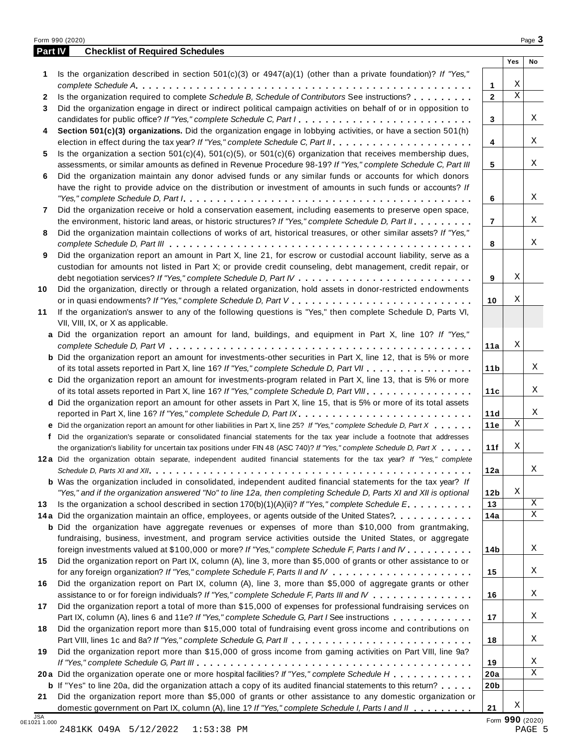|              | Part IV<br><b>Checklist of Required Schedules</b>                                                                                                                                                                                    |                 |             |    |
|--------------|--------------------------------------------------------------------------------------------------------------------------------------------------------------------------------------------------------------------------------------|-----------------|-------------|----|
|              |                                                                                                                                                                                                                                      |                 | Yes         | No |
| 1            | Is the organization described in section $501(c)(3)$ or $4947(a)(1)$ (other than a private foundation)? If "Yes,"                                                                                                                    |                 |             |    |
|              |                                                                                                                                                                                                                                      | 1               | Χ           |    |
| $\mathbf{2}$ | Is the organization required to complete Schedule B, Schedule of Contributors See instructions?                                                                                                                                      | $\mathbf{2}$    | $\mathbf X$ |    |
| 3            | Did the organization engage in direct or indirect political campaign activities on behalf of or in opposition to                                                                                                                     |                 |             |    |
|              | candidates for public office? If "Yes," complete Schedule C, Part I.                                                                                                                                                                 | 3               |             | Χ  |
| 4            | Section 501(c)(3) organizations. Did the organization engage in lobbying activities, or have a section 501(h)                                                                                                                        |                 |             |    |
|              |                                                                                                                                                                                                                                      | 4               |             | X  |
| 5            | Is the organization a section $501(c)(4)$ , $501(c)(5)$ , or $501(c)(6)$ organization that receives membership dues,                                                                                                                 |                 |             |    |
|              | assessments, or similar amounts as defined in Revenue Procedure 98-19? If "Yes," complete Schedule C, Part III                                                                                                                       | 5               |             | Χ  |
| 6            | Did the organization maintain any donor advised funds or any similar funds or accounts for which donors                                                                                                                              |                 |             |    |
|              | have the right to provide advice on the distribution or investment of amounts in such funds or accounts? If                                                                                                                          |                 |             |    |
|              |                                                                                                                                                                                                                                      | 6               |             | X  |
| 7            | Did the organization receive or hold a conservation easement, including easements to preserve open space,                                                                                                                            |                 |             |    |
|              | the environment, historic land areas, or historic structures? If "Yes," complete Schedule D, Part II.                                                                                                                                | $\overline{7}$  |             | Χ  |
| 8            | Did the organization maintain collections of works of art, historical treasures, or other similar assets? If "Yes,"                                                                                                                  |                 |             |    |
|              |                                                                                                                                                                                                                                      | 8               |             | Χ  |
| 9            | Did the organization report an amount in Part X, line 21, for escrow or custodial account liability, serve as a                                                                                                                      |                 |             |    |
|              | custodian for amounts not listed in Part X; or provide credit counseling, debt management, credit repair, or                                                                                                                         |                 |             |    |
|              |                                                                                                                                                                                                                                      | 9               | Χ           |    |
| 10           | Did the organization, directly or through a related organization, hold assets in donor-restricted endowments                                                                                                                         |                 |             |    |
|              |                                                                                                                                                                                                                                      | 10              | Χ           |    |
| 11           | If the organization's answer to any of the following questions is "Yes," then complete Schedule D, Parts VI,                                                                                                                         |                 |             |    |
|              | VII, VIII, IX, or X as applicable.                                                                                                                                                                                                   |                 |             |    |
|              | a Did the organization report an amount for land, buildings, and equipment in Part X, line 10? If "Yes,"                                                                                                                             |                 |             |    |
|              |                                                                                                                                                                                                                                      | 11a             | Χ           |    |
|              | <b>b</b> Did the organization report an amount for investments-other securities in Part X, line 12, that is 5% or more                                                                                                               |                 |             |    |
|              | of its total assets reported in Part X, line 16? If "Yes," complete Schedule D, Part VII                                                                                                                                             | 11 <sub>b</sub> |             | Χ  |
|              | c Did the organization report an amount for investments-program related in Part X, line 13, that is 5% or more                                                                                                                       |                 |             |    |
|              | of its total assets reported in Part X, line 16? If "Yes," complete Schedule D, Part VIII                                                                                                                                            | 11c             |             | Χ  |
|              | d Did the organization report an amount for other assets in Part X, line 15, that is 5% or more of its total assets                                                                                                                  |                 |             |    |
|              | reported in Part X, line 16? If "Yes," complete Schedule D, Part IX.                                                                                                                                                                 | 11d             |             | Χ  |
|              | e Did the organization report an amount for other liabilities in Part X, line 25? If "Yes," complete Schedule D, Part X                                                                                                              | 11e             | Χ           |    |
| f            | Did the organization's separate or consolidated financial statements for the tax year include a footnote that addresses                                                                                                              |                 |             |    |
|              | the organization's liability for uncertain tax positions under FIN 48 (ASC 740)? If "Yes," complete Schedule D, Part X                                                                                                               | 11f             | Χ           |    |
|              | 12a Did the organization obtain separate, independent audited financial statements for the tax year? If "Yes," complete                                                                                                              |                 |             |    |
|              |                                                                                                                                                                                                                                      | 12a             |             | Χ  |
|              | <b>b</b> Was the organization included in consolidated, independent audited financial statements for the tax year? If                                                                                                                |                 |             |    |
|              | "Yes," and if the organization answered "No" to line 12a, then completing Schedule D, Parts XI and XII is optional                                                                                                                   | 12 <sub>b</sub> | Χ           |    |
| 13           | Is the organization a school described in section $170(b)(1)(A)(ii)$ ? If "Yes," complete Schedule E.                                                                                                                                | 13              |             | Χ  |
|              | 14a Did the organization maintain an office, employees, or agents outside of the United States?.                                                                                                                                     | 14a             |             | Χ  |
|              | <b>b</b> Did the organization have aggregate revenues or expenses of more than \$10,000 from grantmaking,                                                                                                                            |                 |             |    |
|              | fundraising, business, investment, and program service activities outside the United States, or aggregate                                                                                                                            |                 |             |    |
|              | foreign investments valued at \$100,000 or more? If "Yes," complete Schedule F, Parts I and IV                                                                                                                                       | 14b             |             | Χ  |
| 15           | Did the organization report on Part IX, column (A), line 3, more than \$5,000 of grants or other assistance to or                                                                                                                    |                 |             |    |
|              |                                                                                                                                                                                                                                      | 15              |             | Χ  |
| 16           | Did the organization report on Part IX, column (A), line 3, more than \$5,000 of aggregate grants or other                                                                                                                           |                 |             |    |
|              | assistance to or for foreign individuals? If "Yes," complete Schedule F, Parts III and IV                                                                                                                                            | 16              |             | Χ  |
| 17           | Did the organization report a total of more than \$15,000 of expenses for professional fundraising services on                                                                                                                       |                 |             |    |
|              | Part IX, column (A), lines 6 and 11e? If "Yes," complete Schedule G, Part I See instructions                                                                                                                                         | 17              |             | Χ  |
| 18           | Did the organization report more than \$15,000 total of fundraising event gross income and contributions on                                                                                                                          |                 |             |    |
|              |                                                                                                                                                                                                                                      | 18              |             | Χ  |
| 19           | Did the organization report more than \$15,000 of gross income from gaming activities on Part VIII, line 9a?                                                                                                                         |                 |             |    |
|              |                                                                                                                                                                                                                                      | 19              |             | Χ  |
|              | 20a Did the organization operate one or more hospital facilities? If "Yes," complete Schedule H                                                                                                                                      | 20a             |             | Χ  |
|              |                                                                                                                                                                                                                                      |                 |             |    |
|              |                                                                                                                                                                                                                                      |                 |             |    |
| 21           | <b>b</b> If "Yes" to line 20a, did the organization attach a copy of its audited financial statements to this return?<br>Did the organization report more than \$5,000 of grants or other assistance to any domestic organization or | 20 <sub>b</sub> |             |    |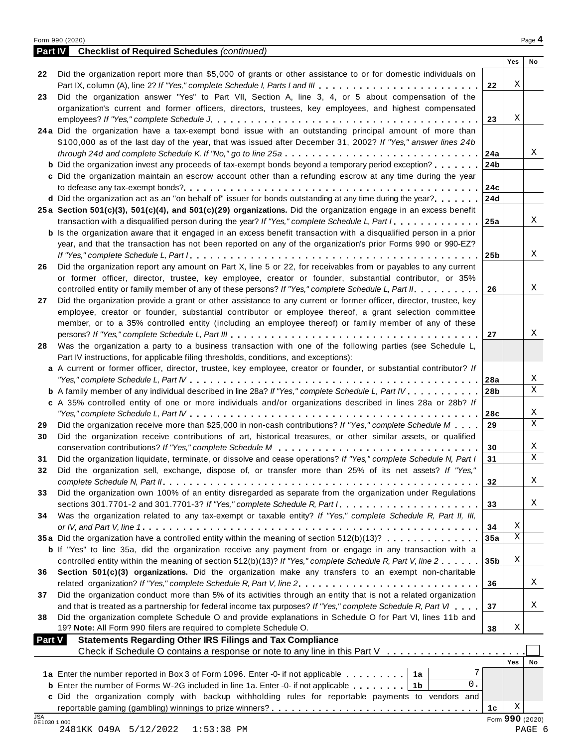|--|--|

| <b>Part IV</b> | <b>Checklist of Required Schedules (continued)</b>                                                                                                                    |                 |                      |             |
|----------------|-----------------------------------------------------------------------------------------------------------------------------------------------------------------------|-----------------|----------------------|-------------|
|                |                                                                                                                                                                       |                 | Yes                  | No          |
| 22             | Did the organization report more than \$5,000 of grants or other assistance to or for domestic individuals on                                                         |                 |                      |             |
|                | Part IX, column (A), line 2? If "Yes," complete Schedule I, Parts I and III                                                                                           | 22              | Χ                    |             |
| 23             | Did the organization answer "Yes" to Part VII, Section A, line 3, 4, or 5 about compensation of the                                                                   |                 |                      |             |
|                | organization's current and former officers, directors, trustees, key employees, and highest compensated                                                               |                 | Χ                    |             |
|                | 24a Did the organization have a tax-exempt bond issue with an outstanding principal amount of more than                                                               | 23              |                      |             |
|                | \$100,000 as of the last day of the year, that was issued after December 31, 2002? If "Yes," answer lines 24b                                                         |                 |                      |             |
|                | through 24d and complete Schedule K. If "No," go to line 25a                                                                                                          | 24a             |                      | Χ           |
|                | <b>b</b> Did the organization invest any proceeds of tax-exempt bonds beyond a temporary period exception?                                                            | 24b             |                      |             |
|                | c Did the organization maintain an escrow account other than a refunding escrow at any time during the year                                                           |                 |                      |             |
|                |                                                                                                                                                                       | 24c             |                      |             |
|                | d Did the organization act as an "on behalf of" issuer for bonds outstanding at any time during the year?                                                             | 24d             |                      |             |
|                | 25a Section 501(c)(3), 501(c)(4), and 501(c)(29) organizations. Did the organization engage in an excess benefit                                                      |                 |                      |             |
|                | transaction with a disqualified person during the year? If "Yes," complete Schedule L, Part I.                                                                        | 25a             |                      | X           |
|                | <b>b</b> Is the organization aware that it engaged in an excess benefit transaction with a disqualified person in a prior                                             |                 |                      |             |
|                | year, and that the transaction has not been reported on any of the organization's prior Forms 990 or 990-EZ?                                                          |                 |                      |             |
|                |                                                                                                                                                                       | 25 <sub>b</sub> |                      | X           |
| 26             | Did the organization report any amount on Part X, line 5 or 22, for receivables from or payables to any current                                                       |                 |                      |             |
|                | or former officer, director, trustee, key employee, creator or founder, substantial contributor, or 35%                                                               |                 |                      |             |
|                | controlled entity or family member of any of these persons? If "Yes," complete Schedule L, Part II.                                                                   | 26              |                      | X           |
| 27             | Did the organization provide a grant or other assistance to any current or former officer, director, trustee, key                                                     |                 |                      |             |
|                | employee, creator or founder, substantial contributor or employee thereof, a grant selection committee                                                                |                 |                      |             |
|                | member, or to a 35% controlled entity (including an employee thereof) or family member of any of these                                                                |                 |                      |             |
|                |                                                                                                                                                                       | 27              |                      | Χ           |
| 28             | Was the organization a party to a business transaction with one of the following parties (see Schedule L,                                                             |                 |                      |             |
|                | Part IV instructions, for applicable filing thresholds, conditions, and exceptions):                                                                                  |                 |                      |             |
|                | a A current or former officer, director, trustee, key employee, creator or founder, or substantial contributor? If                                                    |                 |                      |             |
|                |                                                                                                                                                                       | 28a             |                      | X           |
|                | <b>b</b> A family member of any individual described in line 28a? If "Yes," complete Schedule L, Part IV.                                                             | 28 <sub>b</sub> |                      | X           |
|                | c A 35% controlled entity of one or more individuals and/or organizations described in lines 28a or 28b? If                                                           |                 |                      |             |
|                | "Yes," complete Schedule L, Part IV $\ldots$ , $\ldots$ , $\ldots$ , $\ldots$ , $\ldots$ , $\ldots$ , $\ldots$ , $\ldots$ , $\ldots$ , $\ldots$ , $\ldots$ , $\ldots$ | 28c             |                      | X           |
| 29             | Did the organization receive more than \$25,000 in non-cash contributions? If "Yes," complete Schedule M                                                              | 29              |                      | X           |
| 30             | Did the organization receive contributions of art, historical treasures, or other similar assets, or qualified                                                        |                 |                      | X           |
|                | Did the organization liquidate, terminate, or dissolve and cease operations? If "Yes," complete Schedule N, Part I                                                    | 30              |                      | $\mathbf X$ |
| 31             |                                                                                                                                                                       | 31              |                      |             |
| 32             | Did the organization sell, exchange, dispose of, or transfer more than 25% of its net assets? If "Yes,"                                                               | 32              |                      | X           |
| 33             | Did the organization own 100% of an entity disregarded as separate from the organization under Regulations                                                            |                 |                      |             |
|                | sections 301.7701-2 and 301.7701-3? If "Yes," complete Schedule R, Part $l_1, \ldots, l_l, l_l, \ldots, l_l, l_l, l_l, l_l$                                           | 33              |                      | Χ           |
| 34             | Was the organization related to any tax-exempt or taxable entity? If "Yes," complete Schedule R, Part II, III,                                                        |                 |                      |             |
|                |                                                                                                                                                                       | 34              | Χ                    |             |
|                | 35a Did the organization have a controlled entity within the meaning of section 512(b)(13)?                                                                           | 35a             | Χ                    |             |
|                | b If "Yes" to line 35a, did the organization receive any payment from or engage in any transaction with a                                                             |                 |                      |             |
|                | controlled entity within the meaning of section 512(b)(13)? If "Yes," complete Schedule R, Part V, line 2                                                             | 35 <sub>b</sub> | Χ                    |             |
| 36             | Section 501(c)(3) organizations. Did the organization make any transfers to an exempt non-charitable                                                                  |                 |                      |             |
|                | related organization? If "Yes," complete Schedule R, Part V, line 2.                                                                                                  | 36              |                      | Χ           |
| 37             | Did the organization conduct more than 5% of its activities through an entity that is not a related organization                                                      |                 |                      |             |
|                | and that is treated as a partnership for federal income tax purposes? If "Yes," complete Schedule R, Part VI                                                          | 37              |                      | Χ           |
| 38             | Did the organization complete Schedule O and provide explanations in Schedule O for Part VI, lines 11b and                                                            |                 |                      |             |
|                | 19? Note: All Form 990 filers are required to complete Schedule O.                                                                                                    | 38              | Χ                    |             |
| <b>Part V</b>  | <b>Statements Regarding Other IRS Filings and Tax Compliance</b>                                                                                                      |                 |                      |             |
|                | Check if Schedule O contains a response or note to any line in this Part V                                                                                            |                 |                      |             |
|                |                                                                                                                                                                       |                 | Yes                  | No          |
|                | 1a Enter the number reported in Box 3 of Form 1096. Enter -0- if not applicable<br>1a                                                                                 |                 |                      |             |
|                | 0.<br><b>b</b> Enter the number of Forms W-2G included in line 1a. Enter -0- if not applicable<br>1b                                                                  |                 |                      |             |
|                | c Did the organization comply with backup withholding rules for reportable payments to vendors and                                                                    |                 |                      |             |
| JSA            |                                                                                                                                                                       | 1с              | Χ<br>Form 990 (2020) |             |
| 0E1030 1.000   |                                                                                                                                                                       |                 |                      |             |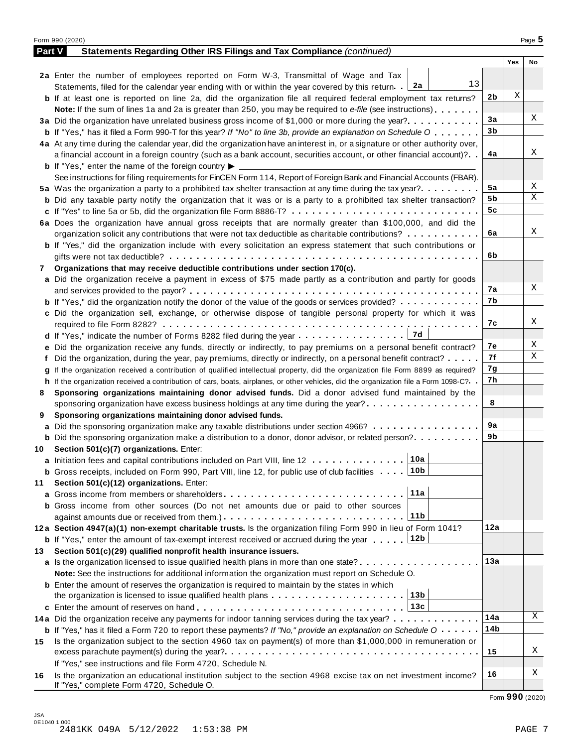|        | Form 990 (2020)                                                                                                                              |     |     | Page 5 |
|--------|----------------------------------------------------------------------------------------------------------------------------------------------|-----|-----|--------|
| Part V | Statements Regarding Other IRS Filings and Tax Compliance (continued)                                                                        |     |     |        |
|        |                                                                                                                                              |     | Yes | No     |
|        | 2a Enter the number of employees reported on Form W-3, Transmittal of Wage and Tax                                                           |     |     |        |
|        | 13<br>Statements, filed for the calendar year ending with or within the year covered by this return. [2a                                     |     |     |        |
|        | <b>b</b> If at least one is reported on line 2a, did the organization file all required federal employment tax returns?                      | 2b  | Χ   |        |
|        | <b>Note:</b> If the sum of lines 1a and 2a is greater than 250, you may be required to e-file (see instructions).                            |     |     |        |
|        | 3a Did the organization have unrelated business gross income of \$1,000 or more during the year?                                             | 3a  |     | Χ      |
|        | <b>b</b> If "Yes," has it filed a Form 990-T for this year? If "No" to line 3b, provide an explanation on Schedule O                         | 3b  |     |        |
|        | 4a At any time during the calendar year, did the organization have an interest in, or a signature or other authority over,                   |     |     |        |
|        | a financial account in a foreign country (such as a bank account, securities account, or other financial account)?                           | 4a  |     | Χ      |
|        | <b>b</b> If "Yes," enter the name of the foreign country $\blacktriangleright$                                                               |     |     |        |
|        | See instructions for filing requirements for FinCEN Form 114, Report of Foreign Bank and Financial Accounts (FBAR).                          |     |     |        |
|        | 5a Was the organization a party to a prohibited tax shelter transaction at any time during the tax year?                                     | 5a  |     | Χ      |
|        | <b>b</b> Did any taxable party notify the organization that it was or is a party to a prohibited tax shelter transaction?                    | 5b  |     | Χ      |
|        |                                                                                                                                              | 5c  |     |        |
|        | 6a Does the organization have annual gross receipts that are normally greater than \$100,000, and did the                                    |     |     |        |
|        | organization solicit any contributions that were not tax deductible as charitable contributions?                                             | 6a  |     | Χ      |
|        | <b>b</b> If "Yes," did the organization include with every solicitation an express statement that such contributions or                      |     |     |        |
|        |                                                                                                                                              | 6b  |     |        |
| 7      | Organizations that may receive deductible contributions under section 170(c).                                                                |     |     |        |
|        | a Did the organization receive a payment in excess of \$75 made partly as a contribution and partly for goods                                |     |     |        |
|        |                                                                                                                                              | 7а  |     | Χ      |
|        | <b>b</b> If "Yes," did the organization notify the donor of the value of the goods or services provided?                                     | 7b  |     |        |
|        | c Did the organization sell, exchange, or otherwise dispose of tangible personal property for which it was                                   |     |     |        |
|        |                                                                                                                                              | 7с  |     | Χ      |
|        | 7d                                                                                                                                           |     |     |        |
|        | e Did the organization receive any funds, directly or indirectly, to pay premiums on a personal benefit contract?                            | 7е  |     | Χ      |
|        | f Did the organization, during the year, pay premiums, directly or indirectly, on a personal benefit contract?                               | 7f  |     | Χ      |
|        | If the organization received a contribution of qualified intellectual property, did the organization file Form 8899 as required?             | 7g  |     |        |
|        | h If the organization received a contribution of cars, boats, airplanes, or other vehicles, did the organization file a Form 1098-C?         | 7h  |     |        |
| 8      | Sponsoring organizations maintaining donor advised funds. Did a donor advised fund maintained by the                                         |     |     |        |
|        | sponsoring organization have excess business holdings at any time during the year?                                                           | 8   |     |        |
| 9      | Sponsoring organizations maintaining donor advised funds.                                                                                    |     |     |        |
|        | <b>a</b> Did the sponsoring organization make any taxable distributions under section 4966?                                                  | 9а  |     |        |
|        | <b>b</b> Did the sponsoring organization make a distribution to a donor, donor advisor, or related person?                                   | 9b  |     |        |
|        | 10 Section 501(c)(7) organizations. Enter:                                                                                                   |     |     |        |
|        | 10a <br>a Initiation fees and capital contributions included on Part VIII, line 12                                                           |     |     |        |
|        | 10b<br><b>b</b> Gross receipts, included on Form 990, Part VIII, line 12, for public use of club facilities                                  |     |     |        |
| 11     | Section 501(c)(12) organizations. Enter:                                                                                                     |     |     |        |
|        | 11a<br><b>a</b> Gross income from members or shareholders                                                                                    |     |     |        |
|        | <b>b</b> Gross income from other sources (Do not net amounts due or paid to other sources                                                    |     |     |        |
|        | 11b                                                                                                                                          |     |     |        |
|        | 12a Section 4947(a)(1) non-exempt charitable trusts. Is the organization filing Form 990 in lieu of Form 1041?                               | 12a |     |        |
|        | 12b<br><b>b</b> If "Yes," enter the amount of tax-exempt interest received or accrued during the year                                        |     |     |        |
| 13.    | Section 501(c)(29) qualified nonprofit health insurance issuers.                                                                             |     |     |        |
|        | <b>a</b> Is the organization licensed to issue qualified health plans in more than one state?                                                | 13а |     |        |
|        | Note: See the instructions for additional information the organization must report on Schedule O.                                            |     |     |        |
|        | <b>b</b> Enter the amount of reserves the organization is required to maintain by the states in which                                        |     |     |        |
|        | 13b                                                                                                                                          |     |     |        |
|        | 13c                                                                                                                                          |     |     |        |
|        | 14a Did the organization receive any payments for indoor tanning services during the tax year?                                               | 14a |     | Χ      |
|        | <b>b</b> If "Yes," has it filed a Form 720 to report these payments? If "No," provide an explanation on Schedule $0 \cdot \cdot \cdot \cdot$ | 14b |     |        |
| 15     | Is the organization subject to the section 4960 tax on payment(s) of more than \$1,000,000 in remuneration or                                |     |     |        |
|        |                                                                                                                                              | 15  |     | Χ      |
|        | If "Yes," see instructions and file Form 4720, Schedule N.                                                                                   |     |     |        |
| 16     | Is the organization an educational institution subject to the section 4968 excise tax on net investment income?                              | 16  |     | Χ      |
|        | If "Yes," complete Form 4720, Schedule O.                                                                                                    |     |     |        |

Form **990** (2020)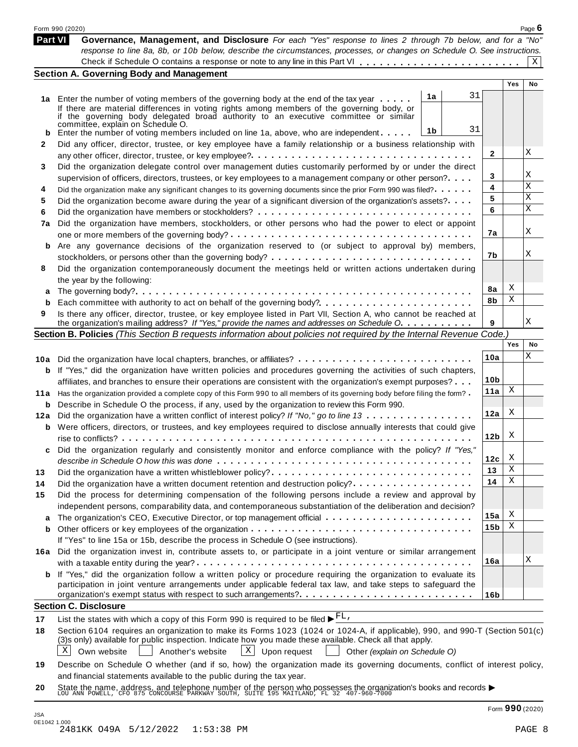|         | Form 990 (2020)                                                                                                                                                                                                              |                 |        | Page $6$ |  |  |  |
|---------|------------------------------------------------------------------------------------------------------------------------------------------------------------------------------------------------------------------------------|-----------------|--------|----------|--|--|--|
| Part VI | Governance, Management, and Disclosure For each "Yes" response to lines 2 through 7b below, and for a "No"                                                                                                                   |                 |        |          |  |  |  |
|         | response to line 8a, 8b, or 10b below, describe the circumstances, processes, or changes on Schedule O. See instructions.                                                                                                    |                 |        |          |  |  |  |
|         |                                                                                                                                                                                                                              |                 |        | X        |  |  |  |
|         | <b>Section A. Governing Body and Management</b>                                                                                                                                                                              |                 | Yes    | No       |  |  |  |
|         | 31<br>1a                                                                                                                                                                                                                     |                 |        |          |  |  |  |
|         | 1a Enter the number of voting members of the governing body at the end of the tax year<br>If there are material differences in voting rights among members of the governing body, or                                         |                 |        |          |  |  |  |
|         | if the governing body delegated broad authority to an executive committee or similar                                                                                                                                         |                 |        |          |  |  |  |
|         | committée, explain on Schedule O.<br>31<br>1b<br>Enter the number of voting members included on line 1a, above, who are independent                                                                                          |                 |        |          |  |  |  |
| b<br>2  | Did any officer, director, trustee, or key employee have a family relationship or a business relationship with                                                                                                               |                 |        |          |  |  |  |
|         |                                                                                                                                                                                                                              | 2               |        | Χ        |  |  |  |
| 3       | Did the organization delegate control over management duties customarily performed by or under the direct                                                                                                                    |                 |        |          |  |  |  |
|         | supervision of officers, directors, trustees, or key employees to a management company or other person?                                                                                                                      |                 |        |          |  |  |  |
| 4       | Did the organization make any significant changes to its governing documents since the prior Form 990 was filed?                                                                                                             |                 |        |          |  |  |  |
| 5       | Did the organization become aware during the year of a significant diversion of the organization's assets?                                                                                                                   | 5               |        | Χ        |  |  |  |
| 6       |                                                                                                                                                                                                                              | 6               |        | Χ        |  |  |  |
| 7a      | Did the organization have members, stockholders, or other persons who had the power to elect or appoint                                                                                                                      |                 |        |          |  |  |  |
|         |                                                                                                                                                                                                                              | 7a              |        | Χ        |  |  |  |
| b       | Are any governance decisions of the organization reserved to (or subject to approval by) members,                                                                                                                            |                 |        |          |  |  |  |
|         |                                                                                                                                                                                                                              | 7b              |        | X        |  |  |  |
| 8       | Did the organization contemporaneously document the meetings held or written actions undertaken during                                                                                                                       |                 |        |          |  |  |  |
|         | the year by the following:                                                                                                                                                                                                   |                 | X      |          |  |  |  |
| а       |                                                                                                                                                                                                                              | 8a<br>8b        | Χ      |          |  |  |  |
| b       |                                                                                                                                                                                                                              |                 |        |          |  |  |  |
| 9       | Is there any officer, director, trustee, or key employee listed in Part VII, Section A, who cannot be reached at<br>the organization's mailing address? If "Yes," provide the names and addresses on Schedule O.             | 9               |        | Χ        |  |  |  |
|         | Section B. Policies (This Section B requests information about policies not required by the Internal Revenue Code.)                                                                                                          |                 |        |          |  |  |  |
|         |                                                                                                                                                                                                                              |                 | Yes    | No       |  |  |  |
|         |                                                                                                                                                                                                                              | 10a             |        | Χ        |  |  |  |
|         | <b>b</b> If "Yes," did the organization have written policies and procedures governing the activities of such chapters,                                                                                                      |                 |        |          |  |  |  |
|         | affiliates, and branches to ensure their operations are consistent with the organization's exempt purposes?                                                                                                                  | 10 <sub>b</sub> |        |          |  |  |  |
|         | 11a Has the organization provided a complete copy of this Form 990 to all members of its governing body before filing the form?                                                                                              | 11a             | Χ      |          |  |  |  |
| b       | Describe in Schedule O the process, if any, used by the organization to review this Form 990.                                                                                                                                |                 |        |          |  |  |  |
|         | 12a Did the organization have a written conflict of interest policy? If "No," go to line 13                                                                                                                                  | 12a             | X      |          |  |  |  |
|         | <b>b</b> Were officers, directors, or trustees, and key employees required to disclose annually interests that could give                                                                                                    |                 |        |          |  |  |  |
|         |                                                                                                                                                                                                                              | 12 <sub>b</sub> | X      |          |  |  |  |
|         | Did the organization regularly and consistently monitor and enforce compliance with the policy? If "Yes,                                                                                                                     |                 |        |          |  |  |  |
|         |                                                                                                                                                                                                                              | 12c             | X<br>Χ |          |  |  |  |
| 13      | Did the organization have a written whistleblower policy?                                                                                                                                                                    | 13              | Χ      |          |  |  |  |
| 14      | Did the organization have a written document retention and destruction policy?.                                                                                                                                              | 14              |        |          |  |  |  |
| 15      | Did the process for determining compensation of the following persons include a review and approval by                                                                                                                       |                 |        |          |  |  |  |
|         | independent persons, comparability data, and contemporaneous substantiation of the deliberation and decision?                                                                                                                | 15a             | Χ      |          |  |  |  |
| а       | The organization's CEO, Executive Director, or top management official                                                                                                                                                       | 15b             | Χ      |          |  |  |  |
| b       | If "Yes" to line 15a or 15b, describe the process in Schedule O (see instructions).                                                                                                                                          |                 |        |          |  |  |  |
|         | 16a Did the organization invest in, contribute assets to, or participate in a joint venture or similar arrangement                                                                                                           |                 |        |          |  |  |  |
|         |                                                                                                                                                                                                                              | 16a             |        | Χ        |  |  |  |
|         | <b>b</b> If "Yes," did the organization follow a written policy or procedure requiring the organization to evaluate its                                                                                                      |                 |        |          |  |  |  |
|         | participation in joint venture arrangements under applicable federal tax law, and take steps to safeguard the                                                                                                                |                 |        |          |  |  |  |
|         |                                                                                                                                                                                                                              | 16b             |        |          |  |  |  |
|         | <b>Section C. Disclosure</b>                                                                                                                                                                                                 |                 |        |          |  |  |  |
| 17      | List the states with which a copy of this Form 990 is required to be filed $\blacktriangleright^{\text{FL}}$ .                                                                                                               |                 |        |          |  |  |  |
| 18      | Section 6104 requires an organization to make its Forms 1023 (1024 or 1024-A, if applicable), 990, and 990-T (Section 501(c)                                                                                                 |                 |        |          |  |  |  |
|         | (3)s only) available for public inspection. Indicate how you made these available. Check all that apply.                                                                                                                     |                 |        |          |  |  |  |
|         | X<br>$X$ Upon request<br>Own website<br>Another's website<br>Other (explain on Schedule O)                                                                                                                                   |                 |        |          |  |  |  |
| 19      | Describe on Schedule O whether (and if so, how) the organization made its governing documents, conflict of interest policy,                                                                                                  |                 |        |          |  |  |  |
|         | and financial statements available to the public during the tax year.                                                                                                                                                        |                 |        |          |  |  |  |
| 20      | State the name, address, and telephone number of the person who possesses the organization's books and records $\blacktriangleright$ LOU ANN POWELL, CFO 875 CONCOURSE PARKWAY SOUTH, SUITE 195 MAITLAND, FL 32 407-960-7000 |                 |        |          |  |  |  |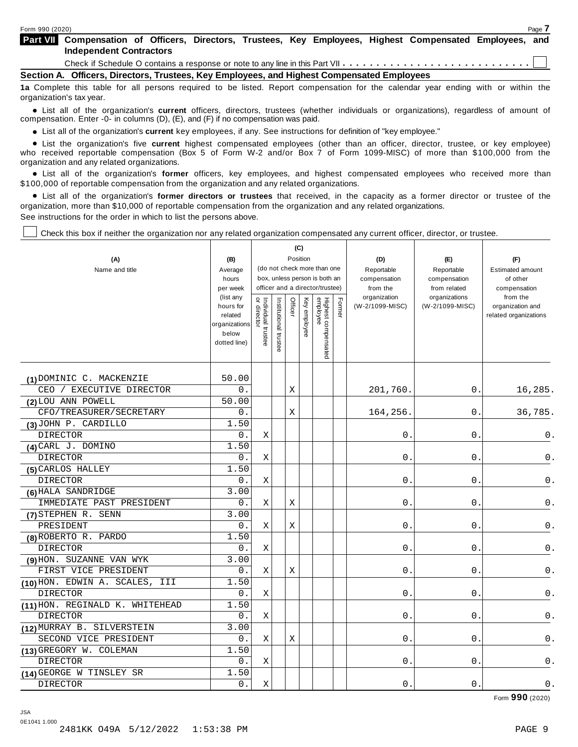**Compensation of Officers, Directors, Trustees, Key Employees, Highest Compensated Employees, and Part VII Independent Contractors** Check if Schedule O contains a response or note to any line in this Part VII  $\dots \dots \dots \dots \dots \dots \dots \dots \dots \dots \dots$ 

**Section A. Officers, Directors, Trustees, Key Employees, and Highest Compensated Employees**

**1a** Complete this table for all persons required to be listed. Report compensation for the calendar year ending with or within the organization's tax year.

anization's lax year.<br>● List all of the organization's **current** officers, directors, trustees (whether individuals or organizations), regardless of amount of<br>nnensation Enter -0- in columns (D) (E) and (E) if no compensa compensation. Enter -0- in columns (D), (E), and (F) if no compensation was paid.

• List all of the organization's current key employees, if any. See instructions for definition of "key employee."

■ List all of the organization's current key employees, if any. See instructions for definition of "key employee."<br>■ List the organization's five current highest compensated employees (other than an officer, director, tru who received reportable compensation (Box 5 of Form W-2 and/or Box 7 of Form 1099-MISC) of more than \$100,000 from the organization and any related organizations. %

List all of the organization's **former** officers, key employees, and highest compensated employees who received more than \$100,000 of reportable compensation from the organization and any related organizations.

% List all of the organization's **former directors or trustees** that received, in the capacity as a former director or trustee of the organization, more than \$10,000 of reportable compensation from the organization and any related organizations. See instructions for the order in which to list the persons above.

Check this box if neither the organization nor any related organization compensated any current officer, director, or trustee.

|                                   |                                                                |                                   |                             |             | (C)                                             |                                                                  |            |                          |                              |                                           |
|-----------------------------------|----------------------------------------------------------------|-----------------------------------|-----------------------------|-------------|-------------------------------------------------|------------------------------------------------------------------|------------|--------------------------|------------------------------|-------------------------------------------|
| (A)                               | Position<br>(B)                                                |                                   |                             |             |                                                 |                                                                  |            | (D)                      | (E)                          | (F)                                       |
| Name and title                    | Average                                                        |                                   | (do not check more than one |             |                                                 |                                                                  | Reportable | Reportable               | <b>Estimated amount</b>      |                                           |
|                                   | hours<br>per week                                              |                                   |                             |             |                                                 | box, unless person is both an<br>officer and a director/trustee) |            | compensation<br>from the | compensation<br>from related | of other<br>compensation                  |
|                                   | (list any                                                      |                                   |                             |             |                                                 |                                                                  |            | organization             | organizations                | from the                                  |
|                                   | hours for<br>related<br>organizations<br>below<br>dotted line) | or director<br>Individual trustee | Institutional trustee       | Officer     | Highest compensated<br>employee<br>Key employee |                                                                  | Former     | (W-2/1099-MISC)          | (W-2/1099-MISC)              | organization and<br>related organizations |
| (1) DOMINIC C. MACKENZIE          | 50.00                                                          |                                   |                             |             |                                                 |                                                                  |            |                          |                              |                                           |
| CEO / EXECUTIVE DIRECTOR          | 0.                                                             |                                   |                             | X           |                                                 |                                                                  |            | 201,760                  | 0.                           | 16,285.                                   |
| (2) LOU ANN POWELL                | 50.00                                                          |                                   |                             |             |                                                 |                                                                  |            |                          |                              |                                           |
| CFO/TREASURER/SECRETARY           | 0.                                                             |                                   |                             | $\mathbf X$ |                                                 |                                                                  |            | 164,256                  | 0.                           | 36,785.                                   |
| (3) JOHN P. CARDILLO              | 1.50                                                           |                                   |                             |             |                                                 |                                                                  |            |                          |                              |                                           |
| <b>DIRECTOR</b>                   | 0.                                                             | $\mathbf X$                       |                             |             |                                                 |                                                                  |            | 0                        | 0                            | 0.                                        |
| (4) CARL J. DOMINO                | 1.50                                                           |                                   |                             |             |                                                 |                                                                  |            |                          |                              |                                           |
| <b>DIRECTOR</b>                   | 0.                                                             | X                                 |                             |             |                                                 |                                                                  |            | 0.                       | $0$ .                        | $\mathsf 0$ .                             |
| (5) CARLOS HALLEY                 | 1.50                                                           |                                   |                             |             |                                                 |                                                                  |            |                          |                              |                                           |
| <b>DIRECTOR</b>                   | 0.                                                             | X                                 |                             |             |                                                 |                                                                  |            | 0                        | 0.                           | 0.                                        |
| (6) HALA SANDRIDGE                | 3.00                                                           |                                   |                             |             |                                                 |                                                                  |            |                          |                              |                                           |
| IMMEDIATE PAST PRESIDENT          | 0.                                                             | $\mathbf X$                       |                             | Χ           |                                                 |                                                                  |            | $\mathbf 0$              | 0                            | 0.                                        |
| (7) STEPHEN R. SENN               | 3.00                                                           |                                   |                             |             |                                                 |                                                                  |            |                          |                              |                                           |
| PRESIDENT                         | 0.                                                             | $\mathbf X$                       |                             | Χ           |                                                 |                                                                  |            | 0                        | 0                            | 0.                                        |
| (8) ROBERTO R. PARDO              | 1.50                                                           |                                   |                             |             |                                                 |                                                                  |            |                          |                              |                                           |
| <b>DIRECTOR</b>                   | 0.                                                             | X                                 |                             |             |                                                 |                                                                  |            | $\mathbf 0$              | 0                            | 0.                                        |
| (9) HON. SUZANNE VAN WYK          | 3.00                                                           |                                   |                             |             |                                                 |                                                                  |            |                          |                              |                                           |
| FIRST VICE PRESIDENT              | 0.                                                             | X                                 |                             | X           |                                                 |                                                                  |            | $\mathbf 0$              | $\overline{0}$               | $0$ .                                     |
| (10) HON. EDWIN A. SCALES,<br>III | 1.50                                                           |                                   |                             |             |                                                 |                                                                  |            |                          |                              |                                           |
| <b>DIRECTOR</b>                   | 0.                                                             | X                                 |                             |             |                                                 |                                                                  |            | $\mathbf 0$              | $0$ .                        | $0$ .                                     |
| (11) HON. REGINALD K. WHITEHEAD   | 1.50                                                           |                                   |                             |             |                                                 |                                                                  |            |                          |                              |                                           |
| <b>DIRECTOR</b>                   | 0.                                                             | Χ                                 |                             |             |                                                 |                                                                  |            | 0                        | 0                            | 0.                                        |
| (12) MURRAY B. SILVERSTEIN        | 3.00                                                           |                                   |                             |             |                                                 |                                                                  |            |                          |                              |                                           |
| SECOND VICE PRESIDENT             | 0.                                                             | X                                 |                             | X           |                                                 |                                                                  |            | $\mathbf 0$              | $\mathbf{0}$                 | 0.                                        |
| (13) GREGORY W. COLEMAN           | 1.50                                                           |                                   |                             |             |                                                 |                                                                  |            |                          |                              |                                           |
| <b>DIRECTOR</b>                   | 0.                                                             | X                                 |                             |             |                                                 |                                                                  |            | 0                        | 0                            | $0$ .                                     |
| (14) GEORGE W TINSLEY SR          | 1.50                                                           |                                   |                             |             |                                                 |                                                                  |            |                          |                              |                                           |
| <b>DIRECTOR</b>                   | 0.                                                             | $\mathbf X$                       |                             |             |                                                 |                                                                  |            | 0.                       | 0                            | $0$ .                                     |

Form **990** (2020)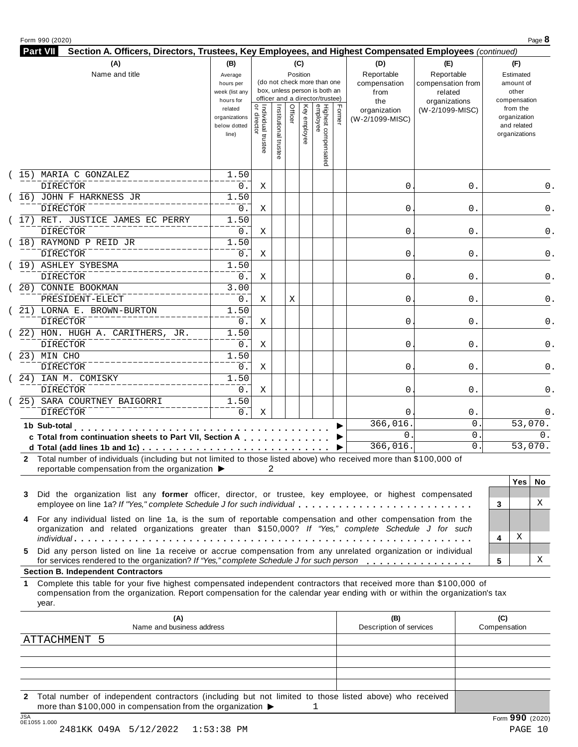#### Form <sup>990</sup> (2020) Page **8**

| Part VII<br>Section A. Officers, Directors, Trustees, Key Employees, and Highest Compensated Employees (continued) |                                                     |                                   |                       |         |              |                                                                                                 |        |                                           |                                                             |                                                          |
|--------------------------------------------------------------------------------------------------------------------|-----------------------------------------------------|-----------------------------------|-----------------------|---------|--------------|-------------------------------------------------------------------------------------------------|--------|-------------------------------------------|-------------------------------------------------------------|----------------------------------------------------------|
| (A)                                                                                                                | (B)                                                 |                                   |                       |         | (C)          |                                                                                                 |        | (D)                                       | (E)                                                         | (F)                                                      |
| Name and title                                                                                                     | Average<br>hours per<br>week (list any<br>hours for |                                   |                       |         | Position     | (do not check more than one<br>box, unless person is both an<br>officer and a director/trustee) |        | Reportable<br>compensation<br>from<br>the | Reportable<br>compensation from<br>related<br>organizations | Estimated<br>amount of<br>other<br>compensation          |
|                                                                                                                    | related<br>organizations<br>below dotted<br>line)   | Individual trustee<br>or director | Institutional trustee | Officer | Key employee | Highest compensated<br>employee                                                                 | Former | organization<br>(W-2/1099-MISC)           | (W-2/1099-MISC)                                             | from the<br>organization<br>and related<br>organizations |
| 15) MARIA C GONZALEZ                                                                                               | 1.50                                                |                                   |                       |         |              |                                                                                                 |        |                                           |                                                             |                                                          |
| <b>DIRECTOR</b>                                                                                                    | 0.                                                  | Χ                                 |                       |         |              |                                                                                                 |        | 0                                         | 0.                                                          | 0.                                                       |
| 16) JOHN F HARKNESS JR                                                                                             | 1.50                                                |                                   |                       |         |              |                                                                                                 |        |                                           |                                                             |                                                          |
| <b>DIRECTOR</b>                                                                                                    | 0.                                                  | X                                 |                       |         |              |                                                                                                 |        | 0                                         | 0.                                                          | 0.                                                       |
| 17) RET. JUSTICE JAMES EC PERRY                                                                                    | 1.50                                                |                                   |                       |         |              |                                                                                                 |        |                                           |                                                             |                                                          |
| <b>DIRECTOR</b>                                                                                                    | $0$ .                                               | Χ                                 |                       |         |              |                                                                                                 |        | 0                                         | 0.                                                          | 0.                                                       |
| 18) RAYMOND P REID JR                                                                                              | 1.50                                                |                                   |                       |         |              |                                                                                                 |        |                                           |                                                             |                                                          |
| <b>DIRECTOR</b>                                                                                                    | 0.                                                  | X                                 |                       |         |              |                                                                                                 |        | 0                                         | 0.                                                          | 0.                                                       |
| 19) ASHLEY SYBESMA                                                                                                 | 1.50                                                |                                   |                       |         |              |                                                                                                 |        |                                           |                                                             |                                                          |
| <b>DIRECTOR</b>                                                                                                    | 0.                                                  | X                                 |                       |         |              |                                                                                                 |        | 0                                         | $0$ .                                                       | 0.                                                       |
| 20) CONNIE BOOKMAN                                                                                                 | 3.00                                                |                                   |                       |         |              |                                                                                                 |        |                                           |                                                             |                                                          |
| PRESIDENT-ELECT                                                                                                    | $0$ .                                               | Χ                                 |                       | Χ       |              |                                                                                                 |        | 0                                         | 0.                                                          | 0.                                                       |
| 21) LORNA E. BROWN-BURTON                                                                                          | 1.50                                                |                                   |                       |         |              |                                                                                                 |        |                                           |                                                             |                                                          |
| <b>DIRECTOR</b>                                                                                                    | 0.                                                  | X                                 |                       |         |              |                                                                                                 |        | $\mathbf 0$                               | 0.                                                          | 0.                                                       |
| 22) HON. HUGH A. CARITHERS, JR.                                                                                    | 1.50                                                |                                   |                       |         |              |                                                                                                 |        |                                           |                                                             |                                                          |
| <b>DIRECTOR</b>                                                                                                    | 0.                                                  | Χ                                 |                       |         |              |                                                                                                 |        | 0                                         | 0.                                                          | 0.                                                       |
| $23)$ MIN CHO                                                                                                      | 1.50                                                |                                   |                       |         |              |                                                                                                 |        |                                           |                                                             |                                                          |
| <b>DIRECTOR</b>                                                                                                    | 0.                                                  | Χ                                 |                       |         |              |                                                                                                 |        | $\mathbf 0$                               | 0.                                                          | 0.                                                       |
| 24) IAN M. COMISKY                                                                                                 | 1.50                                                |                                   |                       |         |              |                                                                                                 |        |                                           |                                                             |                                                          |
| <b>DIRECTOR</b>                                                                                                    | $0$ .                                               | X                                 |                       |         |              |                                                                                                 |        | 0                                         | $0$ .                                                       | 0.                                                       |
| 25) SARA COURTNEY BAIGORRI                                                                                         | 1.50                                                |                                   |                       |         |              |                                                                                                 |        |                                           |                                                             |                                                          |
| <b>DIRECTOR</b>                                                                                                    | 0.                                                  | Χ                                 |                       |         |              |                                                                                                 |        | $\mathbf 0$                               | 0.                                                          | 0.                                                       |
| 1b Sub-total                                                                                                       |                                                     |                                   |                       |         |              |                                                                                                 |        | 366,016                                   | $\mathbf 0$                                                 | 53,070.                                                  |
| c Total from continuation sheets to Part VII, Section A                                                            |                                                     |                                   |                       |         |              |                                                                                                 |        | $\mathbf 0$                               | $\mathbf{0}$                                                | 0.                                                       |
|                                                                                                                    |                                                     |                                   |                       |         |              |                                                                                                 |        |                                           | $\overline{0}$ .                                            | 53,070.                                                  |

| $3^{\circ}$ | Did the organization list any former officer, director, or trustee, key employee, or highest compensated                                                                                                               |    |   |
|-------------|------------------------------------------------------------------------------------------------------------------------------------------------------------------------------------------------------------------------|----|---|
|             | employee on line 1a? If "Yes," complete Schedule J for such individual                                                                                                                                                 |    |   |
|             | 4 For any individual listed on line 1a, is the sum of reportable compensation and other compensation from the<br>organization and related organizations greater than \$150,000? If "Yes," complete Schedule J for such |    |   |
|             |                                                                                                                                                                                                                        |    | X |
|             | 5 Did any person listed on line 1a receive or accrue compensation from any unrelated organization or individual                                                                                                        |    |   |
|             | for services rendered to the organization? If "Yes," complete Schedule J for such person                                                                                                                               | -5 |   |
|             |                                                                                                                                                                                                                        |    |   |

#### **Section B. Independent Contractors**

**1** Complete this table for your five highest compensated independent contractors that received more than \$100,000 of compensation from the organization. Report compensation for the calendar year ending with or within the organization's tax year.

| (A)<br>Name and business address                                                                                                                                                                          | (B)<br>Description of services | (C)<br>Compensation |
|-----------------------------------------------------------------------------------------------------------------------------------------------------------------------------------------------------------|--------------------------------|---------------------|
| ATTACHMENT 5                                                                                                                                                                                              |                                |                     |
|                                                                                                                                                                                                           |                                |                     |
|                                                                                                                                                                                                           |                                |                     |
|                                                                                                                                                                                                           |                                |                     |
|                                                                                                                                                                                                           |                                |                     |
| Total number of independent contractors (including but not limited to those listed above) who received<br>$\mathbf{2}$<br>more than \$100,000 in compensation from the organization $\blacktriangleright$ |                                |                     |
| 10A                                                                                                                                                                                                       |                                | $\sim$ $\sim$       |

X

X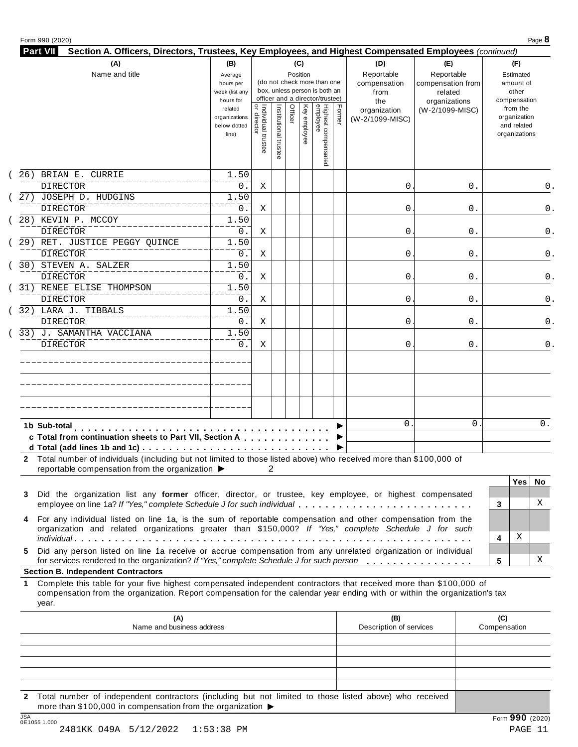| Section A. Officers, Directors, Trustees, Key Employees, and Highest Compensated Employees (continued)<br>(A)              | (B)            |                                           |                       |         | (C)          |                                 |        | (D)                     | (E)               | (F)               |
|----------------------------------------------------------------------------------------------------------------------------|----------------|-------------------------------------------|-----------------------|---------|--------------|---------------------------------|--------|-------------------------|-------------------|-------------------|
| Name and title                                                                                                             | Average        |                                           |                       |         | Position     |                                 |        | Reportable              | Reportable        | Estimated         |
|                                                                                                                            | hours per      |                                           |                       |         |              | (do not check more than one     |        | compensation            | compensation from | amount of         |
|                                                                                                                            | week (list any |                                           |                       |         |              | box, unless person is both an   |        | from                    | related           | other             |
|                                                                                                                            | hours for      |                                           |                       |         |              | officer and a director/trustee) |        | the                     | organizations     | compensation      |
|                                                                                                                            | related        |                                           |                       | Officer |              |                                 | Former | organization            | (W-2/1099-MISC)   | from the          |
|                                                                                                                            | organizations  |                                           |                       |         |              |                                 |        | (W-2/1099-MISC)         |                   | organization      |
|                                                                                                                            | below dotted   |                                           |                       |         |              |                                 |        |                         |                   | and related       |
|                                                                                                                            | line)          | <br>  Individual trustee<br>  or director | Institutional trustee |         | Key employee |                                 |        |                         |                   | organizations     |
|                                                                                                                            |                |                                           |                       |         |              |                                 |        |                         |                   |                   |
|                                                                                                                            |                |                                           |                       |         |              | Highest compensated<br>employee |        |                         |                   |                   |
| 26) BRIAN E. CURRIE                                                                                                        |                |                                           |                       |         |              |                                 |        |                         |                   |                   |
|                                                                                                                            | 1.50           |                                           |                       |         |              |                                 |        |                         |                   |                   |
| <b>DIRECTOR</b>                                                                                                            | $0$ .          | Χ                                         |                       |         |              |                                 |        | 0                       | 0.                |                   |
| 27) JOSEPH D. HUDGINS                                                                                                      | 1.50           |                                           |                       |         |              |                                 |        |                         |                   |                   |
| <b>DIRECTOR</b>                                                                                                            | 0.             | Χ                                         |                       |         |              |                                 |        | 0                       | 0.                |                   |
| 28) KEVIN P. MCCOY                                                                                                         | 1.50           |                                           |                       |         |              |                                 |        |                         |                   |                   |
| <b>DIRECTOR</b>                                                                                                            | 0.             | X                                         |                       |         |              |                                 |        | 0                       | 0.                |                   |
|                                                                                                                            |                |                                           |                       |         |              |                                 |        |                         |                   |                   |
| 29) RET. JUSTICE PEGGY QUINCE                                                                                              | 1.50           |                                           |                       |         |              |                                 |        |                         |                   |                   |
| <b>DIRECTOR</b>                                                                                                            | 0.             | Χ                                         |                       |         |              |                                 |        | 0                       | 0.                |                   |
| 30) STEVEN A. SALZER                                                                                                       | 1.50           |                                           |                       |         |              |                                 |        |                         |                   |                   |
| DIRECTOR                                                                                                                   | 0.             | Χ                                         |                       |         |              |                                 |        | 0                       | 0.                |                   |
|                                                                                                                            |                |                                           |                       |         |              |                                 |        |                         |                   |                   |
| 31) RENEE ELISE THOMPSON                                                                                                   | 1.50           |                                           |                       |         |              |                                 |        |                         |                   |                   |
| <b>DIRECTOR</b>                                                                                                            | 0.             | Χ                                         |                       |         |              |                                 |        | 0                       | 0.                |                   |
| 32) LARA J. TIBBALS                                                                                                        | 1.50           |                                           |                       |         |              |                                 |        |                         |                   |                   |
| <b>DIRECTOR</b>                                                                                                            | 0.             | X                                         |                       |         |              |                                 |        | 0                       | 0.                |                   |
| 33) J. SAMANTHA VACCIANA                                                                                                   | 1.50           |                                           |                       |         |              |                                 |        |                         |                   |                   |
|                                                                                                                            |                |                                           |                       |         |              |                                 |        |                         |                   |                   |
| <b>DIRECTOR</b>                                                                                                            | $0$ .          | Χ                                         |                       |         |              |                                 |        | 0                       | 0.                |                   |
|                                                                                                                            |                |                                           |                       |         |              |                                 |        |                         |                   |                   |
|                                                                                                                            |                |                                           |                       |         |              |                                 |        |                         |                   |                   |
|                                                                                                                            |                |                                           |                       |         |              |                                 |        |                         |                   |                   |
|                                                                                                                            |                |                                           |                       |         |              |                                 |        |                         |                   |                   |
|                                                                                                                            |                |                                           |                       |         |              |                                 |        |                         |                   |                   |
|                                                                                                                            |                |                                           |                       |         |              |                                 |        |                         |                   |                   |
|                                                                                                                            |                |                                           |                       |         |              |                                 |        |                         |                   |                   |
| 1b Sub-total                                                                                                               |                |                                           |                       |         |              |                                 |        | $\mathbf{0}$            | 0                 | 0.                |
| c Total from continuation sheets to Part VII, Section A                                                                    |                |                                           |                       |         |              |                                 |        |                         |                   |                   |
|                                                                                                                            |                |                                           |                       |         |              |                                 |        |                         |                   |                   |
|                                                                                                                            |                |                                           |                       |         |              |                                 |        |                         |                   |                   |
| 2 Total number of individuals (including but not limited to those listed above) who received more than \$100,000 of        |                |                                           |                       |         |              |                                 |        |                         |                   |                   |
| reportable compensation from the organization ▶                                                                            |                | 2                                         |                       |         |              |                                 |        |                         |                   |                   |
|                                                                                                                            |                |                                           |                       |         |              |                                 |        |                         |                   | <b>Yes</b><br>No. |
| Did the organization list any former officer, director, or trustee, key employee, or highest compensated                   |                |                                           |                       |         |              |                                 |        |                         |                   |                   |
| 3<br>employee on line 1a? If "Yes," complete Schedule J for such individual                                                |                |                                           |                       |         |              |                                 |        |                         |                   | X<br>3            |
|                                                                                                                            |                |                                           |                       |         |              |                                 |        |                         |                   |                   |
| For any individual listed on line 1a, is the sum of reportable compensation and other compensation from the<br>4           |                |                                           |                       |         |              |                                 |        |                         |                   |                   |
| organization and related organizations greater than \$150,000? If "Yes," complete Schedule J for such                      |                |                                           |                       |         |              |                                 |        |                         |                   |                   |
|                                                                                                                            |                |                                           |                       |         |              |                                 |        |                         |                   | Χ<br>4            |
| Did any person listed on line 1a receive or accrue compensation from any unrelated organization or individual              |                |                                           |                       |         |              |                                 |        |                         |                   |                   |
| 5.<br>for services rendered to the organization? If "Yes," complete Schedule J for such person                             |                |                                           |                       |         |              |                                 |        |                         |                   | х<br>5            |
|                                                                                                                            |                |                                           |                       |         |              |                                 |        |                         |                   |                   |
| <b>Section B. Independent Contractors</b>                                                                                  |                |                                           |                       |         |              |                                 |        |                         |                   |                   |
| Complete this table for your five highest compensated independent contractors that received more than \$100,000 of         |                |                                           |                       |         |              |                                 |        |                         |                   |                   |
| compensation from the organization. Report compensation for the calendar year ending with or within the organization's tax |                |                                           |                       |         |              |                                 |        |                         |                   |                   |
| year.                                                                                                                      |                |                                           |                       |         |              |                                 |        |                         |                   |                   |
|                                                                                                                            |                |                                           |                       |         |              |                                 |        |                         |                   |                   |
| (A)                                                                                                                        |                |                                           |                       |         |              |                                 |        | (B)                     |                   | (C)               |
| Name and business address                                                                                                  |                |                                           |                       |         |              |                                 |        | Description of services |                   | Compensation      |
|                                                                                                                            |                |                                           |                       |         |              |                                 |        |                         |                   |                   |
|                                                                                                                            |                |                                           |                       |         |              |                                 |        |                         |                   |                   |
|                                                                                                                            |                |                                           |                       |         |              |                                 |        |                         |                   |                   |
|                                                                                                                            |                |                                           |                       |         |              |                                 |        |                         |                   |                   |

**2** Total number of independent contractors (including but not limited to those listed above) who received more than \$100,000 in compensation from the organization  $\blacktriangleright$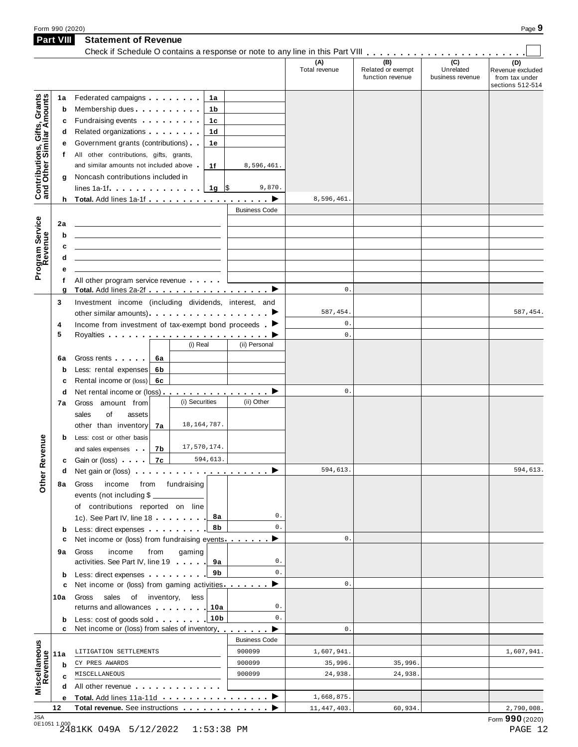| Form 990 (2020)  |                             | Page |
|------------------|-----------------------------|------|
| <b>Part VIII</b> | <b>Statement of Revenue</b> |      |

|                                                           | <b>Part VIII</b> | Statement of Revenue                                                                                                                                                                                                                        |                      |                      |                                              |                                                 |                                                               |
|-----------------------------------------------------------|------------------|---------------------------------------------------------------------------------------------------------------------------------------------------------------------------------------------------------------------------------------------|----------------------|----------------------|----------------------------------------------|-------------------------------------------------|---------------------------------------------------------------|
|                                                           |                  |                                                                                                                                                                                                                                             |                      | (A)<br>Total revenue | (B)<br>Related or exempt<br>function revenue | $\overline{C}$<br>Unrelated<br>business revenue | (D)<br>Revenue excluded<br>from tax under<br>sections 512-514 |
|                                                           | 1a               | Federated campaigns <b>Federated</b><br>1а                                                                                                                                                                                                  |                      |                      |                                              |                                                 |                                                               |
| Contributions, Gifts, Grants<br>and Other Similar Amounts | b                | Membership dues <b>All Accords</b> Membership dues<br>1b                                                                                                                                                                                    |                      |                      |                                              |                                                 |                                                               |
|                                                           | c                | Fundraising events <b>Fundraising</b><br>1c                                                                                                                                                                                                 |                      |                      |                                              |                                                 |                                                               |
|                                                           | d                | Related organizations <b>and the set of the set of the set of the set of the set of the set of the set of the set of the set of the set of the set of the set of the set of the set of the set of the set of the set of the set </b><br>1d  |                      |                      |                                              |                                                 |                                                               |
|                                                           | е                | Government grants (contributions)<br>1e                                                                                                                                                                                                     |                      |                      |                                              |                                                 |                                                               |
|                                                           | t.               | All other contributions, gifts, grants,                                                                                                                                                                                                     |                      |                      |                                              |                                                 |                                                               |
|                                                           |                  | and similar amounts not included above.<br>1f                                                                                                                                                                                               | 8,596,461.           |                      |                                              |                                                 |                                                               |
|                                                           | g                | Noncash contributions included in                                                                                                                                                                                                           |                      |                      |                                              |                                                 |                                                               |
|                                                           |                  | lines 1a-1f $\ldots$ $\ldots$ $\ldots$ $\frac{1}{9}$ \$                                                                                                                                                                                     | 9,870.               |                      |                                              |                                                 |                                                               |
|                                                           |                  | h Total. Add lines 1a-1f $\ldots$ , $\ldots$ , $\ldots$ , $\blacktriangleright$                                                                                                                                                             |                      | 8,596,461.           |                                              |                                                 |                                                               |
|                                                           |                  |                                                                                                                                                                                                                                             | <b>Business Code</b> |                      |                                              |                                                 |                                                               |
|                                                           | 2a               |                                                                                                                                                                                                                                             |                      |                      |                                              |                                                 |                                                               |
|                                                           | b                |                                                                                                                                                                                                                                             |                      |                      |                                              |                                                 |                                                               |
| Program Service<br>Revenue                                | c                |                                                                                                                                                                                                                                             |                      |                      |                                              |                                                 |                                                               |
|                                                           | d                |                                                                                                                                                                                                                                             |                      |                      |                                              |                                                 |                                                               |
|                                                           | е                |                                                                                                                                                                                                                                             |                      |                      |                                              |                                                 |                                                               |
|                                                           | f                | All other program service revenue                                                                                                                                                                                                           |                      |                      |                                              |                                                 |                                                               |
|                                                           | g                | Total. Add lines 2a-2f ▶                                                                                                                                                                                                                    |                      | $0$ .                |                                              |                                                 |                                                               |
|                                                           | 3                | Investment income (including dividends, interest, and                                                                                                                                                                                       |                      |                      |                                              |                                                 |                                                               |
|                                                           |                  |                                                                                                                                                                                                                                             |                      | 587,454.             |                                              |                                                 | 587,454.                                                      |
|                                                           | 4                | Income from investment of tax-exempt bond proceeds $\blacktriangleright$                                                                                                                                                                    |                      | 0.                   |                                              |                                                 |                                                               |
|                                                           | 5                |                                                                                                                                                                                                                                             |                      | 0.                   |                                              |                                                 |                                                               |
|                                                           |                  | (i) Real                                                                                                                                                                                                                                    | (ii) Personal        |                      |                                              |                                                 |                                                               |
|                                                           | 6a               | Gross rents [19]<br>6а                                                                                                                                                                                                                      |                      |                      |                                              |                                                 |                                                               |
|                                                           | b                | Less: rental expenses<br>6b                                                                                                                                                                                                                 |                      |                      |                                              |                                                 |                                                               |
|                                                           | c                | Rental income or (loss) 6c                                                                                                                                                                                                                  |                      |                      |                                              |                                                 |                                                               |
|                                                           | d                | Net rental income or (loss) ▶                                                                                                                                                                                                               |                      | 0.                   |                                              |                                                 |                                                               |
|                                                           | 7а               | (i) Securities<br>Gross amount from                                                                                                                                                                                                         | (ii) Other           |                      |                                              |                                                 |                                                               |
|                                                           |                  | sales<br>of<br>assets                                                                                                                                                                                                                       |                      |                      |                                              |                                                 |                                                               |
|                                                           |                  | 18, 164, 787.<br>other than inventory<br>7a                                                                                                                                                                                                 |                      |                      |                                              |                                                 |                                                               |
|                                                           | b                | Less: cost or other basis                                                                                                                                                                                                                   |                      |                      |                                              |                                                 |                                                               |
| evenue                                                    |                  | 17,570,174.<br>and sales expenses<br>7b                                                                                                                                                                                                     |                      |                      |                                              |                                                 |                                                               |
|                                                           |                  | 594,613.<br>7c<br><b>c</b> Gain or (loss) and a                                                                                                                                                                                             |                      |                      |                                              |                                                 |                                                               |
|                                                           | d                |                                                                                                                                                                                                                                             |                      | 594,613.             |                                              |                                                 | 594,613.                                                      |
| Other <sub>R</sub>                                        | 8а               | income from fundraising<br>Gross                                                                                                                                                                                                            |                      |                      |                                              |                                                 |                                                               |
|                                                           |                  | events (not including \$                                                                                                                                                                                                                    |                      |                      |                                              |                                                 |                                                               |
|                                                           |                  | of contributions reported on line                                                                                                                                                                                                           |                      |                      |                                              |                                                 |                                                               |
|                                                           |                  | 8а<br>1c). See Part IV, line 18                                                                                                                                                                                                             | 0.                   |                      |                                              |                                                 |                                                               |
|                                                           | b                | 8b<br>Less: direct expenses                                                                                                                                                                                                                 | $0$ .                |                      |                                              |                                                 |                                                               |
|                                                           | с                | Net income or (loss) from fundraising events.                                                                                                                                                                                               | ▶                    | $0$ .                |                                              |                                                 |                                                               |
|                                                           | 9а               | income<br>from<br>gaming<br>Gross                                                                                                                                                                                                           |                      |                      |                                              |                                                 |                                                               |
|                                                           |                  | activities. See Part IV, line 19<br>9а                                                                                                                                                                                                      | 0.                   |                      |                                              |                                                 |                                                               |
|                                                           | b                | 9b<br>Less: direct expenses                                                                                                                                                                                                                 | $0$ .                |                      |                                              |                                                 |                                                               |
|                                                           | c                | Net income or (loss) from gaming activities.                                                                                                                                                                                                | ▸                    | 0.                   |                                              |                                                 |                                                               |
|                                                           | 10a              | Gross sales of inventory,<br>less                                                                                                                                                                                                           |                      |                      |                                              |                                                 |                                                               |
|                                                           |                  | returns and allowances <b>the control of the control of the control of the control of the control of the control of the control of the control of the control of the control of the control of the control of the control of the</b><br>10a | 0.                   |                      |                                              |                                                 |                                                               |
|                                                           | b                | 10 <sub>b</sub><br>Less: cost of goods sold                                                                                                                                                                                                 | 0.                   |                      |                                              |                                                 |                                                               |
|                                                           | c                | Net income or (loss) from sales of inventory                                                                                                                                                                                                | ▸                    | $0$ .                |                                              |                                                 |                                                               |
|                                                           |                  |                                                                                                                                                                                                                                             | <b>Business Code</b> |                      |                                              |                                                 |                                                               |
|                                                           | 11a              | LITIGATION SETTLEMENTS                                                                                                                                                                                                                      | 900099               | 1,607,941.           |                                              |                                                 | 1,607,941.                                                    |
|                                                           |                  |                                                                                                                                                                                                                                             | 900099               | 35,996.              | 35,996.                                      |                                                 |                                                               |
|                                                           | b                | CY PRES AWARDS                                                                                                                                                                                                                              |                      |                      |                                              |                                                 |                                                               |
|                                                           | c                | MISCELLANEOUS                                                                                                                                                                                                                               | 900099               | 24,938.              | 24,938.                                      |                                                 |                                                               |
|                                                           | d                | All other revenue entitled and the set of the set of the set of the set of the set of the set of the set of the                                                                                                                             |                      |                      |                                              |                                                 |                                                               |
| Miscellaneous<br>Revenue                                  | е                | Total. Add lines 11a-11d ▶                                                                                                                                                                                                                  |                      | 1,668,875.           |                                              |                                                 |                                                               |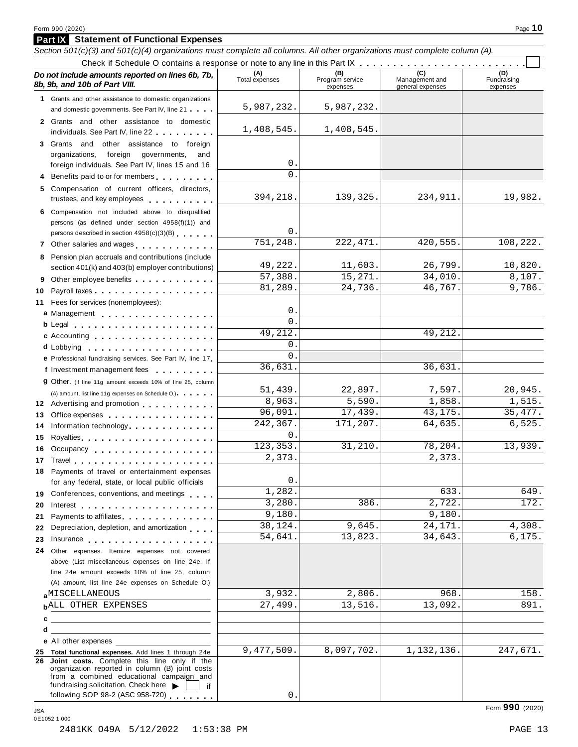**Part IX Statement of Functional Expenses**

|    | Section 501(c)(3) and 501(c)(4) organizations must complete all columns. All other organizations must complete column (A).                                                                                                     |                       |                                    |                                    |                                |
|----|--------------------------------------------------------------------------------------------------------------------------------------------------------------------------------------------------------------------------------|-----------------------|------------------------------------|------------------------------------|--------------------------------|
|    |                                                                                                                                                                                                                                |                       |                                    | (C)                                |                                |
|    | Do not include amounts reported on lines 6b, 7b,<br>8b, 9b, and 10b of Part VIII.                                                                                                                                              | (A)<br>Total expenses | (B)<br>Program service<br>expenses | Management and<br>general expenses | (D)<br>Fundraising<br>expenses |
|    | 1 Grants and other assistance to domestic organizations                                                                                                                                                                        |                       |                                    |                                    |                                |
|    | and domestic governments. See Part IV, line 21                                                                                                                                                                                 | 5,987,232.            | 5,987,232.                         |                                    |                                |
|    | 2 Grants and other assistance to domestic<br>individuals. See Part IV, line 22                                                                                                                                                 | 1,408,545.            | 1,408,545.                         |                                    |                                |
|    | 3 Grants and other assistance to foreign                                                                                                                                                                                       |                       |                                    |                                    |                                |
|    | organizations,<br>foreign<br>governments,<br>and                                                                                                                                                                               |                       |                                    |                                    |                                |
|    | foreign individuals. See Part IV, lines 15 and 16                                                                                                                                                                              | 0                     |                                    |                                    |                                |
|    | 4 Benefits paid to or for members                                                                                                                                                                                              | 0                     |                                    |                                    |                                |
|    | 5 Compensation of current officers, directors,<br>trustees, and key employees expressed and the state of                                                                                                                       | 394,218.              | 139,325.                           | 234,911.                           | 19,982.                        |
|    | 6 Compensation not included above to disqualified                                                                                                                                                                              |                       |                                    |                                    |                                |
|    | persons (as defined under section 4958(f)(1)) and                                                                                                                                                                              |                       |                                    |                                    |                                |
|    | persons described in section 4958(c)(3)(B)                                                                                                                                                                                     | 0                     |                                    |                                    |                                |
|    | 7 Other salaries and wages <b>contained contained contained contained contained contained </b>                                                                                                                                 | 751,248.              | 222, 471.                          | 420,555.                           | 108,222.                       |
|    | 8 Pension plan accruals and contributions (include                                                                                                                                                                             |                       |                                    |                                    |                                |
|    | section 401(k) and 403(b) employer contributions)                                                                                                                                                                              | 49,222.               | 11,603.                            | 26,799.                            | 10,820.<br>8,107.              |
|    | 9 Other employee benefits                                                                                                                                                                                                      | 57,388.<br>81,289.    | 15,271.<br>24,736.                 | 34,010.<br>46,767.                 | 9,786.                         |
| 10 | Payroll taxes                                                                                                                                                                                                                  |                       |                                    |                                    |                                |
|    | 11 Fees for services (nonemployees):                                                                                                                                                                                           | 0                     |                                    |                                    |                                |
|    | a Management                                                                                                                                                                                                                   | 0                     |                                    |                                    |                                |
|    |                                                                                                                                                                                                                                | 49,212.               |                                    | 49,212.                            |                                |
|    | c Accounting experience and a series are a series of the series of the series of the series of the series of the series of the series of the series of the series of the series of the series of the series of the series of t | $\Omega$              |                                    |                                    |                                |
|    | d Lobbying<br>e Professional fundraising services. See Part IV, line 17                                                                                                                                                        | $\Omega$              |                                    |                                    |                                |
|    | f Investment management fees                                                                                                                                                                                                   | 36,631.               |                                    | 36,631.                            |                                |
|    | 9 Other. (If line 11g amount exceeds 10% of line 25, column                                                                                                                                                                    |                       |                                    |                                    |                                |
|    | (A) amount, list line 11g expenses on Schedule O.)                                                                                                                                                                             | 51,439.               | 22,897.                            | 7,597.                             | 20,945.                        |
|    | 12 Advertising and promotion                                                                                                                                                                                                   | 8,963.                | 5,590.                             | 1,858.                             | 1,515.                         |
| 13 | Office expenses example.                                                                                                                                                                                                       | 96,091.               | 17,439.                            | 43,175.                            | 35, 477.                       |
| 14 | Information technology                                                                                                                                                                                                         | 242,367.              | 171,207.                           | 64,635.                            | 6,525.                         |
| 15 | Royalties <b>Royalties Royalties Royalties Royalties</b>                                                                                                                                                                       | $\Omega$              |                                    |                                    |                                |
| 16 | Occupancy                                                                                                                                                                                                                      | 123,353.              | 31,210.                            | 78,204.                            | 13,939.                        |
|    |                                                                                                                                                                                                                                | 2,373.                |                                    | 2,373.                             |                                |
| 18 | Payments of travel or entertainment expenses                                                                                                                                                                                   |                       |                                    |                                    |                                |
|    | for any federal, state, or local public officials                                                                                                                                                                              | 0                     |                                    |                                    |                                |
|    | 19 Conferences, conventions, and meetings                                                                                                                                                                                      | 1,282.                |                                    | 633.                               | 649.                           |
| 20 |                                                                                                                                                                                                                                | 3,280.                | 386.                               | 2,722.                             | 172.                           |
| 21 | Payments to affiliates <b>All Accords</b> Payments to affiliates                                                                                                                                                               | 9,180.<br>38,124.     | 9,645.                             | 9,180.<br>24,171.                  | 4,308.                         |
| 22 | Depreciation, depletion, and amortization                                                                                                                                                                                      | 54,641.               | 13,823.                            | 34,643.                            | 6,175.                         |
| 23 | Insurance                                                                                                                                                                                                                      |                       |                                    |                                    |                                |
|    | 24 Other expenses. Itemize expenses not covered<br>above (List miscellaneous expenses on line 24e. If                                                                                                                          |                       |                                    |                                    |                                |
|    | line 24e amount exceeds 10% of line 25, column                                                                                                                                                                                 |                       |                                    |                                    |                                |
|    | (A) amount, list line 24e expenses on Schedule O.)                                                                                                                                                                             |                       |                                    |                                    |                                |
|    | aMISCELLANEOUS                                                                                                                                                                                                                 | 3,932.                | 2,806.                             | 968.                               | 158.                           |
|    | <b>bALL OTHER EXPENSES</b>                                                                                                                                                                                                     | 27,499.               | 13,516.                            | 13,092.                            | 891.                           |
| c  |                                                                                                                                                                                                                                |                       |                                    |                                    |                                |
| d  |                                                                                                                                                                                                                                |                       |                                    |                                    |                                |
|    | e All other expenses                                                                                                                                                                                                           |                       |                                    |                                    |                                |
|    | 25 Total functional expenses. Add lines 1 through 24e                                                                                                                                                                          | 9,477,509.            | 8,097,702.                         | 1,132,136.                         | 247,671.                       |
|    | 26 Joint costs. Complete this line only if the<br>organization reported in column (B) joint costs<br>from a combined educational campaign and<br>fundraising solicitation. Check here<br>if                                    |                       |                                    |                                    |                                |
|    | following SOP 98-2 (ASC 958-720)                                                                                                                                                                                               | 0                     |                                    |                                    |                                |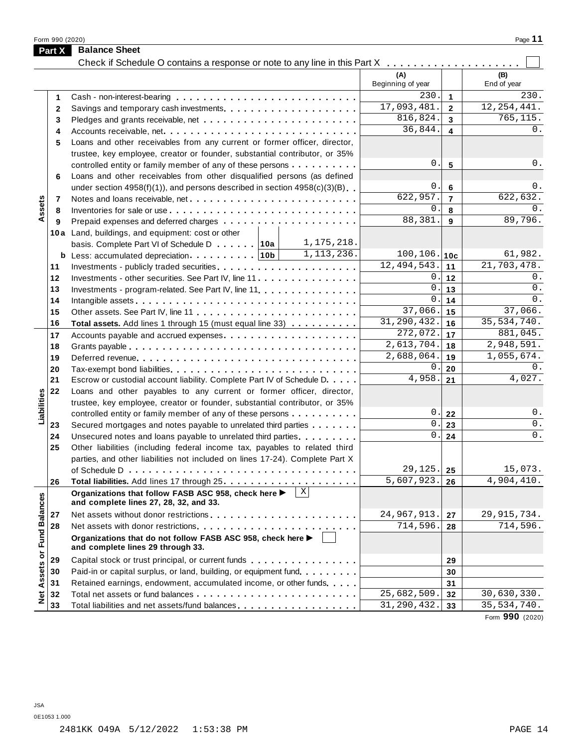Form <sup>990</sup> (2020) Page **11**

|                      | <b>Part X</b> | <b>Balance Sheet</b><br>Check if Schedule O contains a response or note to any line in this Part X                                                         |                           |                         |               |
|----------------------|---------------|------------------------------------------------------------------------------------------------------------------------------------------------------------|---------------------------|-------------------------|---------------|
|                      |               |                                                                                                                                                            | (A)                       |                         | (B)           |
|                      |               |                                                                                                                                                            | Beginning of year         |                         | End of year   |
|                      | 1             |                                                                                                                                                            | 230.                      | $\mathbf{1}$            | 230.          |
|                      | $\mathbf{2}$  |                                                                                                                                                            | 17,093,481.               | $\overline{2}$          | 12, 254, 441. |
|                      | 3             |                                                                                                                                                            | 816,824.                  | $\mathbf{3}$            | 765,115.      |
|                      | 4             |                                                                                                                                                            | 36,844.                   | $\overline{\mathbf{4}}$ | 0.            |
|                      | 5             | Loans and other receivables from any current or former officer, director,                                                                                  |                           |                         |               |
|                      |               | trustee, key employee, creator or founder, substantial contributor, or 35%                                                                                 |                           |                         |               |
|                      |               | controlled entity or family member of any of these persons                                                                                                 | 0.                        | 5                       | 0.            |
|                      | 6             | Loans and other receivables from other disqualified persons (as defined                                                                                    |                           |                         |               |
|                      |               | under section $4958(f)(1)$ , and persons described in section $4958(c)(3)(B)$                                                                              | 0.                        | $\bf 6$                 | 0.            |
|                      | 7             |                                                                                                                                                            | 622,957.                  | $\overline{7}$          | 622,632.      |
| Assets               | 8             |                                                                                                                                                            | 0.                        | 8                       | 0.            |
|                      | 9             |                                                                                                                                                            | 88,381.                   | $\mathbf{9}$            | 89,796.       |
|                      |               | 10a Land, buildings, and equipment: cost or other                                                                                                          |                           |                         |               |
|                      |               | 1,175,218.<br>basis. Complete Part VI of Schedule D 10a                                                                                                    |                           |                         |               |
|                      |               | 1, 113, 236.                                                                                                                                               | $100, 106.$ 10c           |                         | 61,982.       |
|                      | 11            |                                                                                                                                                            | 12,494,543.               | 11                      | 21,703,478.   |
|                      | 12            | Investments - other securities. See Part IV, line 11                                                                                                       | 0.1                       | 12                      | 0.            |
|                      | 13            | Investments - program-related. See Part IV, line 11.                                                                                                       | 0.                        | 13                      | $0$ .         |
|                      | 14            |                                                                                                                                                            | 0.                        | 14                      | 0.            |
|                      | 15            |                                                                                                                                                            | 37,066.                   | 15                      | 37,066.       |
|                      | 16            | Total assets. Add lines 1 through 15 (must equal line 33)                                                                                                  | $\overline{31,290,432}$ . | 16                      | 35, 534, 740. |
|                      | 17            |                                                                                                                                                            | 272,072.                  | 17                      | 881,045.      |
|                      | 18            |                                                                                                                                                            | 2,613,704.                | 18                      | 2,948,591.    |
|                      | 19            |                                                                                                                                                            | 2,688,064.                | 19                      | 1,055,674.    |
|                      | 20            |                                                                                                                                                            | 0.                        | 20                      | 0.<br>4,027.  |
|                      | 21            | Escrow or custodial account liability. Complete Part IV of Schedule D.                                                                                     | 4,958.                    | 21                      |               |
| Liabilities          | 22            | Loans and other payables to any current or former officer, director,                                                                                       |                           |                         |               |
|                      |               | trustee, key employee, creator or founder, substantial contributor, or 35%                                                                                 | 0.                        |                         | 0.            |
|                      |               | controlled entity or family member of any of these persons                                                                                                 | 0.                        | 22                      | $0$ .         |
|                      | 23            | Secured mortgages and notes payable to unrelated third parties                                                                                             | $\boldsymbol{0}$ .        | 23                      | 0.            |
|                      | 24<br>25      | Unsecured notes and loans payable to unrelated third parties                                                                                               |                           | 24                      |               |
|                      |               | Other liabilities (including federal income tax, payables to related third<br>parties, and other liabilities not included on lines 17-24). Complete Part X |                           |                         |               |
|                      |               |                                                                                                                                                            | 29,125.                   | 25                      | 15,073.       |
|                      | 26            |                                                                                                                                                            | 5,607,923.                | 26                      | 4,904,410.    |
|                      |               | X <br>Organizations that follow FASB ASC 958, check here ▶                                                                                                 |                           |                         |               |
|                      |               | and complete lines 27, 28, 32, and 33.                                                                                                                     |                           |                         |               |
|                      | 27            |                                                                                                                                                            | 24,967,913.               | 27                      | 29, 915, 734. |
|                      | 28            |                                                                                                                                                            | 714,596.                  | 28                      | 714,596.      |
| <b>Fund Balances</b> |               | Organizations that do not follow FASB ASC 958, check here ▶<br>and complete lines 29 through 33.                                                           |                           |                         |               |
| Net Assets or        | 29            | Capital stock or trust principal, or current funds                                                                                                         |                           | 29                      |               |
|                      | 30            | Paid-in or capital surplus, or land, building, or equipment fund.                                                                                          |                           | 30                      |               |
|                      | 31            | Retained earnings, endowment, accumulated income, or other funds                                                                                           |                           | 31                      |               |
|                      | 32            |                                                                                                                                                            | $\overline{25,682,509}$ . | 32                      | 30,630,330.   |
|                      | 33            | Total liabilities and net assets/fund balances                                                                                                             | 31, 290, 432.             | 33                      | 35, 534, 740. |

Form **990** (2020)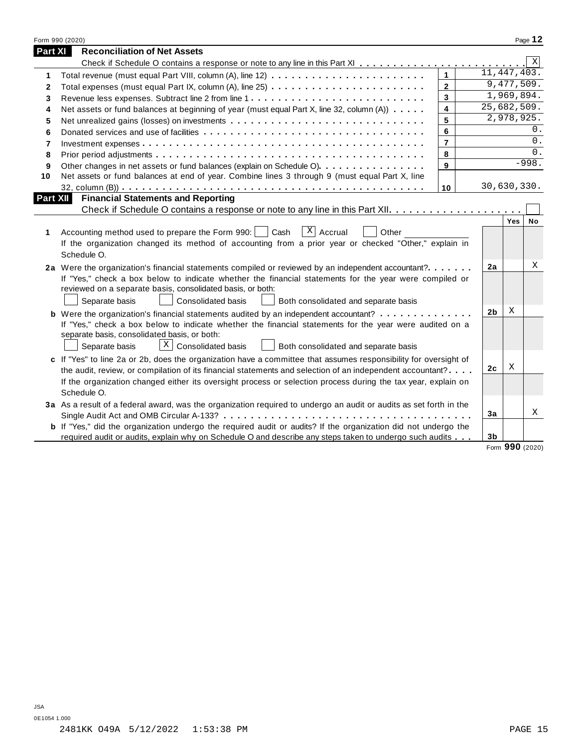|              | Form 990 (2020)                                                                                                       |                         |                |                 | Page 12 |
|--------------|-----------------------------------------------------------------------------------------------------------------------|-------------------------|----------------|-----------------|---------|
| Part XI      | <b>Reconciliation of Net Assets</b>                                                                                   |                         |                |                 |         |
|              |                                                                                                                       |                         |                |                 | X       |
| 1            |                                                                                                                       | $\mathbf{1}$            |                | 11, 447, 403.   |         |
| $\mathbf{2}$ |                                                                                                                       | $\overline{2}$          |                | 9,477,509.      |         |
| 3            |                                                                                                                       | 3                       |                | 1,969,894.      |         |
| 4            | Net assets or fund balances at beginning of year (must equal Part X, line 32, column (A))                             | $\overline{\mathbf{4}}$ |                | 25,682,509.     |         |
| 5            |                                                                                                                       | 5                       |                | 2,978,925.      |         |
| 6            |                                                                                                                       | 6                       |                |                 | $0$ .   |
| 7            |                                                                                                                       | $\overline{\mathbf{r}}$ |                |                 | 0.      |
| 8            |                                                                                                                       | 8                       |                |                 | 0.      |
| 9            | Other changes in net assets or fund balances (explain on Schedule O).                                                 | 9                       |                |                 | $-998.$ |
| 10           | Net assets or fund balances at end of year. Combine lines 3 through 9 (must equal Part X, line                        |                         |                |                 |         |
|              |                                                                                                                       | 10                      |                | 30,630,330.     |         |
| Part XII     | <b>Financial Statements and Reporting</b>                                                                             |                         |                |                 |         |
|              |                                                                                                                       |                         |                |                 |         |
|              |                                                                                                                       |                         |                | Yes             | No      |
| 1            | $X$ Accrual<br>Accounting method used to prepare the Form 990:<br>Cash<br>Other                                       |                         |                |                 |         |
|              | If the organization changed its method of accounting from a prior year or checked "Other," explain in                 |                         |                |                 |         |
|              | Schedule O.                                                                                                           |                         |                |                 |         |
|              | 2a Were the organization's financial statements compiled or reviewed by an independent accountant?                    |                         | 2a             |                 | X       |
|              | If "Yes," check a box below to indicate whether the financial statements for the year were compiled or                |                         |                |                 |         |
|              | reviewed on a separate basis, consolidated basis, or both:                                                            |                         |                |                 |         |
|              | Separate basis<br>Consolidated basis<br>Both consolidated and separate basis                                          |                         |                |                 |         |
|              | <b>b</b> Were the organization's financial statements audited by an independent accountant?                           |                         | 2 <sub>b</sub> | X               |         |
|              | If "Yes," check a box below to indicate whether the financial statements for the year were audited on a               |                         |                |                 |         |
|              | separate basis, consolidated basis, or both:                                                                          |                         |                |                 |         |
|              | $X \mid$<br>Consolidated basis<br>Both consolidated and separate basis<br>Separate basis                              |                         |                |                 |         |
|              | c If "Yes" to line 2a or 2b, does the organization have a committee that assumes responsibility for oversight of      |                         |                |                 |         |
|              | the audit, review, or compilation of its financial statements and selection of an independent accountant?             |                         | 2 <sub>c</sub> | Χ               |         |
|              | If the organization changed either its oversight process or selection process during the tax year, explain on         |                         |                |                 |         |
|              | Schedule O.                                                                                                           |                         |                |                 |         |
|              | 3a As a result of a federal award, was the organization required to undergo an audit or audits as set forth in the    |                         |                |                 |         |
|              |                                                                                                                       |                         | 3a             |                 | X       |
|              | <b>b</b> If "Yes," did the organization undergo the required audit or audits? If the organization did not undergo the |                         |                |                 |         |
|              | required audit or audits, explain why on Schedule O and describe any steps taken to undergo such audits               |                         | 3 <sub>b</sub> |                 |         |
|              |                                                                                                                       |                         |                | Form 990 (2020) |         |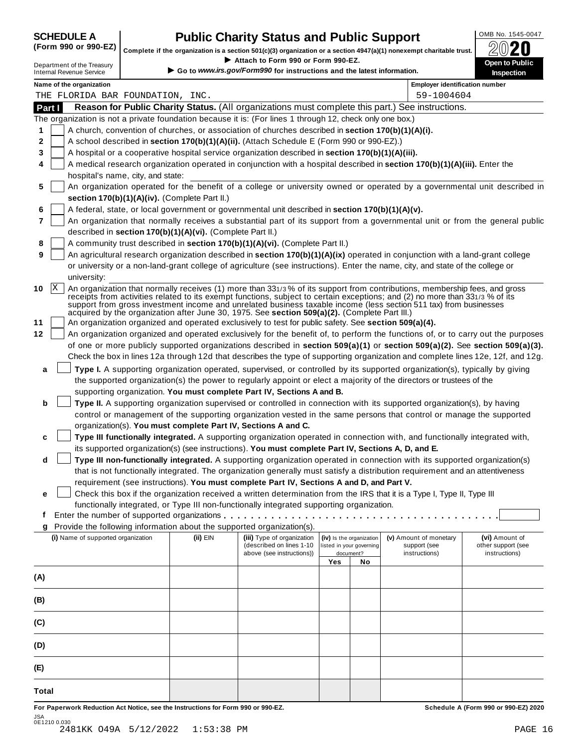### **CHEDULE A Public Charity Status and Public Support**  $\frac{100\text{dB No. }1545-0047}{000\text{dB No.}}$

(Form 990 or 990-EZ) complete if the organization is a section 501(c)(3) organization or a section 4947(a)(1) nonexempt charitable trust.  $2020$ 

|       |                 |                                                               |                                                            | Attach to Form 990 or Form 990-EZ.                                                                        |     |                          | Complete if the organization is a section 501(c)(3) organization or a section $4947(a)(1)$ nonexempt charitable trust.                                                                                                                            | BWŁU                                                                                                                             |
|-------|-----------------|---------------------------------------------------------------|------------------------------------------------------------|-----------------------------------------------------------------------------------------------------------|-----|--------------------------|---------------------------------------------------------------------------------------------------------------------------------------------------------------------------------------------------------------------------------------------------|----------------------------------------------------------------------------------------------------------------------------------|
|       |                 | Department of the Treasury<br><b>Internal Revenue Service</b> |                                                            | Go to www.irs.gov/Form990 for instructions and the latest information.                                    |     |                          |                                                                                                                                                                                                                                                   | Open to Public<br>Inspection                                                                                                     |
|       |                 | Name of the organization                                      |                                                            |                                                                                                           |     |                          | <b>Employer identification number</b>                                                                                                                                                                                                             |                                                                                                                                  |
|       |                 | THE FLORIDA BAR FOUNDATION, INC.                              |                                                            |                                                                                                           |     |                          | 59-1004604                                                                                                                                                                                                                                        |                                                                                                                                  |
|       | Part I          |                                                               |                                                            |                                                                                                           |     |                          | Reason for Public Charity Status. (All organizations must complete this part.) See instructions.                                                                                                                                                  |                                                                                                                                  |
|       |                 |                                                               |                                                            | The organization is not a private foundation because it is: (For lines 1 through 12, check only one box.) |     |                          |                                                                                                                                                                                                                                                   |                                                                                                                                  |
| 1     |                 |                                                               |                                                            | A church, convention of churches, or association of churches described in section 170(b)(1)(A)(i).        |     |                          |                                                                                                                                                                                                                                                   |                                                                                                                                  |
| 2     |                 |                                                               |                                                            | A school described in section 170(b)(1)(A)(ii). (Attach Schedule E (Form 990 or 990-EZ).)                 |     |                          |                                                                                                                                                                                                                                                   |                                                                                                                                  |
| 3     |                 |                                                               |                                                            | A hospital or a cooperative hospital service organization described in section 170(b)(1)(A)(iii).         |     |                          |                                                                                                                                                                                                                                                   |                                                                                                                                  |
| 4     |                 |                                                               |                                                            |                                                                                                           |     |                          | A medical research organization operated in conjunction with a hospital described in section 170(b)(1)(A)(iii). Enter the                                                                                                                         |                                                                                                                                  |
| 5     |                 | hospital's name, city, and state:                             |                                                            |                                                                                                           |     |                          |                                                                                                                                                                                                                                                   | An organization operated for the benefit of a college or university owned or operated by a governmental unit described in        |
|       |                 |                                                               | section 170(b)(1)(A)(iv). (Complete Part II.)              |                                                                                                           |     |                          |                                                                                                                                                                                                                                                   |                                                                                                                                  |
| 6     |                 |                                                               |                                                            | A federal, state, or local government or governmental unit described in section 170(b)(1)(A)(v).          |     |                          |                                                                                                                                                                                                                                                   |                                                                                                                                  |
| 7     |                 |                                                               |                                                            |                                                                                                           |     |                          |                                                                                                                                                                                                                                                   | An organization that normally receives a substantial part of its support from a governmental unit or from the general public     |
|       |                 |                                                               | described in section 170(b)(1)(A)(vi). (Complete Part II.) |                                                                                                           |     |                          |                                                                                                                                                                                                                                                   |                                                                                                                                  |
| 8     |                 |                                                               |                                                            | A community trust described in section 170(b)(1)(A)(vi). (Complete Part II.)                              |     |                          |                                                                                                                                                                                                                                                   |                                                                                                                                  |
| 9     |                 |                                                               |                                                            |                                                                                                           |     |                          | An agricultural research organization described in section 170(b)(1)(A)(ix) operated in conjunction with a land-grant college                                                                                                                     |                                                                                                                                  |
|       |                 |                                                               |                                                            |                                                                                                           |     |                          | or university or a non-land-grant college of agriculture (see instructions). Enter the name, city, and state of the college or                                                                                                                    |                                                                                                                                  |
|       |                 | university:                                                   |                                                            |                                                                                                           |     |                          |                                                                                                                                                                                                                                                   |                                                                                                                                  |
| 10    | $\vert x \vert$ |                                                               |                                                            |                                                                                                           |     |                          | An organization that normally receives (1) more than 331/3% of its support from contributions, membership fees, and gross                                                                                                                         |                                                                                                                                  |
|       |                 |                                                               |                                                            | acquired by the organization after June 30, 1975. See section 509(a)(2). (Complete Part III.)             |     |                          | receipts from activities related to its exempt functions, subject to certain exceptions; and (2) no more than 331/3 % of its<br>support from gross investment income and unrelated business taxable income (less section 511 tax) from businesses |                                                                                                                                  |
| 11    |                 |                                                               |                                                            | An organization organized and operated exclusively to test for public safety. See section 509(a)(4).      |     |                          |                                                                                                                                                                                                                                                   |                                                                                                                                  |
| 12    |                 |                                                               |                                                            |                                                                                                           |     |                          |                                                                                                                                                                                                                                                   | An organization organized and operated exclusively for the benefit of, to perform the functions of, or to carry out the purposes |
|       |                 |                                                               |                                                            |                                                                                                           |     |                          |                                                                                                                                                                                                                                                   | of one or more publicly supported organizations described in section 509(a)(1) or section 509(a)(2). See section 509(a)(3).      |
|       |                 |                                                               |                                                            |                                                                                                           |     |                          |                                                                                                                                                                                                                                                   | Check the box in lines 12a through 12d that describes the type of supporting organization and complete lines 12e, 12f, and 12g.  |
| a     |                 |                                                               |                                                            |                                                                                                           |     |                          | Type I. A supporting organization operated, supervised, or controlled by its supported organization(s), typically by giving                                                                                                                       |                                                                                                                                  |
|       |                 |                                                               |                                                            |                                                                                                           |     |                          | the supported organization(s) the power to regularly appoint or elect a majority of the directors or trustees of the                                                                                                                              |                                                                                                                                  |
|       |                 |                                                               |                                                            | supporting organization. You must complete Part IV, Sections A and B.                                     |     |                          |                                                                                                                                                                                                                                                   |                                                                                                                                  |
| b     |                 |                                                               |                                                            |                                                                                                           |     |                          | Type II. A supporting organization supervised or controlled in connection with its supported organization(s), by having                                                                                                                           |                                                                                                                                  |
|       |                 |                                                               |                                                            |                                                                                                           |     |                          | control or management of the supporting organization vested in the same persons that control or manage the supported                                                                                                                              |                                                                                                                                  |
|       |                 |                                                               |                                                            | organization(s). You must complete Part IV, Sections A and C.                                             |     |                          |                                                                                                                                                                                                                                                   |                                                                                                                                  |
| c     |                 |                                                               |                                                            |                                                                                                           |     |                          | Type III functionally integrated. A supporting organization operated in connection with, and functionally integrated with,                                                                                                                        |                                                                                                                                  |
| d     |                 |                                                               |                                                            | its supported organization(s) (see instructions). You must complete Part IV, Sections A, D, and E.        |     |                          | Type III non-functionally integrated. A supporting organization operated in connection with its supported organization(s)                                                                                                                         |                                                                                                                                  |
|       |                 |                                                               |                                                            |                                                                                                           |     |                          | that is not functionally integrated. The organization generally must satisfy a distribution requirement and an attentiveness                                                                                                                      |                                                                                                                                  |
|       |                 |                                                               |                                                            | requirement (see instructions). You must complete Part IV, Sections A and D, and Part V.                  |     |                          |                                                                                                                                                                                                                                                   |                                                                                                                                  |
| е     |                 |                                                               |                                                            |                                                                                                           |     |                          | Check this box if the organization received a written determination from the IRS that it is a Type I, Type II, Type III                                                                                                                           |                                                                                                                                  |
|       |                 |                                                               |                                                            | functionally integrated, or Type III non-functionally integrated supporting organization.                 |     |                          |                                                                                                                                                                                                                                                   |                                                                                                                                  |
| t     |                 |                                                               |                                                            |                                                                                                           |     |                          |                                                                                                                                                                                                                                                   |                                                                                                                                  |
| g     |                 |                                                               |                                                            | Provide the following information about the supported organization(s).                                    |     |                          |                                                                                                                                                                                                                                                   |                                                                                                                                  |
|       |                 | (i) Name of supported organization                            | (ii) EIN                                                   | (iii) Type of organization                                                                                |     | (iv) Is the organization | (v) Amount of monetary                                                                                                                                                                                                                            | (vi) Amount of                                                                                                                   |
|       |                 |                                                               |                                                            | (described on lines 1-10                                                                                  |     | listed in your governing | support (see                                                                                                                                                                                                                                      | other support (see                                                                                                               |
|       |                 |                                                               |                                                            | above (see instructions))                                                                                 | Yes | document?<br>No          | instructions)                                                                                                                                                                                                                                     | instructions)                                                                                                                    |
|       |                 |                                                               |                                                            |                                                                                                           |     |                          |                                                                                                                                                                                                                                                   |                                                                                                                                  |
| (A)   |                 |                                                               |                                                            |                                                                                                           |     |                          |                                                                                                                                                                                                                                                   |                                                                                                                                  |
| (B)   |                 |                                                               |                                                            |                                                                                                           |     |                          |                                                                                                                                                                                                                                                   |                                                                                                                                  |
| (C)   |                 |                                                               |                                                            |                                                                                                           |     |                          |                                                                                                                                                                                                                                                   |                                                                                                                                  |
| (D)   |                 |                                                               |                                                            |                                                                                                           |     |                          |                                                                                                                                                                                                                                                   |                                                                                                                                  |
| (E)   |                 |                                                               |                                                            |                                                                                                           |     |                          |                                                                                                                                                                                                                                                   |                                                                                                                                  |
|       |                 |                                                               |                                                            |                                                                                                           |     |                          |                                                                                                                                                                                                                                                   |                                                                                                                                  |
| Total |                 |                                                               |                                                            |                                                                                                           |     |                          |                                                                                                                                                                                                                                                   |                                                                                                                                  |

For Paperwork Reduction Act Notice, see the Instructions for Form 990 or 990-EZ. Schedule A (Form 990 or 990-EZ) 2020 JSA 0E1210 0.030 2481KK O49A 5/12/2022 1:53:38 PM PAGE 16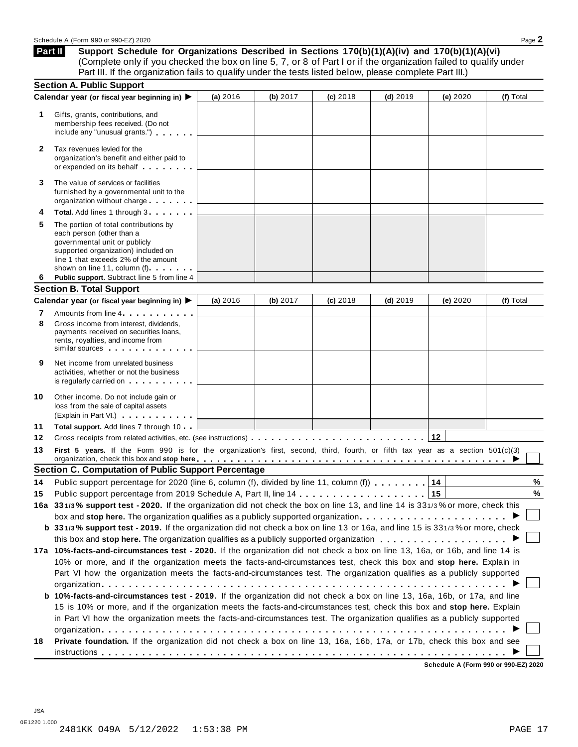**Support Schedule for Organizations Described in Sections 170(b)(1)(A)(iv) and 170(b)(1)(A)(vi)** (Complete only if you checked the box on line 5, 7, or 8 of Part I or if the organization failed to qualify under Part III. If the organization fails to qualify under the tests listed below, please complete Part III.) **Part II**

|              | <b>Section A. Public Support</b>                                                                                                                                                                                                                                                    |          |            |            |            |            |           |
|--------------|-------------------------------------------------------------------------------------------------------------------------------------------------------------------------------------------------------------------------------------------------------------------------------------|----------|------------|------------|------------|------------|-----------|
|              | Calendar year (or fiscal year beginning in) ▶                                                                                                                                                                                                                                       | (a) 2016 | (b) $2017$ | (c) 2018   | $(d)$ 2019 | (e) 2020   | (f) Total |
| 1.           | Gifts, grants, contributions, and<br>membership fees received. (Do not<br>include any "unusual grants.")                                                                                                                                                                            |          |            |            |            |            |           |
| $\mathbf{2}$ | Tax revenues levied for the<br>organization's benefit and either paid to<br>or expended on its behalf                                                                                                                                                                               |          |            |            |            |            |           |
| 3            | The value of services or facilities<br>furnished by a governmental unit to the<br>organization without charge                                                                                                                                                                       |          |            |            |            |            |           |
| 4            | Total. Add lines 1 through 3                                                                                                                                                                                                                                                        |          |            |            |            |            |           |
| 5            | The portion of total contributions by<br>each person (other than a<br>governmental unit or publicly<br>supported organization) included on<br>line 1 that exceeds 2% of the amount<br>shown on line 11, column (f)                                                                  |          |            |            |            |            |           |
| 6            | Public support. Subtract line 5 from line 4                                                                                                                                                                                                                                         |          |            |            |            |            |           |
|              | <b>Section B. Total Support</b>                                                                                                                                                                                                                                                     |          |            |            |            |            |           |
|              | Calendar year (or fiscal year beginning in)                                                                                                                                                                                                                                         | (a) 2016 | (b) 2017   | $(c)$ 2018 | $(d)$ 2019 | (e) $2020$ | (f) Total |
| 7<br>8       | Amounts from line 4<br>Gross income from interest, dividends,<br>payments received on securities loans,<br>rents, royalties, and income from<br>similar sources experiences                                                                                                         |          |            |            |            |            |           |
| 9            | Net income from unrelated business<br>activities, whether or not the business<br>is regularly carried on the control of the set of the set of the set of the set of the set of the set of the s                                                                                     |          |            |            |            |            |           |
| 10           | Other income. Do not include gain or<br>loss from the sale of capital assets<br>(Explain in Part VI.)                                                                                                                                                                               |          |            |            |            |            |           |
| 11           | Total support. Add lines 7 through 10                                                                                                                                                                                                                                               |          |            |            |            |            |           |
| 12           |                                                                                                                                                                                                                                                                                     |          |            |            |            |            |           |
| 13           | First 5 years. If the Form 990 is for the organization's first, second, third, fourth, or fifth tax year as a section 501(c)(3)<br>organization, check this box and stop here entitled as a series of the series of the series of the series of the series of $\blacktriangleright$ |          |            |            |            |            |           |
|              | <b>Section C. Computation of Public Support Percentage</b>                                                                                                                                                                                                                          |          |            |            |            |            |           |
| 14           | Public support percentage for 2020 (line 6, column (f), divided by line 11, column (f) $\ldots \ldots$                                                                                                                                                                              |          |            |            |            | 14         | %         |
| 15           |                                                                                                                                                                                                                                                                                     |          |            |            |            |            | %         |
|              | 16a 331/3% support test - 2020. If the organization did not check the box on line 13, and line 14 is 331/3% or more, check this                                                                                                                                                     |          |            |            |            |            |           |
|              | box and stop here. The organization qualifies as a publicly supported organization                                                                                                                                                                                                  |          |            |            |            |            |           |
|              | b 331/3% support test - 2019. If the organization did not check a box on line 13 or 16a, and line 15 is 331/3% or more, check                                                                                                                                                       |          |            |            |            |            |           |
|              |                                                                                                                                                                                                                                                                                     |          |            |            |            |            |           |
|              | 17a 10%-facts-and-circumstances test - 2020. If the organization did not check a box on line 13, 16a, or 16b, and line 14 is                                                                                                                                                        |          |            |            |            |            |           |
|              | 10% or more, and if the organization meets the facts-and-circumstances test, check this box and stop here. Explain in                                                                                                                                                               |          |            |            |            |            |           |
|              | Part VI how the organization meets the facts-and-circumstances test. The organization qualifies as a publicly supported                                                                                                                                                             |          |            |            |            |            |           |
|              |                                                                                                                                                                                                                                                                                     |          |            |            |            |            |           |
|              | b 10%-facts-and-circumstances test - 2019. If the organization did not check a box on line 13, 16a, 16b, or 17a, and line                                                                                                                                                           |          |            |            |            |            |           |
|              | 15 is 10% or more, and if the organization meets the facts-and-circumstances test, check this box and stop here. Explain                                                                                                                                                            |          |            |            |            |            |           |
|              | in Part VI how the organization meets the facts-and-circumstances test. The organization qualifies as a publicly supported                                                                                                                                                          |          |            |            |            |            |           |
|              |                                                                                                                                                                                                                                                                                     |          |            |            |            |            |           |
| 18           | Private foundation. If the organization did not check a box on line 13, 16a, 16b, 17a, or 17b, check this box and see                                                                                                                                                               |          |            |            |            |            |           |
|              |                                                                                                                                                                                                                                                                                     |          |            |            |            |            |           |

**Schedule A (Form 990 or 990-EZ) 2020**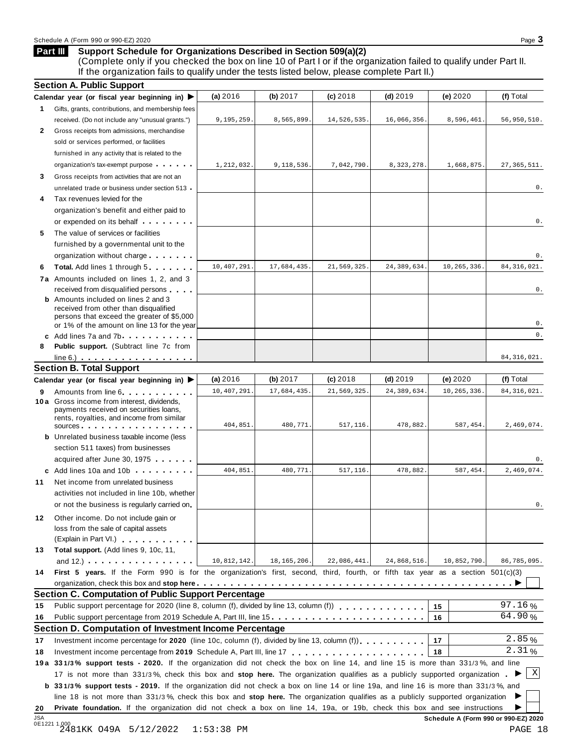#### **Support Schedule for Organizations Described in Section 509(a)(2) Part III**

(Complete only if you checked the box on line 10 of Part I or if the organization failed to qualify under Part II. If the organization fails to qualify under the tests listed below, please complete Part II.)

|                                  | <b>Section A. Public Support</b>                                                                                                                                                                                                                           |             |               |             |               |             |               |
|----------------------------------|------------------------------------------------------------------------------------------------------------------------------------------------------------------------------------------------------------------------------------------------------------|-------------|---------------|-------------|---------------|-------------|---------------|
|                                  | Calendar year (or fiscal year beginning in) $\blacktriangleright$                                                                                                                                                                                          | (a) 2016    | (b) 2017      | $(c)$ 2018  | $(d)$ 2019    | (e) 2020    | (f) Total     |
| 1.                               | Gifts, grants, contributions, and membership fees                                                                                                                                                                                                          |             |               |             |               |             |               |
|                                  | received. (Do not include any "unusual grants.")                                                                                                                                                                                                           | 9,195,259   | 8,565,899.    | 14,526,535. | 16,066,356.   | 8,596,461   | 56,950,510.   |
| 2                                | Gross receipts from admissions, merchandise                                                                                                                                                                                                                |             |               |             |               |             |               |
|                                  | sold or services performed, or facilities                                                                                                                                                                                                                  |             |               |             |               |             |               |
|                                  | furnished in any activity that is related to the                                                                                                                                                                                                           |             |               |             |               |             |               |
|                                  | organization's tax-exempt purpose                                                                                                                                                                                                                          | 1,212,032.  | 9,118,536.    | 7,042,790.  | 8, 323, 278   | 1,668,875   | 27, 365, 511. |
| 3                                | Gross receipts from activities that are not an                                                                                                                                                                                                             |             |               |             |               |             |               |
|                                  | unrelated trade or business under section 513.                                                                                                                                                                                                             |             |               |             |               |             | 0.            |
| 4                                | Tax revenues levied for the                                                                                                                                                                                                                                |             |               |             |               |             |               |
|                                  | organization's benefit and either paid to                                                                                                                                                                                                                  |             |               |             |               |             |               |
|                                  | or expended on its behalf <b>contained</b> on $\theta$                                                                                                                                                                                                     |             |               |             |               |             | 0.            |
| 5                                | The value of services or facilities                                                                                                                                                                                                                        |             |               |             |               |             |               |
|                                  | furnished by a governmental unit to the                                                                                                                                                                                                                    |             |               |             |               |             |               |
|                                  | organization without charge                                                                                                                                                                                                                                |             |               |             |               |             | 0.            |
| 6                                | <b>Total.</b> Add lines 1 through 5                                                                                                                                                                                                                        | 10,407,291  | 17,684,435.   | 21,569,325  | 24, 389, 634. | 10,265,336  | 84, 316, 021. |
|                                  | 7a Amounts included on lines 1, 2, and 3                                                                                                                                                                                                                   |             |               |             |               |             |               |
|                                  | received from disqualified persons                                                                                                                                                                                                                         |             |               |             |               |             | 0.            |
|                                  | <b>b</b> Amounts included on lines 2 and 3<br>received from other than disqualified                                                                                                                                                                        |             |               |             |               |             |               |
|                                  | persons that exceed the greater of \$5,000                                                                                                                                                                                                                 |             |               |             |               |             |               |
|                                  | or 1% of the amount on line 13 for the year                                                                                                                                                                                                                |             |               |             |               |             | 0.            |
|                                  | c Add lines 7a and 7b                                                                                                                                                                                                                                      |             |               |             |               |             | 0.            |
| 8                                | <b>Public support.</b> (Subtract line 7c from                                                                                                                                                                                                              |             |               |             |               |             |               |
|                                  | $line 6.)$<br><b>Section B. Total Support</b>                                                                                                                                                                                                              |             |               |             |               |             | 84, 316, 021. |
|                                  |                                                                                                                                                                                                                                                            | (a) 2016    | (b) 2017      | $(c)$ 2018  | $(d)$ 2019    | (e) 2020    | (f) Total     |
|                                  | Calendar year (or fiscal year beginning in) $\blacktriangleright$                                                                                                                                                                                          | 10,407,291  | 17,684,435.   | 21,569,325  | 24,389,634    | 10,265,336  | 84, 316, 021. |
| 9                                | Amounts from line 6<br><b>10a</b> Gross income from interest, dividends,                                                                                                                                                                                   |             |               |             |               |             |               |
|                                  | payments received on securities loans,                                                                                                                                                                                                                     |             |               |             |               |             |               |
|                                  | rents, royalties, and income from similar                                                                                                                                                                                                                  | 404,851.    | 480,771.      | 517,116.    | 478,882.      | 587,454.    | 2,469,074.    |
|                                  | sources                                                                                                                                                                                                                                                    |             |               |             |               |             |               |
|                                  | <b>b</b> Unrelated business taxable income (less                                                                                                                                                                                                           |             |               |             |               |             |               |
|                                  | section 511 taxes) from businesses<br>acquired after June 30, 1975                                                                                                                                                                                         |             |               |             |               |             | 0.            |
|                                  | c Add lines 10a and 10b                                                                                                                                                                                                                                    | 404,851.    | 480,771       | 517,116.    | 478,882.      | 587,454     | 2,469,074.    |
| 11                               | Net income from unrelated business                                                                                                                                                                                                                         |             |               |             |               |             |               |
|                                  | activities not included in line 10b, whether                                                                                                                                                                                                               |             |               |             |               |             |               |
|                                  | or not the business is regularly carried on                                                                                                                                                                                                                |             |               |             |               |             | 0.            |
|                                  |                                                                                                                                                                                                                                                            |             |               |             |               |             |               |
| 12                               | Other income. Do not include gain or                                                                                                                                                                                                                       |             |               |             |               |             |               |
|                                  | loss from the sale of capital assets<br>(Explain in Part VI.)                                                                                                                                                                                              |             |               |             |               |             |               |
| 13                               | Total support. (Add lines 9, 10c, 11,                                                                                                                                                                                                                      |             |               |             |               |             |               |
|                                  |                                                                                                                                                                                                                                                            |             | 18, 165, 206. | 22,086,441. | 24,868,516.   | 10,852,790. | 86,785,095.   |
|                                  |                                                                                                                                                                                                                                                            |             |               |             |               |             |               |
|                                  | and 12.) $\cdots$ $\cdots$ $\cdots$ $\cdots$                                                                                                                                                                                                               | 10,812,142. |               |             |               |             |               |
|                                  | First 5 years. If the Form 990 is for the organization's first, second, third, fourth, or fifth tax year as a section $501(c)(3)$                                                                                                                          |             |               |             |               |             |               |
|                                  |                                                                                                                                                                                                                                                            |             |               |             |               |             |               |
|                                  | Section C. Computation of Public Support Percentage                                                                                                                                                                                                        |             |               |             |               | 15          | 97.16%        |
|                                  |                                                                                                                                                                                                                                                            |             |               |             |               | 16          | 64.90%        |
|                                  | Public support percentage from 2019 Schedule A, Part III, line 15                                                                                                                                                                                          |             |               |             |               |             |               |
|                                  | <b>Section D. Computation of Investment Income Percentage</b>                                                                                                                                                                                              |             |               |             |               | 17          | 2.85%         |
|                                  | Investment income percentage for 2020 (line 10c, column (f), divided by line 13, column (f)),                                                                                                                                                              |             |               |             |               | 18          | 2.31%         |
|                                  |                                                                                                                                                                                                                                                            |             |               |             |               |             |               |
|                                  | 19a 331/3% support tests - 2020. If the organization did not check the box on line 14, and line 15 is more than 331/3%, and line                                                                                                                           |             |               |             |               |             |               |
|                                  | 17 is not more than 331/3%, check this box and stop here. The organization qualifies as a publicly supported organization.                                                                                                                                 |             |               |             |               |             | $\mathbf X$   |
|                                  | <b>b</b> 331/3% support tests - 2019. If the organization did not check a box on line 14 or line 19a, and line 16 is more than 331/3%, and                                                                                                                 |             |               |             |               |             |               |
| 14<br>15<br>16<br>17<br>18<br>20 | line 18 is not more than 331/3%, check this box and stop here. The organization qualifies as a publicly supported organization<br>Private foundation. If the organization did not check a box on line 14, 19a, or 19b, check this box and see instructions |             |               |             |               |             | ▸             |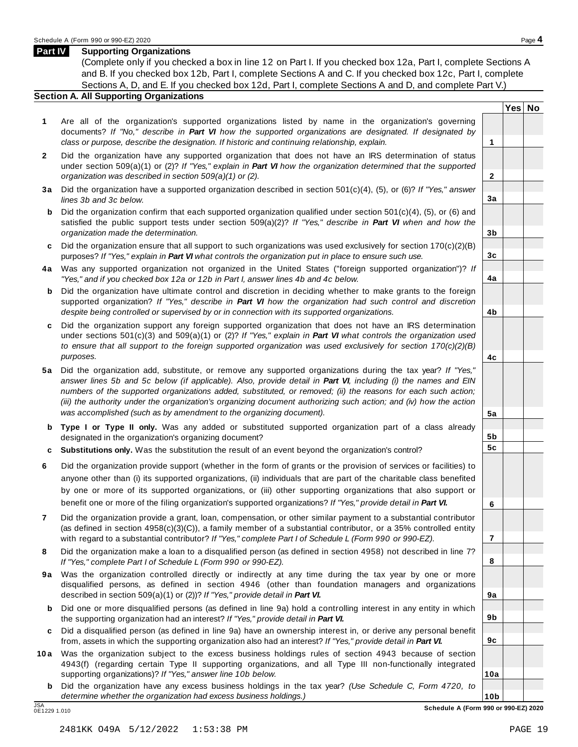#### **Part IV Supporting Organizations**

(Complete only if you checked a box in line 12 on Part I. If you checked box 12a, Part I, complete Sections A and B. If you checked box 12b, Part I, complete Sections A and C. If you checked box 12c, Part I, complete Sections A, D, and E. If you checked box 12d, Part I, complete Sections A and D, and complete Part V.)

#### **Section A. All Supporting Organizations**

- **1** Are all of the organization's supported organizations listed by name in the organization's governing documents? *If "No," describe in Part VI how the supported organizations are designated. If designated by class or purpose, describe the designation. If historic and continuing relationship, explain.* **1**
- **2** Did the organization have any supported organization that does not have an IRS determination of status under section 509(a)(1) or (2)? *If"Yes," explain in Part VI how the organization determined that the supported organization was described in section 509(a)(1) or (2).*
- **3 a** Did the organization have a supported organization described in section 501(c)(4), (5), or (6)? *If "Yes," answer lines 3b and 3c below.*
- **b** Did the organization confirm that each supported organization qualified under section 501(c)(4), (5), or (6) and | satisfied the public support tests under section 509(a)(2)? *If "Yes," describe in Part VI when and how the organization made the determination.*
- **c** Did the organization ensure that all support to such organizations was used exclusively for section 170(c)(2)(B) purposes? *If"Yes," explain in Part VI what controls the organization put in place to ensure such use.*
- **4 a** Was any supported organization not organized in the United States ("foreign supported organization")? *If "Yes," and if you checked box 12a or 12b in Part I, answer lines 4b and 4c below.*
- **b** Did the organization have ultimate control and discretion in deciding whether to make grants to the foreign | supported organization? *If "Yes," describe in Part VI how the organization had such control and discretion despite being controlled or supervised by or in connection with its supported organizations.*
- **c** Did the organization support any foreign supported organization that does not have an IRS determination under sections 501(c)(3) and 509(a)(1) or (2)? *If "Yes," explain in Part VI what controls the organization used to ensure that all support to the foreign supported organization was used exclusively for section 170(c)(2)(B) purposes.*
- **5 a** Did the organization add, substitute, or remove any supported organizations during the tax year? *If "Yes,"* answer lines 5b and 5c below (if applicable). Also, provide detail in Part VI, including (i) the names and EIN *numbers of the supported organizations added, substituted, or removed; (ii) the reasons for each such action;* (iii) the authority under the organization's organizing document authorizing such action; and (iv) how the action *was accomplished (such as by amendment to the organizing document).*
- **b Type I or Type II only.** Was any added or substituted supported organization part of a class already designated in the organization's organizing document?
- **c Substitutions only.** Was the substitution the result of an event beyond the organization's control?
- **6** Did the organization provide support (whether in the form of grants or the provision of services or facilities) to anyone other than (i) its supported organizations, (ii) individuals that are part of the charitable class benefited by one or more of its supported organizations, or (iii) other supporting organizations that also support or benefit one or more of the filing organization's supported organizations? *If"Yes," provide detail in Part VI.*
- **7** Did the organization provide a grant, loan, compensation, or other similar payment to a substantial contributor (as defined in section 4958(c)(3)(C)), a family member of a substantial contributor, or a 35% controlled entity with regard to a substantial contributor? *If"Yes," complete Part I of Schedule L (Form 990 or 990-EZ).*
- **8** Did the organization make a loan to a disqualified person (as defined in section 4958) not described in line 7? *If "Yes," complete Part I of Schedule L (Form 990 or 990-EZ).*
- **9a** Was the organization controlled directly or indirectly at any time during the tax year by one or more | disqualified persons, as defined in section 4946 (other than foundation managers and organizations described in section 509(a)(1) or (2))? *If"Yes," provide detail in Part VI.*
- **b** Did one or more disqualified persons (as defined in line 9a) hold a controlling interest in any entity in which | the supporting organization had an interest? *If"Yes," provide detail in Part VI.*
- **c** Did a disqualified person (as defined in line 9a) have an ownership interest in, or derive any personal benefit from, assets in which the supporting organization also had an interest? *If"Yes," provide detail in Part VI.*
- **10a** Was the organization subject to the excess business holdings rules of section 4943 because of section | 4943(f) (regarding certain Type II supporting organizations, and all Type III non-functionally integrated supporting organizations)? *If"Yes," answer line 10b below.*
	- **b** Did the organization have any excess business holdings in the tax year? *(Use Schedule C, Form 4720, to determine whether the organization had excess business holdings.)*

0E1229 1.010

**10b** JSA **Schedule A (Form 990 or 990-EZ) 2020**

**Yes No**

**2**

**3a**

**3b**

**3c**

**4a**

**4b**

**4c**

**5a**

**5b 5c**

**6**

**7**

**8**

**9a**

**9b**

**9c**

**10a**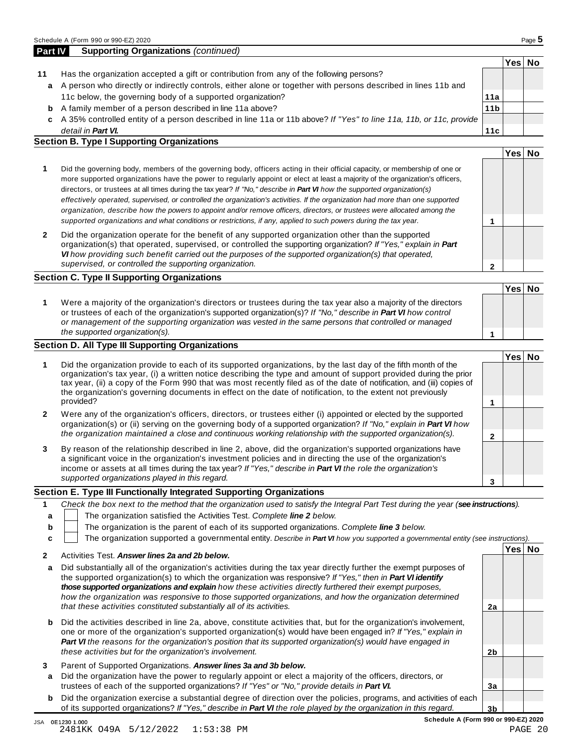|    |                                                                                                                    |                 | Yes⊺ | No |
|----|--------------------------------------------------------------------------------------------------------------------|-----------------|------|----|
| 11 | Has the organization accepted a gift or contribution from any of the following persons?                            |                 |      |    |
| a  | A person who directly or indirectly controls, either alone or together with persons described in lines 11b and     |                 |      |    |
|    | 11c below, the governing body of a supported organization?                                                         | 11a             |      |    |
| b  | A family member of a person described in line 11a above?                                                           | 11 <sub>b</sub> |      |    |
| c  | A 35% controlled entity of a person described in line 11a or 11b above? If "Yes" to line 11a, 11b, or 11c, provide |                 |      |    |
|    | detail in <b>Part VI.</b>                                                                                          | 11c             |      |    |
|    | <b>Section B. Type I Supporting Organizations</b>                                                                  |                 |      |    |
|    |                                                                                                                    |                 | Yes. |    |

| 1            | Did the governing body, members of the governing body, officers acting in their official capacity, or membership of one or<br>more supported organizations have the power to regularly appoint or elect at least a majority of the organization's officers,<br>directors, or trustees at all times during the tax year? If "No," describe in <b>Part VI</b> how the supported organization(s)<br>effectively operated, supervised, or controlled the organization's activities. If the organization had more than one supported<br>organization, describe how the powers to appoint and/or remove officers, directors, or trustees were allocated among the |  |  |
|--------------|-------------------------------------------------------------------------------------------------------------------------------------------------------------------------------------------------------------------------------------------------------------------------------------------------------------------------------------------------------------------------------------------------------------------------------------------------------------------------------------------------------------------------------------------------------------------------------------------------------------------------------------------------------------|--|--|
|              | supported organizations and what conditions or restrictions, if any, applied to such powers during the tax year.                                                                                                                                                                                                                                                                                                                                                                                                                                                                                                                                            |  |  |
| $\mathbf{2}$ | Did the organization operate for the benefit of any supported organization other than the supported                                                                                                                                                                                                                                                                                                                                                                                                                                                                                                                                                         |  |  |

organization(s) that operated, supervised, or controlled the supporting organization? *If "Yes," explain in Part VI how providing such benefit carried out the purposes of the supported organization(s) that operated, supervised, or controlled the supporting organization.*

#### **Section C. Type II Supporting Organizations**

**1 Yes No 1** Were a majority of the organization's directors or trustees during the tax year also a majority of the directors or trustees of each of the organization's supported organization(s)? *If"No," describe in Part VI how control or management of the supporting organization was vested in the same persons that controlled or managed the supported organization(s).*

#### **Section D. All Type III Supporting Organizations**

|              |                                                                                                                                                                                                                                                                                                                                                                                                                                                                             | Yes⊺ |  |
|--------------|-----------------------------------------------------------------------------------------------------------------------------------------------------------------------------------------------------------------------------------------------------------------------------------------------------------------------------------------------------------------------------------------------------------------------------------------------------------------------------|------|--|
|              | Did the organization provide to each of its supported organizations, by the last day of the fifth month of the<br>organization's tax year, (i) a written notice describing the type and amount of support provided during the prior<br>tax year, (ii) a copy of the Form 990 that was most recently filed as of the date of notification, and (iii) copies of<br>the organization's governing documents in effect on the date of notification, to the extent not previously |      |  |
|              | provided?                                                                                                                                                                                                                                                                                                                                                                                                                                                                   |      |  |
| $\mathbf{2}$ | Were any of the organization's officers, directors, or trustees either (i) appointed or elected by the supported<br>organization(s) or (ii) serving on the governing body of a supported organization? If "No," explain in Part VI how                                                                                                                                                                                                                                      |      |  |
|              | the organization maintained a close and continuous working relationship with the supported organization(s).                                                                                                                                                                                                                                                                                                                                                                 |      |  |
| 3            | By reason of the relationship described in line 2, above, did the organization's supported organizations have<br>a significant voice in the organization's investment policies and in directing the use of the organization's<br>income or assets at all times during the tax year? If "Yes," describe in Part VI the role the organization's                                                                                                                               |      |  |
|              | supported organizations played in this regard.                                                                                                                                                                                                                                                                                                                                                                                                                              |      |  |

#### **Section E. Type III Functionally Integrated Supporting Organizations**

|   | Check the box next to the method that the organization used to satisfy the Integral Part Test during the year (see instructions). |
|---|-----------------------------------------------------------------------------------------------------------------------------------|
|   | The organization satisfied the Activities Test. Complete line 2 below.                                                            |
| b | The organization is the parent of each of its supported organizations. Complete line 3 below.                                     |
|   | The organization supported a governmental entity. Describe in Part VI how you supported a governmental entity (see instructions). |
|   | Yes No<br>$\Lambda$ and define $\pi$ and $\Lambda$ are considered the set of $\Lambda$ and $\Lambda$ and $\Lambda$ and $\pi$      |

|         | Activities Test. Answer lines 2a and 2b below.                                                                                                                                                                                                                                                                                                                                                                                                                                                                                      |    |  |
|---------|-------------------------------------------------------------------------------------------------------------------------------------------------------------------------------------------------------------------------------------------------------------------------------------------------------------------------------------------------------------------------------------------------------------------------------------------------------------------------------------------------------------------------------------|----|--|
| a       | Did substantially all of the organization's activities during the tax year directly further the exempt purposes of<br>the supported organization(s) to which the organization was responsive? If "Yes," then in Part VI identify<br>those supported organizations and explain how these activities directly furthered their exempt purposes,<br>how the organization was responsive to those supported organizations, and how the organization determined<br>that these activities constituted substantially all of its activities. | 2a |  |
| b       | Did the activities described in line 2a, above, constitute activities that, but for the organization's involvement,<br>one or more of the organization's supported organization(s) would have been engaged in? If "Yes," explain in<br>Part VI the reasons for the organization's position that its supported organization(s) would have engaged in<br>these activities but for the organization's involvement.                                                                                                                     | 2b |  |
| З.<br>a | Parent of Supported Organizations. Answer lines 3a and 3b below.<br>Did the organization have the power to regularly appoint or elect a majority of the officers, directors, or<br>trustees of each of the supported organizations? If "Yes" or "No." provide details in Part VI.                                                                                                                                                                                                                                                   | За |  |
| b       | Did the organization exercise a substantial degree of direction over the policies, programs, and activities of each<br>of its supported organizations? If "Yes," describe in <b>Part VI</b> the role played by the organization in this regard.                                                                                                                                                                                                                                                                                     | 3b |  |

**2**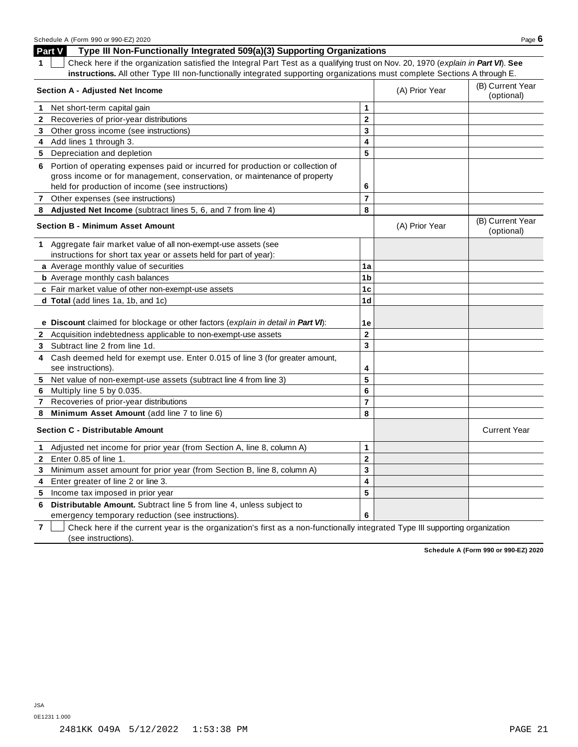#### **Part V Type III Non-Functionally Integrated 509(a)(3) Supporting Organizations 1** Check here if the organization satisfied the Integral Part Test as a qualifying trust on Nov. 20, 1970 (*explain in Part VI*). **See instructions.** All other Type III non-functionally integrated supporting organizations must complete Sections A through E.

|              | Section A - Adjusted Net Income                                                                                           |                         | (A) Prior Year | (B) Current Year<br>(optional) |
|--------------|---------------------------------------------------------------------------------------------------------------------------|-------------------------|----------------|--------------------------------|
| 1.           | Net short-term capital gain                                                                                               | 1                       |                |                                |
| $\mathbf{2}$ | Recoveries of prior-year distributions                                                                                    | $\overline{2}$          |                |                                |
| 3            | Other gross income (see instructions)                                                                                     | 3                       |                |                                |
| 4            | Add lines 1 through 3.                                                                                                    | 4                       |                |                                |
| 5.           | Depreciation and depletion                                                                                                | 5                       |                |                                |
|              | 6 Portion of operating expenses paid or incurred for production or collection of                                          |                         |                |                                |
|              | gross income or for management, conservation, or maintenance of property                                                  |                         |                |                                |
|              | held for production of income (see instructions)                                                                          | 6                       |                |                                |
|              | Other expenses (see instructions)                                                                                         | $\overline{7}$          |                |                                |
| 8            | Adjusted Net Income (subtract lines 5, 6, and 7 from line 4)                                                              | 8                       |                |                                |
|              | <b>Section B - Minimum Asset Amount</b>                                                                                   |                         | (A) Prior Year | (B) Current Year<br>(optional) |
|              | 1 Aggregate fair market value of all non-exempt-use assets (see                                                           |                         |                |                                |
|              | instructions for short tax year or assets held for part of year):                                                         |                         |                |                                |
|              | a Average monthly value of securities                                                                                     | 1a                      |                |                                |
|              | <b>b</b> Average monthly cash balances                                                                                    | 1 <sub>b</sub>          |                |                                |
|              | c Fair market value of other non-exempt-use assets                                                                        | 1c                      |                |                                |
|              | d Total (add lines 1a, 1b, and 1c)                                                                                        | 1 <sub>d</sub>          |                |                                |
|              | e Discount claimed for blockage or other factors (explain in detail in Part VI):                                          | 1e                      |                |                                |
|              | 2 Acquisition indebtedness applicable to non-exempt-use assets                                                            | $\mathbf{2}$            |                |                                |
| 3            | Subtract line 2 from line 1d.                                                                                             | $\overline{\mathbf{3}}$ |                |                                |
| 4            | Cash deemed held for exempt use. Enter 0.015 of line 3 (for greater amount,<br>see instructions).                         | 4                       |                |                                |
| 5            | Net value of non-exempt-use assets (subtract line 4 from line 3)                                                          | 5                       |                |                                |
| 6            | Multiply line 5 by 0.035.                                                                                                 | 6                       |                |                                |
| $\mathbf{7}$ | Recoveries of prior-year distributions                                                                                    | $\overline{7}$          |                |                                |
| 8            | Minimum Asset Amount (add line 7 to line 6)                                                                               | 8                       |                |                                |
|              | <b>Section C - Distributable Amount</b>                                                                                   |                         |                | <b>Current Year</b>            |
| $\mathbf 1$  | Adjusted net income for prior year (from Section A, line 8, column A)                                                     | 1                       |                |                                |
| $\mathbf{2}$ | Enter 0.85 of line 1.                                                                                                     | $\mathbf{2}$            |                |                                |
| 3            | Minimum asset amount for prior year (from Section B, line 8, column A)                                                    | 3                       |                |                                |
| 4            | Enter greater of line 2 or line 3.                                                                                        | 4                       |                |                                |
|              | 5 Income tax imposed in prior year                                                                                        | 5                       |                |                                |
| 6            | Distributable Amount. Subtract line 5 from line 4, unless subject to<br>emergency temporary reduction (see instructions). | 6                       |                |                                |

**7** Check here if the current year is the organization's first as a non-functionally integrated Type III supporting organization (see instructions).

**Schedule A (Form 990 or 990-EZ) 2020**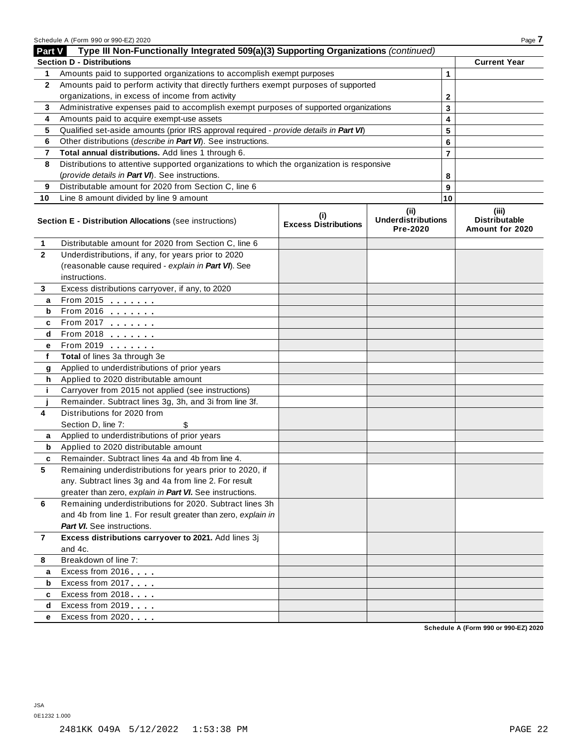|                | Schedule A (Form 990 or 990-EZ) 2020                                                       |                                    |                                       |                | Page 7                                  |
|----------------|--------------------------------------------------------------------------------------------|------------------------------------|---------------------------------------|----------------|-----------------------------------------|
| Part V         | Type III Non-Functionally Integrated 509(a)(3) Supporting Organizations (continued)        |                                    |                                       |                |                                         |
|                | <b>Section D - Distributions</b>                                                           |                                    |                                       |                | <b>Current Year</b>                     |
| 1              | Amounts paid to supported organizations to accomplish exempt purposes                      |                                    |                                       | 1              |                                         |
| $\mathbf{2}$   | Amounts paid to perform activity that directly furthers exempt purposes of supported       |                                    |                                       |                |                                         |
|                | organizations, in excess of income from activity                                           |                                    |                                       | $\mathbf{2}$   |                                         |
| 3              | Administrative expenses paid to accomplish exempt purposes of supported organizations      | 3                                  |                                       |                |                                         |
| 4              | Amounts paid to acquire exempt-use assets                                                  | 4                                  |                                       |                |                                         |
| 5              | Qualified set-aside amounts (prior IRS approval required - provide details in Part VI)     |                                    | 5                                     |                |                                         |
| 6              | Other distributions (describe in Part VI). See instructions.                               |                                    |                                       | 6              |                                         |
| 7              | Total annual distributions. Add lines 1 through 6.                                         |                                    |                                       | $\overline{7}$ |                                         |
| 8              | Distributions to attentive supported organizations to which the organization is responsive |                                    |                                       |                |                                         |
|                | (provide details in Part VI). See instructions.                                            |                                    |                                       | 8              |                                         |
| 9              | Distributable amount for 2020 from Section C, line 6                                       |                                    |                                       | 9              |                                         |
| 10             | Line 8 amount divided by line 9 amount                                                     |                                    |                                       | 10             |                                         |
|                |                                                                                            |                                    | (ii)                                  |                | (iii)                                   |
|                | Section E - Distribution Allocations (see instructions)                                    | (i)<br><b>Excess Distributions</b> | <b>Underdistributions</b><br>Pre-2020 |                | <b>Distributable</b><br>Amount for 2020 |
| 1              | Distributable amount for 2020 from Section C, line 6                                       |                                    |                                       |                |                                         |
| $\mathbf{2}$   | Underdistributions, if any, for years prior to 2020                                        |                                    |                                       |                |                                         |
|                | (reasonable cause required - explain in Part VI). See                                      |                                    |                                       |                |                                         |
|                | instructions.                                                                              |                                    |                                       |                |                                         |
| 3              | Excess distributions carryover, if any, to 2020                                            |                                    |                                       |                |                                         |
| a              | From 2015 $\frac{1}{2}$                                                                    |                                    |                                       |                |                                         |
| b              | From 2016 <b>Figure 1.1</b>                                                                |                                    |                                       |                |                                         |
| c              | From 2017 <b>Figure 1.1 (19)</b>                                                           |                                    |                                       |                |                                         |
| d              | $From 2018$                                                                                |                                    |                                       |                |                                         |
| е              | From 2019                                                                                  |                                    |                                       |                |                                         |
| f              | Total of lines 3a through 3e                                                               |                                    |                                       |                |                                         |
| g              | Applied to underdistributions of prior years                                               |                                    |                                       |                |                                         |
| h              | Applied to 2020 distributable amount                                                       |                                    |                                       |                |                                         |
| j.             | Carryover from 2015 not applied (see instructions)                                         |                                    |                                       |                |                                         |
|                | Remainder. Subtract lines 3g, 3h, and 3i from line 3f.                                     |                                    |                                       |                |                                         |
| 4              | Distributions for 2020 from                                                                |                                    |                                       |                |                                         |
|                | Section D, line 7:<br>\$                                                                   |                                    |                                       |                |                                         |
| a              | Applied to underdistributions of prior years                                               |                                    |                                       |                |                                         |
| b              | Applied to 2020 distributable amount                                                       |                                    |                                       |                |                                         |
| c              | Remainder. Subtract lines 4a and 4b from line 4                                            |                                    |                                       |                |                                         |
| 5              | Remaining underdistributions for years prior to 2020, if                                   |                                    |                                       |                |                                         |
|                | any. Subtract lines 3g and 4a from line 2. For result                                      |                                    |                                       |                |                                         |
|                | greater than zero, explain in Part VI. See instructions.                                   |                                    |                                       |                |                                         |
| 6              | Remaining underdistributions for 2020. Subtract lines 3h                                   |                                    |                                       |                |                                         |
|                | and 4b from line 1. For result greater than zero, explain in                               |                                    |                                       |                |                                         |
|                | Part VI. See instructions.                                                                 |                                    |                                       |                |                                         |
| $\overline{7}$ | Excess distributions carryover to 2021. Add lines 3j                                       |                                    |                                       |                |                                         |
|                | and 4c.                                                                                    |                                    |                                       |                |                                         |
| 8              | Breakdown of line 7:                                                                       |                                    |                                       |                |                                         |
| a              | Excess from 2016                                                                           |                                    |                                       |                |                                         |
| b              | Excess from 2017                                                                           |                                    |                                       |                |                                         |
| c              | Excess from 2018                                                                           |                                    |                                       |                |                                         |
| d              | Excess from 2019                                                                           |                                    |                                       |                |                                         |
| e              | Excess from 2020                                                                           |                                    |                                       |                |                                         |

**Schedule A (Form 990 or 990-EZ) 2020**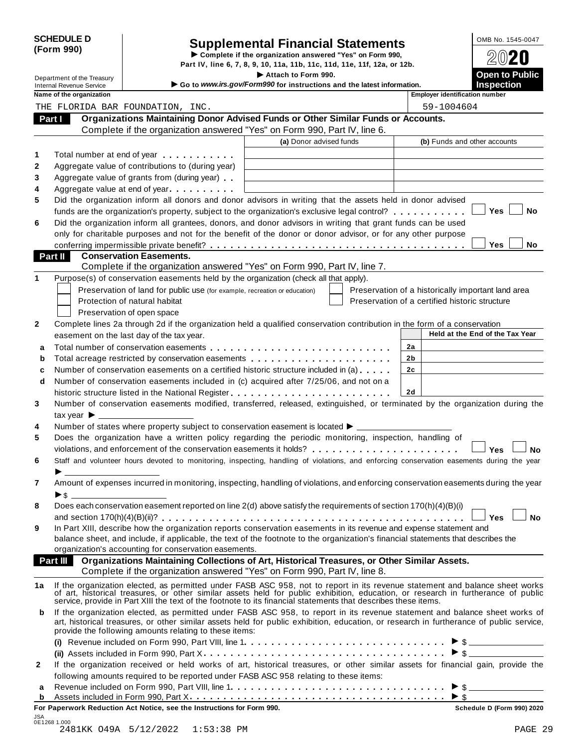|            | <b>SCHEDULE D</b> |
|------------|-------------------|
| (Form 990) |                   |

# SCHEDULE D<br>
Supplemental Financial Statements<br>
Form 990) Part IV, line 6, 7, 8, 9, 10, 11a, 11b, 11c, 11d, 11e, 11f, 12a, or 12b.

|                                                             |                                                                                                                                                                                                                                                                                                                                                  | Attach to Form 990.                                                    |                                                    |                                 | <b>Open to Public</b> |
|-------------------------------------------------------------|--------------------------------------------------------------------------------------------------------------------------------------------------------------------------------------------------------------------------------------------------------------------------------------------------------------------------------------------------|------------------------------------------------------------------------|----------------------------------------------------|---------------------------------|-----------------------|
| Department of the Treasury                                  |                                                                                                                                                                                                                                                                                                                                                  |                                                                        |                                                    |                                 |                       |
| <b>Internal Revenue Service</b><br>Name of the organization |                                                                                                                                                                                                                                                                                                                                                  | Go to www.irs.gov/Form990 for instructions and the latest information. | <b>Employer identification number</b>              | <b>Inspection</b>               |                       |
|                                                             | THE FLORIDA BAR FOUNDATION, INC.                                                                                                                                                                                                                                                                                                                 |                                                                        | 59-1004604                                         |                                 |                       |
|                                                             | Organizations Maintaining Donor Advised Funds or Other Similar Funds or Accounts.                                                                                                                                                                                                                                                                |                                                                        |                                                    |                                 |                       |
| Part I                                                      | Complete if the organization answered "Yes" on Form 990, Part IV, line 6.                                                                                                                                                                                                                                                                        |                                                                        |                                                    |                                 |                       |
|                                                             |                                                                                                                                                                                                                                                                                                                                                  | (a) Donor advised funds                                                | (b) Funds and other accounts                       |                                 |                       |
|                                                             |                                                                                                                                                                                                                                                                                                                                                  |                                                                        |                                                    |                                 |                       |
|                                                             | Total number at end of year manufacturers and the Total number                                                                                                                                                                                                                                                                                   |                                                                        |                                                    |                                 |                       |
|                                                             | Aggregate value of contributions to (during year)                                                                                                                                                                                                                                                                                                |                                                                        |                                                    |                                 |                       |
|                                                             | Aggregate value of grants from (during year)                                                                                                                                                                                                                                                                                                     |                                                                        |                                                    |                                 |                       |
|                                                             | Aggregate value at end of year<br>Did the organization inform all donors and donor advisors in writing that the assets held in donor advised                                                                                                                                                                                                     |                                                                        |                                                    |                                 |                       |
|                                                             | funds are the organization's property, subject to the organization's exclusive legal control?                                                                                                                                                                                                                                                    |                                                                        |                                                    | Yes                             | No                    |
|                                                             | Did the organization inform all grantees, donors, and donor advisors in writing that grant funds can be used                                                                                                                                                                                                                                     |                                                                        |                                                    |                                 |                       |
|                                                             | only for charitable purposes and not for the benefit of the donor or donor advisor, or for any other purpose                                                                                                                                                                                                                                     |                                                                        |                                                    |                                 |                       |
|                                                             |                                                                                                                                                                                                                                                                                                                                                  |                                                                        |                                                    | Yes                             | No                    |
| Part II                                                     | <b>Conservation Easements.</b>                                                                                                                                                                                                                                                                                                                   |                                                                        |                                                    |                                 |                       |
|                                                             | Complete if the organization answered "Yes" on Form 990, Part IV, line 7.                                                                                                                                                                                                                                                                        |                                                                        |                                                    |                                 |                       |
|                                                             | Purpose(s) of conservation easements held by the organization (check all that apply).                                                                                                                                                                                                                                                            |                                                                        |                                                    |                                 |                       |
|                                                             | Preservation of land for public use (for example, recreation or education)                                                                                                                                                                                                                                                                       |                                                                        | Preservation of a historically important land area |                                 |                       |
|                                                             | Protection of natural habitat                                                                                                                                                                                                                                                                                                                    |                                                                        | Preservation of a certified historic structure     |                                 |                       |
|                                                             | Preservation of open space                                                                                                                                                                                                                                                                                                                       |                                                                        |                                                    |                                 |                       |
|                                                             | Complete lines 2a through 2d if the organization held a qualified conservation contribution in the form of a conservation                                                                                                                                                                                                                        |                                                                        |                                                    |                                 |                       |
|                                                             | easement on the last day of the tax year.                                                                                                                                                                                                                                                                                                        |                                                                        |                                                    | Held at the End of the Tax Year |                       |
|                                                             |                                                                                                                                                                                                                                                                                                                                                  |                                                                        | 2a                                                 |                                 |                       |
|                                                             |                                                                                                                                                                                                                                                                                                                                                  |                                                                        |                                                    |                                 |                       |
|                                                             |                                                                                                                                                                                                                                                                                                                                                  |                                                                        | 2b                                                 |                                 |                       |
|                                                             | Total acreage restricted by conservation easements                                                                                                                                                                                                                                                                                               |                                                                        | 2c                                                 |                                 |                       |
|                                                             | Number of conservation easements on a certified historic structure included in (a)                                                                                                                                                                                                                                                               |                                                                        |                                                    |                                 |                       |
|                                                             | Number of conservation easements included in (c) acquired after 7/25/06, and not on a                                                                                                                                                                                                                                                            |                                                                        | 2d                                                 |                                 |                       |
|                                                             |                                                                                                                                                                                                                                                                                                                                                  |                                                                        |                                                    |                                 |                       |
| tax year $\blacktriangleright$ $\blacksquare$               | Number of conservation easements modified, transferred, released, extinguished, or terminated by the organization during the                                                                                                                                                                                                                     |                                                                        |                                                    |                                 |                       |
|                                                             | Number of states where property subject to conservation easement is located ▶ __________                                                                                                                                                                                                                                                         |                                                                        |                                                    |                                 |                       |
|                                                             | Does the organization have a written policy regarding the periodic monitoring, inspection, handling of                                                                                                                                                                                                                                           |                                                                        |                                                    |                                 |                       |
|                                                             | violations, and enforcement of the conservation easements it holds?                                                                                                                                                                                                                                                                              |                                                                        |                                                    | Yes                             |                       |
|                                                             | Staff and volunteer hours devoted to monitoring, inspecting, handling of violations, and enforcing conservation easements during the year                                                                                                                                                                                                        |                                                                        |                                                    |                                 | <b>No</b>             |
|                                                             |                                                                                                                                                                                                                                                                                                                                                  |                                                                        |                                                    |                                 |                       |
|                                                             | Amount of expenses incurred in monitoring, inspecting, handling of violations, and enforcing conservation easements during the year                                                                                                                                                                                                              |                                                                        |                                                    |                                 |                       |
|                                                             |                                                                                                                                                                                                                                                                                                                                                  |                                                                        |                                                    |                                 |                       |
|                                                             | Does each conservation easement reported on line 2(d) above satisfy the requirements of section 170(h)(4)(B)(i)                                                                                                                                                                                                                                  |                                                                        |                                                    |                                 |                       |
|                                                             |                                                                                                                                                                                                                                                                                                                                                  |                                                                        |                                                    | Yes                             |                       |
|                                                             | In Part XIII, describe how the organization reports conservation easements in its revenue and expense statement and                                                                                                                                                                                                                              |                                                                        |                                                    |                                 | <b>No</b>             |
|                                                             | balance sheet, and include, if applicable, the text of the footnote to the organization's financial statements that describes the                                                                                                                                                                                                                |                                                                        |                                                    |                                 |                       |
|                                                             | organization's accounting for conservation easements.                                                                                                                                                                                                                                                                                            |                                                                        |                                                    |                                 |                       |
|                                                             | Part III Organizations Maintaining Collections of Art, Historical Treasures, or Other Similar Assets.                                                                                                                                                                                                                                            |                                                                        |                                                    |                                 |                       |
|                                                             | Complete if the organization answered "Yes" on Form 990, Part IV, line 8.                                                                                                                                                                                                                                                                        |                                                                        |                                                    |                                 |                       |
|                                                             |                                                                                                                                                                                                                                                                                                                                                  |                                                                        |                                                    |                                 |                       |
|                                                             | If the organization elected, as permitted under FASB ASC 958, not to report in its revenue statement and balance sheet works of art, historical treasures, or other similar assets held for public exhibition, education, or r<br>service, provide in Part XIII the text of the footnote to its financial statements that describes these items. |                                                                        |                                                    |                                 |                       |
|                                                             |                                                                                                                                                                                                                                                                                                                                                  |                                                                        |                                                    |                                 |                       |
|                                                             | If the organization elected, as permitted under FASB ASC 958, to report in its revenue statement and balance sheet works of<br>art, historical treasures, or other similar assets held for public exhibition, education, or research in furtherance of public service,                                                                           |                                                                        |                                                    |                                 |                       |
|                                                             | provide the following amounts relating to these items:                                                                                                                                                                                                                                                                                           |                                                                        |                                                    |                                 |                       |
|                                                             |                                                                                                                                                                                                                                                                                                                                                  |                                                                        |                                                    |                                 |                       |
|                                                             |                                                                                                                                                                                                                                                                                                                                                  |                                                                        |                                                    |                                 |                       |
| b                                                           | If the organization received or held works of art, historical treasures, or other similar assets for financial gain, provide the                                                                                                                                                                                                                 |                                                                        |                                                    |                                 |                       |
|                                                             | following amounts required to be reported under FASB ASC 958 relating to these items:                                                                                                                                                                                                                                                            |                                                                        |                                                    |                                 |                       |
|                                                             |                                                                                                                                                                                                                                                                                                                                                  |                                                                        | $\blacktriangleright$ \$                           | $\triangleright$ \$             |                       |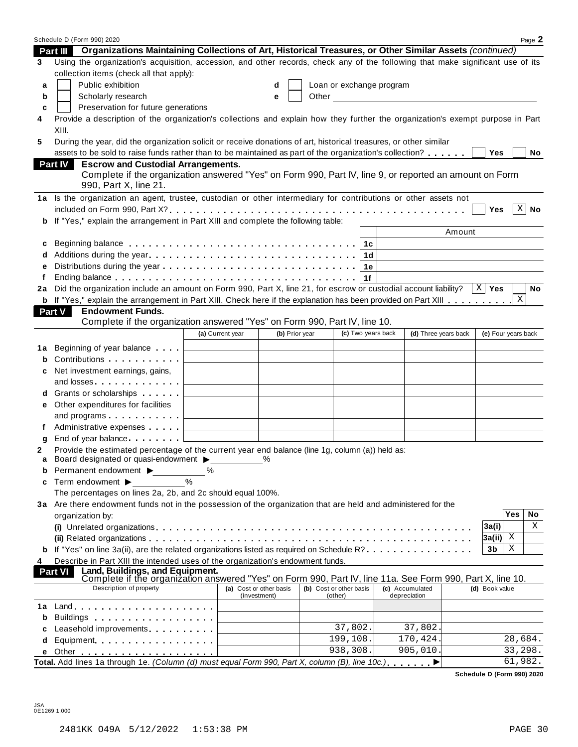|    | Schedule D (Form 990) 2020                                                                                                                                                  |                  |                                         |       |                                    |                                 |                                                   | Page 2                     |
|----|-----------------------------------------------------------------------------------------------------------------------------------------------------------------------------|------------------|-----------------------------------------|-------|------------------------------------|---------------------------------|---------------------------------------------------|----------------------------|
|    | Organizations Maintaining Collections of Art, Historical Treasures, or Other Similar Assets (continued)<br>Part III                                                         |                  |                                         |       |                                    |                                 |                                                   |                            |
| 3  | Using the organization's acquisition, accession, and other records, check any of the following that make significant use of its<br>collection items (check all that apply): |                  |                                         |       |                                    |                                 |                                                   |                            |
| a  | Public exhibition                                                                                                                                                           |                  | d                                       |       | Loan or exchange program           |                                 |                                                   |                            |
| b  | Scholarly research                                                                                                                                                          |                  | e                                       | Other |                                    |                                 | <u> 1980 - John Stein, amerikansk politiker (</u> |                            |
| c  | Preservation for future generations                                                                                                                                         |                  |                                         |       |                                    |                                 |                                                   |                            |
| 4  | Provide a description of the organization's collections and explain how they further the organization's exempt purpose in Part<br>XIII.                                     |                  |                                         |       |                                    |                                 |                                                   |                            |
| 5  | During the year, did the organization solicit or receive donations of art, historical treasures, or other similar                                                           |                  |                                         |       |                                    |                                 |                                                   |                            |
|    | assets to be sold to raise funds rather than to be maintained as part of the organization's collection?                                                                     |                  |                                         |       |                                    |                                 |                                                   | Yes<br>No                  |
|    | <b>Escrow and Custodial Arrangements.</b><br><b>Part IV</b>                                                                                                                 |                  |                                         |       |                                    |                                 |                                                   |                            |
|    | Complete if the organization answered "Yes" on Form 990, Part IV, line 9, or reported an amount on Form<br>990, Part X, line 21.                                            |                  |                                         |       |                                    |                                 |                                                   |                            |
|    | 1a Is the organization an agent, trustee, custodian or other intermediary for contributions or other assets not                                                             |                  |                                         |       |                                    |                                 |                                                   |                            |
|    |                                                                                                                                                                             |                  |                                         |       |                                    |                                 |                                                   | $ X $ No<br>Yes            |
| b  | If "Yes," explain the arrangement in Part XIII and complete the following table:                                                                                            |                  |                                         |       |                                    |                                 |                                                   |                            |
|    |                                                                                                                                                                             |                  |                                         |       |                                    |                                 | Amount                                            |                            |
| c  | Beginning balance enterpreteration of the contract of the contract of the contract of the contract of the contr                                                             |                  |                                         |       | 1с                                 |                                 |                                                   |                            |
| d  |                                                                                                                                                                             |                  |                                         |       | 1d                                 |                                 |                                                   |                            |
| e  |                                                                                                                                                                             |                  |                                         |       | 1е                                 |                                 |                                                   |                            |
| f  |                                                                                                                                                                             |                  |                                         |       | 1f                                 |                                 |                                                   |                            |
| 2a | Did the organization include an amount on Form 990, Part X, line 21, for escrow or custodial account liability? $\ X\ $ Yes                                                 |                  |                                         |       |                                    |                                 |                                                   | No                         |
|    | b If "Yes," explain the arrangement in Part XIII. Check here if the explanation has been provided on Part XIII                                                              |                  |                                         |       |                                    |                                 |                                                   | $\mathbf{X}$               |
|    | <b>Endowment Funds.</b><br>Part V                                                                                                                                           |                  |                                         |       |                                    |                                 |                                                   |                            |
|    | Complete if the organization answered "Yes" on Form 990, Part IV, line 10.                                                                                                  |                  |                                         |       |                                    |                                 |                                                   |                            |
|    |                                                                                                                                                                             | (a) Current year | (b) Prior year                          |       | (c) Two years back                 |                                 | (d) Three years back                              | (e) Four years back        |
| 1a | Beginning of year balance exceeding                                                                                                                                         |                  |                                         |       |                                    |                                 |                                                   |                            |
| b  | Contributions                                                                                                                                                               |                  |                                         |       |                                    |                                 |                                                   |                            |
| c  | Net investment earnings, gains,                                                                                                                                             |                  |                                         |       |                                    |                                 |                                                   |                            |
|    | and losses experience and losses                                                                                                                                            |                  |                                         |       |                                    |                                 |                                                   |                            |
| d  | Grants or scholarships <b>State of State State</b>                                                                                                                          |                  |                                         |       |                                    |                                 |                                                   |                            |
| е  | Other expenditures for facilities                                                                                                                                           |                  |                                         |       |                                    |                                 |                                                   |                            |
|    | and programs $\ldots$ $\ldots$ $\ldots$ $\ldots$                                                                                                                            |                  |                                         |       |                                    |                                 |                                                   |                            |
| f  | Administrative expenses                                                                                                                                                     |                  |                                         |       |                                    |                                 |                                                   |                            |
| g  | End of year balance                                                                                                                                                         |                  |                                         |       |                                    |                                 |                                                   |                            |
| 2  | Provide the estimated percentage of the current year end balance (line 1g, column (a)) held as:                                                                             |                  |                                         |       |                                    |                                 |                                                   |                            |
| a  | Board designated or quasi-endowment >                                                                                                                                       |                  | $\%$                                    |       |                                    |                                 |                                                   |                            |
| b  | Permanent endowment ▶                                                                                                                                                       | %                |                                         |       |                                    |                                 |                                                   |                            |
| c  | Term endowment ▶                                                                                                                                                            | %                |                                         |       |                                    |                                 |                                                   |                            |
|    | The percentages on lines 2a, 2b, and 2c should equal 100%.                                                                                                                  |                  |                                         |       |                                    |                                 |                                                   |                            |
|    | 3a Are there endowment funds not in the possession of the organization that are held and administered for the                                                               |                  |                                         |       |                                    |                                 |                                                   |                            |
|    | organization by:                                                                                                                                                            |                  |                                         |       |                                    |                                 |                                                   | <b>Yes</b><br>No           |
|    |                                                                                                                                                                             |                  |                                         |       |                                    |                                 |                                                   | Χ<br>3a(i)                 |
|    |                                                                                                                                                                             |                  |                                         |       |                                    |                                 |                                                   | 3a(ii) <br>X               |
|    | If "Yes" on line 3a(ii), are the related organizations listed as required on Schedule R?                                                                                    |                  |                                         |       |                                    |                                 |                                                   | Χ<br>3b                    |
| 4  | Describe in Part XIII the intended uses of the organization's endowment funds.                                                                                              |                  |                                         |       |                                    |                                 |                                                   |                            |
|    | Land, Buildings, and Equipment.<br><b>Part VI</b><br>Complete if the organization answered "Yes" on Form 990, Part IV, line 11a. See Form 990, Part X, line 10.             |                  |                                         |       |                                    |                                 |                                                   |                            |
|    | Description of property                                                                                                                                                     |                  | (a) Cost or other basis<br>(investment) |       | (b) Cost or other basis<br>(other) | (c) Accumulated<br>depreciation |                                                   | (d) Book value             |
| 1a | $Land.$                                                                                                                                                                     |                  |                                         |       |                                    |                                 |                                                   |                            |
| b  |                                                                                                                                                                             |                  |                                         |       |                                    |                                 |                                                   |                            |
| c  | Leasehold improvements [19]                                                                                                                                                 |                  |                                         |       | 37,802.                            |                                 | 37,802.                                           |                            |
| d  | Equipment                                                                                                                                                                   |                  |                                         |       | 199, 108.                          |                                 | 170,424.                                          | 28,684.                    |
| е  |                                                                                                                                                                             |                  |                                         |       | 938,308.                           |                                 | 905,010.                                          | 33,298.                    |
|    | Total. Add lines 1a through 1e. (Column (d) must equal Form 990, Part X, column (B), line 10c.).                                                                            |                  |                                         |       |                                    |                                 | ▶                                                 | 61,982.                    |
|    |                                                                                                                                                                             |                  |                                         |       |                                    |                                 |                                                   | Schedule D (Form 990) 2020 |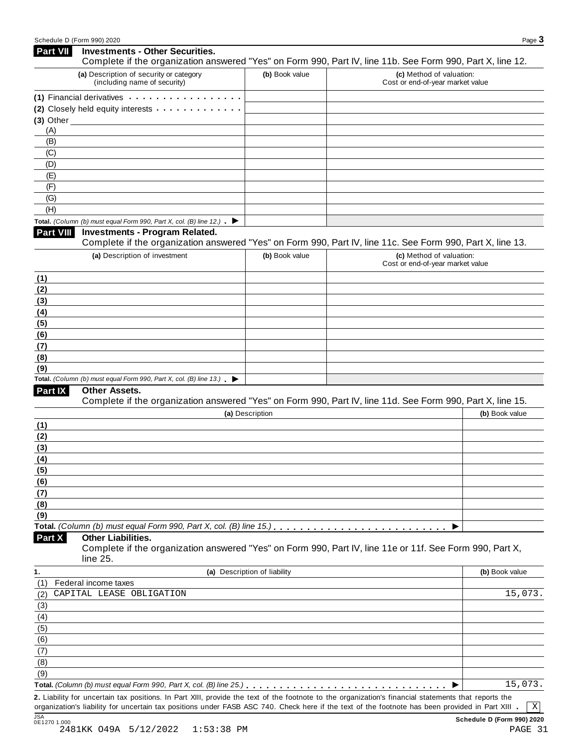| <b>Part VII</b>  | <b>Investments - Other Securities.</b><br>Complete if the organization answered "Yes" on Form 990, Part IV, line 11b. See Form 990, Part X, line 12. |                              |                                                              |                |
|------------------|------------------------------------------------------------------------------------------------------------------------------------------------------|------------------------------|--------------------------------------------------------------|----------------|
|                  | (a) Description of security or category<br>(including name of security)                                                                              | (b) Book value               | (c) Method of valuation:<br>Cost or end-of-year market value |                |
|                  | (1) Financial derivatives                                                                                                                            |                              |                                                              |                |
|                  | (2) Closely held equity interests                                                                                                                    |                              |                                                              |                |
|                  | $(3)$ Other                                                                                                                                          |                              |                                                              |                |
| (A)              |                                                                                                                                                      |                              |                                                              |                |
| (B)              |                                                                                                                                                      |                              |                                                              |                |
| (C)              |                                                                                                                                                      |                              |                                                              |                |
| (D)              |                                                                                                                                                      |                              |                                                              |                |
| (E)              |                                                                                                                                                      |                              |                                                              |                |
| (F)              |                                                                                                                                                      |                              |                                                              |                |
| (G)              |                                                                                                                                                      |                              |                                                              |                |
| (H)              |                                                                                                                                                      |                              |                                                              |                |
|                  | Total. (Column (b) must equal Form 990, Part X, col. (B) line 12.) $\blacktriangleright$                                                             |                              |                                                              |                |
| <b>Part VIII</b> | <b>Investments - Program Related.</b><br>Complete if the organization answered "Yes" on Form 990, Part IV, line 11c. See Form 990, Part X, line 13.  |                              |                                                              |                |
|                  | (a) Description of investment                                                                                                                        | (b) Book value               | (c) Method of valuation:<br>Cost or end-of-year market value |                |
| (1)              |                                                                                                                                                      |                              |                                                              |                |
| (2)              |                                                                                                                                                      |                              |                                                              |                |
| (3)              |                                                                                                                                                      |                              |                                                              |                |
| (4)              |                                                                                                                                                      |                              |                                                              |                |
| (5)              |                                                                                                                                                      |                              |                                                              |                |
| (6)              |                                                                                                                                                      |                              |                                                              |                |
| (7)              |                                                                                                                                                      |                              |                                                              |                |
| (8)              |                                                                                                                                                      |                              |                                                              |                |
| (9)              |                                                                                                                                                      |                              |                                                              |                |
|                  | Total. (Column (b) must equal Form 990, Part X, col. (B) line $13$ .)                                                                                |                              |                                                              |                |
| Part IX          | Other Assets.                                                                                                                                        |                              |                                                              |                |
|                  | Complete if the organization answered "Yes" on Form 990, Part IV, line 11d. See Form 990, Part X, line 15.                                           |                              |                                                              |                |
|                  |                                                                                                                                                      | (a) Description              |                                                              | (b) Book value |
| (1)              |                                                                                                                                                      |                              |                                                              |                |
| (2)              |                                                                                                                                                      |                              |                                                              |                |
| (3)              |                                                                                                                                                      |                              |                                                              |                |
| (4)              |                                                                                                                                                      |                              |                                                              |                |
| (5)              |                                                                                                                                                      |                              |                                                              |                |
| (6)              |                                                                                                                                                      |                              |                                                              |                |
| (7)<br>(8)       |                                                                                                                                                      |                              |                                                              |                |
| (9)              |                                                                                                                                                      |                              |                                                              |                |
|                  |                                                                                                                                                      |                              |                                                              |                |
| Part X           | <b>Other Liabilities.</b>                                                                                                                            |                              |                                                              |                |
|                  | Complete if the organization answered "Yes" on Form 990, Part IV, line 11e or 11f. See Form 990, Part X,<br>line 25.                                 |                              |                                                              |                |
| 1.               |                                                                                                                                                      | (a) Description of liability |                                                              | (b) Book value |
| (1)              | Federal income taxes                                                                                                                                 |                              |                                                              |                |
| (2)              | CAPITAL LEASE OBLIGATION                                                                                                                             |                              |                                                              | 15,073.        |
| (3)              |                                                                                                                                                      |                              |                                                              |                |
| (4)              |                                                                                                                                                      |                              |                                                              |                |
| (5)              |                                                                                                                                                      |                              |                                                              |                |
| (6)              |                                                                                                                                                      |                              |                                                              |                |
| (7)              |                                                                                                                                                      |                              |                                                              |                |
| (8)              |                                                                                                                                                      |                              |                                                              |                |
| (9)              |                                                                                                                                                      |                              |                                                              |                |
|                  |                                                                                                                                                      |                              |                                                              | 15,073.        |
|                  | 2. Liability for uncertain tax positions. In Part XIII, provide the text of the footnote to the organization's financial statements that reports the |                              |                                                              |                |
|                  | organization's liability for uncertain tax positions under FASB ASC 740. Check here if the text of the footnote has been provided in Part XIII       |                              |                                                              | X              |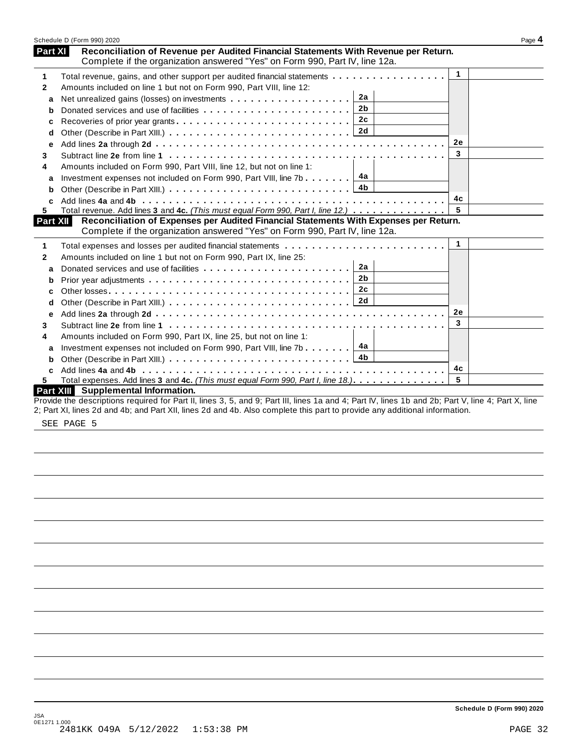|              | Schedule D (Form 990) 2020                                                                                                                                         |              | Page 4 |
|--------------|--------------------------------------------------------------------------------------------------------------------------------------------------------------------|--------------|--------|
| Part XI      | Reconciliation of Revenue per Audited Financial Statements With Revenue per Return.<br>Complete if the organization answered "Yes" on Form 990, Part IV, line 12a. |              |        |
| 1            | Total revenue, gains, and other support per audited financial statements                                                                                           | $\mathbf{1}$ |        |
| $\mathbf{2}$ | Amounts included on line 1 but not on Form 990, Part VIII, line 12:                                                                                                |              |        |
| a            | 2a                                                                                                                                                                 |              |        |
| b            | 2 <sub>b</sub>                                                                                                                                                     |              |        |
|              |                                                                                                                                                                    |              |        |
| d            |                                                                                                                                                                    |              |        |
| е            |                                                                                                                                                                    | <b>2e</b>    |        |
| 3            |                                                                                                                                                                    | 3            |        |
| 4            | Amounts included on Form 990, Part VIII, line 12, but not on line 1:                                                                                               |              |        |
| a            | Investment expenses not included on Form 990, Part VIII, line 7b $\boxed{4a}$                                                                                      |              |        |
| b            |                                                                                                                                                                    |              |        |
|              |                                                                                                                                                                    | 4c           |        |
| 5.           | Total revenue. Add lines 3 and 4c. (This must equal Form 990, Part I, line 12.)                                                                                    | 5            |        |
| Part XII     | Reconciliation of Expenses per Audited Financial Statements With Expenses per Return.                                                                              |              |        |
|              | Complete if the organization answered "Yes" on Form 990, Part IV, line 12a.                                                                                        |              |        |
| 1            | Total expenses and losses per audited financial statements                                                                                                         | $\mathbf{1}$ |        |
| 2            | Amounts included on line 1 but not on Form 990, Part IX, line 25:                                                                                                  |              |        |
| a            | 2a<br>Donated services and use of facilities                                                                                                                       |              |        |
| b            | 2 <b>b</b>                                                                                                                                                         |              |        |
| c            | 2c                                                                                                                                                                 |              |        |
| d            |                                                                                                                                                                    |              |        |
| е            |                                                                                                                                                                    | <b>2e</b>    |        |
| 3            |                                                                                                                                                                    | 3            |        |
| 4            | Amounts included on Form 990, Part IX, line 25, but not on line 1:                                                                                                 |              |        |
| a            | Investment expenses not included on Form 990, Part VIII, line 7b $\boxed{4a}$                                                                                      |              |        |
| b            |                                                                                                                                                                    |              |        |
|              |                                                                                                                                                                    | 4с           |        |
| 5.           | Total expenses. Add lines 3 and 4c. (This must equal Form 990, Part I, line 18.)                                                                                   | 5            |        |
|              | Part XIII Supplemental Information.                                                                                                                                |              |        |
|              | Provide the descriptions required for Part II, lines 3, 5, and 9; Part III, lines 1a and 4; Part IV, lines 1b and 2b; Part V, line 4; Part X, line                 |              |        |

2; Part XI, lines 2d and 4b; and Part XII, lines 2d and 4b. Also complete this part to provide any additional information.

SEE PAGE 5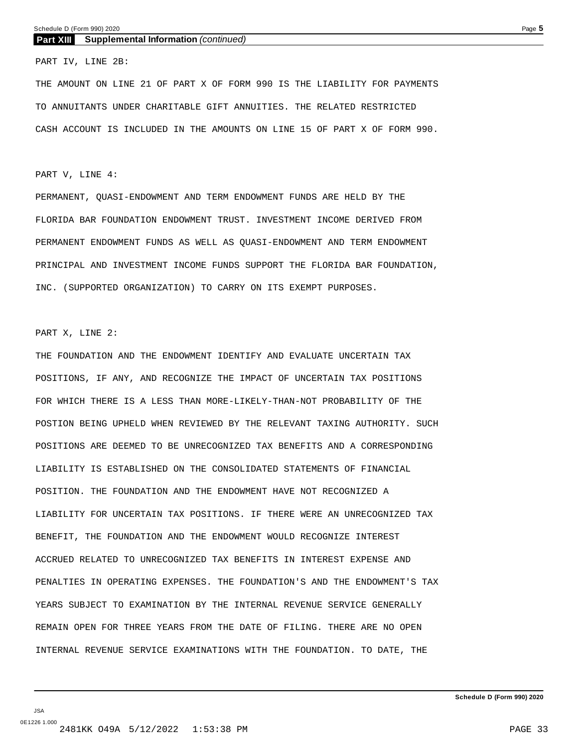#### **Part XIII Supplemental Information** *(continued)*

PART IV, LINE 2B:

THE AMOUNT ON LINE 21 OF PART X OF FORM 990 IS THE LIABILITY FOR PAYMENTS TO ANNUITANTS UNDER CHARITABLE GIFT ANNUITIES. THE RELATED RESTRICTED CASH ACCOUNT IS INCLUDED IN THE AMOUNTS ON LINE 15 OF PART X OF FORM 990.

#### PART V, LINE 4:

PERMANENT, QUASI-ENDOWMENT AND TERM ENDOWMENT FUNDS ARE HELD BY THE FLORIDA BAR FOUNDATION ENDOWMENT TRUST. INVESTMENT INCOME DERIVED FROM PERMANENT ENDOWMENT FUNDS AS WELL AS QUASI-ENDOWMENT AND TERM ENDOWMENT PRINCIPAL AND INVESTMENT INCOME FUNDS SUPPORT THE FLORIDA BAR FOUNDATION, INC. (SUPPORTED ORGANIZATION) TO CARRY ON ITS EXEMPT PURPOSES.

#### PART X, LINE 2:

THE FOUNDATION AND THE ENDOWMENT IDENTIFY AND EVALUATE UNCERTAIN TAX POSITIONS, IF ANY, AND RECOGNIZE THE IMPACT OF UNCERTAIN TAX POSITIONS FOR WHICH THERE IS A LESS THAN MORE-LIKELY-THAN-NOT PROBABILITY OF THE POSTION BEING UPHELD WHEN REVIEWED BY THE RELEVANT TAXING AUTHORITY. SUCH POSITIONS ARE DEEMED TO BE UNRECOGNIZED TAX BENEFITS AND A CORRESPONDING LIABILITY IS ESTABLISHED ON THE CONSOLIDATED STATEMENTS OF FINANCIAL POSITION. THE FOUNDATION AND THE ENDOWMENT HAVE NOT RECOGNIZED A LIABILITY FOR UNCERTAIN TAX POSITIONS. IF THERE WERE AN UNRECOGNIZED TAX BENEFIT, THE FOUNDATION AND THE ENDOWMENT WOULD RECOGNIZE INTEREST ACCRUED RELATED TO UNRECOGNIZED TAX BENEFITS IN INTEREST EXPENSE AND PENALTIES IN OPERATING EXPENSES. THE FOUNDATION'S AND THE ENDOWMENT'S TAX YEARS SUBJECT TO EXAMINATION BY THE INTERNAL REVENUE SERVICE GENERALLY REMAIN OPEN FOR THREE YEARS FROM THE DATE OF FILING. THERE ARE NO OPEN INTERNAL REVENUE SERVICE EXAMINATIONS WITH THE FOUNDATION. TO DATE, THE

JSA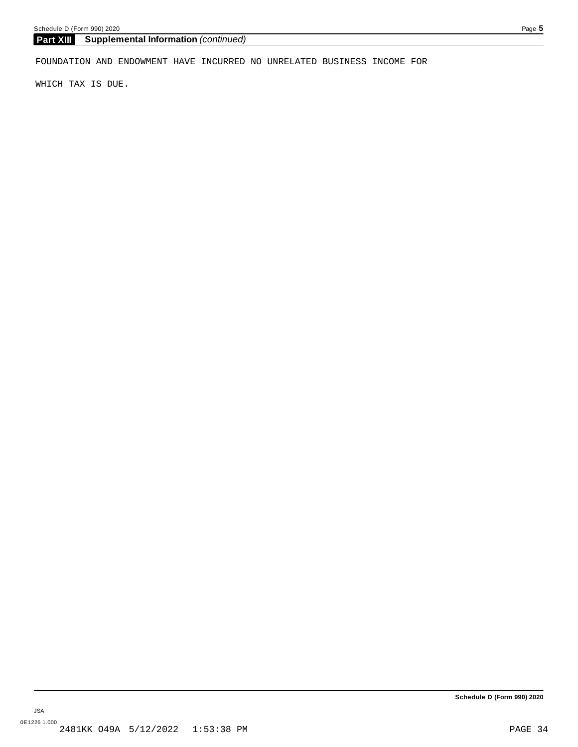#### **Part XIII Supplemental Information** *(continued)*

FOUNDATION AND ENDOWMENT HAVE INCURRED NO UNRELATED BUSINESS INCOME FOR

WHICH TAX IS DUE.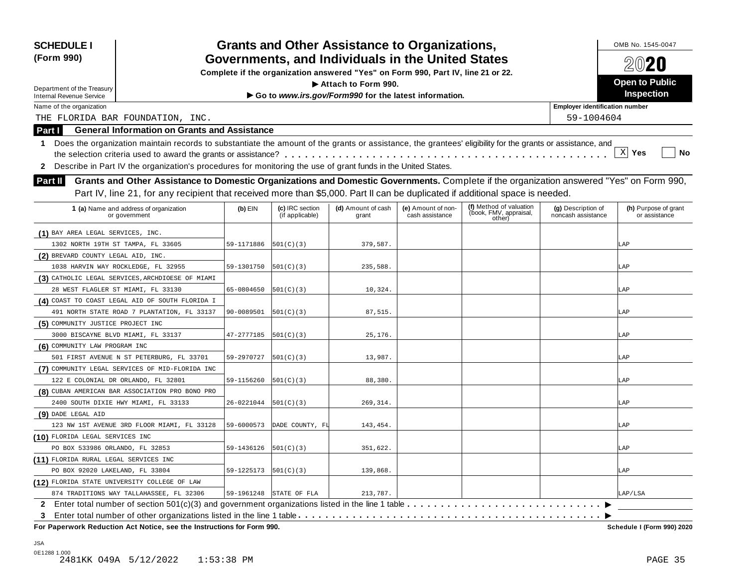| <b>SCHEDULE I</b><br>(Form 990)                                                                                                                                                                                                                                                                                                                                                                                                                                             | <b>Grants and Other Assistance to Organizations,</b><br>Governments, and Individuals in the United States<br>Complete if the organization answered "Yes" on Form 990, Part IV, line 21 or 22. |                                    |                             |                                       |                                                             |                                          |                                       |  |  |  |  |
|-----------------------------------------------------------------------------------------------------------------------------------------------------------------------------------------------------------------------------------------------------------------------------------------------------------------------------------------------------------------------------------------------------------------------------------------------------------------------------|-----------------------------------------------------------------------------------------------------------------------------------------------------------------------------------------------|------------------------------------|-----------------------------|---------------------------------------|-------------------------------------------------------------|------------------------------------------|---------------------------------------|--|--|--|--|
|                                                                                                                                                                                                                                                                                                                                                                                                                                                                             | Attach to Form 990.<br>Department of the Treasury                                                                                                                                             |                                    |                             |                                       |                                                             |                                          |                                       |  |  |  |  |
| <b>Internal Revenue Service</b>                                                                                                                                                                                                                                                                                                                                                                                                                                             |                                                                                                                                                                                               | <b>Inspection</b>                  |                             |                                       |                                                             |                                          |                                       |  |  |  |  |
| Name of the organization                                                                                                                                                                                                                                                                                                                                                                                                                                                    |                                                                                                                                                                                               |                                    |                             |                                       |                                                             | <b>Employer identification number</b>    |                                       |  |  |  |  |
| 59-1004604<br>THE FLORIDA BAR FOUNDATION, INC.                                                                                                                                                                                                                                                                                                                                                                                                                              |                                                                                                                                                                                               |                                    |                             |                                       |                                                             |                                          |                                       |  |  |  |  |
| <b>General Information on Grants and Assistance</b><br>Part I                                                                                                                                                                                                                                                                                                                                                                                                               |                                                                                                                                                                                               |                                    |                             |                                       |                                                             |                                          |                                       |  |  |  |  |
| Does the organization maintain records to substantiate the amount of the grants or assistance, the grantees' eligibility for the grants or assistance, and<br>1<br> X <br>Yes<br>No<br>Describe in Part IV the organization's procedures for monitoring the use of grant funds in the United States.<br>$\mathbf{2}$<br>Grants and Other Assistance to Domestic Organizations and Domestic Governments. Complete if the organization answered "Yes" on Form 990,<br>Part II |                                                                                                                                                                                               |                                    |                             |                                       |                                                             |                                          |                                       |  |  |  |  |
| Part IV, line 21, for any recipient that received more than \$5,000. Part II can be duplicated if additional space is needed.                                                                                                                                                                                                                                                                                                                                               |                                                                                                                                                                                               |                                    |                             |                                       |                                                             |                                          |                                       |  |  |  |  |
| 1 (a) Name and address of organization<br>or government                                                                                                                                                                                                                                                                                                                                                                                                                     | $(b)$ EIN                                                                                                                                                                                     | (c) IRC section<br>(if applicable) | (d) Amount of cash<br>grant | (e) Amount of non-<br>cash assistance | (f) Method of valuation<br>(book, FMV, appraisal,<br>other) | (g) Description of<br>noncash assistance | (h) Purpose of grant<br>or assistance |  |  |  |  |
| (1) BAY AREA LEGAL SERVICES, INC.                                                                                                                                                                                                                                                                                                                                                                                                                                           |                                                                                                                                                                                               |                                    |                             |                                       |                                                             |                                          |                                       |  |  |  |  |
| 1302 NORTH 19TH ST TAMPA, FL 33605                                                                                                                                                                                                                                                                                                                                                                                                                                          | 59-1171886                                                                                                                                                                                    | 501(C)(3)                          | 379,587.                    |                                       |                                                             |                                          | .AP                                   |  |  |  |  |
| (2) BREVARD COUNTY LEGAL AID, INC.                                                                                                                                                                                                                                                                                                                                                                                                                                          |                                                                                                                                                                                               |                                    |                             |                                       |                                                             |                                          |                                       |  |  |  |  |
| 1038 HARVIN WAY ROCKLEDGE, FL 32955                                                                                                                                                                                                                                                                                                                                                                                                                                         | 59-1301750                                                                                                                                                                                    | 501(C)(3)                          | 235,588                     |                                       |                                                             |                                          | LAP                                   |  |  |  |  |
| (3) CATHOLIC LEGAL SERVICES, ARCHDIOESE OF MIAMI                                                                                                                                                                                                                                                                                                                                                                                                                            |                                                                                                                                                                                               |                                    |                             |                                       |                                                             |                                          |                                       |  |  |  |  |
| 28 WEST FLAGLER ST MIAMI, FL 33130                                                                                                                                                                                                                                                                                                                                                                                                                                          | 65-0804650                                                                                                                                                                                    | 501(C)(3)                          | 10,324.                     |                                       |                                                             |                                          | .AP                                   |  |  |  |  |
| (4) COAST TO COAST LEGAL AID OF SOUTH FLORIDA I                                                                                                                                                                                                                                                                                                                                                                                                                             |                                                                                                                                                                                               |                                    |                             |                                       |                                                             |                                          |                                       |  |  |  |  |
| 491 NORTH STATE ROAD 7 PLANTATION, FL 33137                                                                                                                                                                                                                                                                                                                                                                                                                                 | 90-0089501                                                                                                                                                                                    | 501(C)(3)                          | 87,515                      |                                       |                                                             |                                          | .AP                                   |  |  |  |  |
| (5) COMMUNITY JUSTICE PROJECT INC                                                                                                                                                                                                                                                                                                                                                                                                                                           |                                                                                                                                                                                               |                                    |                             |                                       |                                                             |                                          |                                       |  |  |  |  |
| 3000 BISCAYNE BLVD MIAMI, FL 33137                                                                                                                                                                                                                                                                                                                                                                                                                                          | 47-2777185                                                                                                                                                                                    | 501(C)(3)                          | 25,176.                     |                                       |                                                             |                                          | LAP                                   |  |  |  |  |
| (6) COMMUNITY LAW PROGRAM INC                                                                                                                                                                                                                                                                                                                                                                                                                                               |                                                                                                                                                                                               |                                    |                             |                                       |                                                             |                                          |                                       |  |  |  |  |
| 501 FIRST AVENUE N ST PETERBURG, FL 33701                                                                                                                                                                                                                                                                                                                                                                                                                                   | 59-2970727                                                                                                                                                                                    | 501(C)(3)                          | 13,987.                     |                                       |                                                             |                                          | LAP                                   |  |  |  |  |
| (7) COMMUNITY LEGAL SERVICES OF MID-FLORIDA INC                                                                                                                                                                                                                                                                                                                                                                                                                             |                                                                                                                                                                                               |                                    |                             |                                       |                                                             |                                          |                                       |  |  |  |  |
| 122 E COLONIAL DR ORLANDO, FL 32801                                                                                                                                                                                                                                                                                                                                                                                                                                         | 59-1156260                                                                                                                                                                                    | 501(C)(3)                          | 88,380.                     |                                       |                                                             |                                          | LAP                                   |  |  |  |  |
| (8) CUBAN AMERICAN BAR ASSOCIATION PRO BONO PRO                                                                                                                                                                                                                                                                                                                                                                                                                             |                                                                                                                                                                                               |                                    |                             |                                       |                                                             |                                          |                                       |  |  |  |  |
| 2400 SOUTH DIXIE HWY MIAMI, FL 33133                                                                                                                                                                                                                                                                                                                                                                                                                                        | 26-0221044                                                                                                                                                                                    | 501(C)(3)                          | 269, 314.                   |                                       |                                                             |                                          | .AP                                   |  |  |  |  |
| (9) DADE LEGAL AID                                                                                                                                                                                                                                                                                                                                                                                                                                                          |                                                                                                                                                                                               |                                    |                             |                                       |                                                             |                                          |                                       |  |  |  |  |
| 123 NW 1ST AVENUE 3RD FLOOR MIAMI, FL 33128                                                                                                                                                                                                                                                                                                                                                                                                                                 | 59-6000573                                                                                                                                                                                    | DADE COUNTY, FI                    | 143,454.                    |                                       |                                                             |                                          | AP                                    |  |  |  |  |
| (10) FLORIDA LEGAL SERVICES INC                                                                                                                                                                                                                                                                                                                                                                                                                                             |                                                                                                                                                                                               |                                    |                             |                                       |                                                             |                                          |                                       |  |  |  |  |
| PO BOX 533986 ORLANDO, FL 32853                                                                                                                                                                                                                                                                                                                                                                                                                                             | 59-1436126                                                                                                                                                                                    | 501(C)(3)                          | 351,622.                    |                                       |                                                             |                                          | LAP                                   |  |  |  |  |
| (11) FLORIDA RURAL LEGAL SERVICES INC                                                                                                                                                                                                                                                                                                                                                                                                                                       |                                                                                                                                                                                               |                                    |                             |                                       |                                                             |                                          |                                       |  |  |  |  |
| PO BOX 92020 LAKELAND, FL 33804                                                                                                                                                                                                                                                                                                                                                                                                                                             | 59-1225173                                                                                                                                                                                    | 501(C)(3)                          | 139,868.                    |                                       |                                                             |                                          | LAP                                   |  |  |  |  |
| (12) FLORIDA STATE UNIVERSITY COLLEGE OF LAW                                                                                                                                                                                                                                                                                                                                                                                                                                |                                                                                                                                                                                               |                                    |                             |                                       |                                                             |                                          |                                       |  |  |  |  |
| 874 TRADITIONS WAY TALLAHASSEE, FL 32306                                                                                                                                                                                                                                                                                                                                                                                                                                    | 59-1961248                                                                                                                                                                                    | STATE OF FLA                       | 213,787                     |                                       |                                                             |                                          | LAP/LSA                               |  |  |  |  |
| 2 Enter total number of section $501(c)(3)$ and government organizations listed in the line 1 table $\dots \dots$<br>3                                                                                                                                                                                                                                                                                                                                                      |                                                                                                                                                                                               |                                    |                             |                                       |                                                             |                                          |                                       |  |  |  |  |

 $\overline{P}$  **For Paperwork Reduction Act Notice, see the Instructions for Form 990.** 

Schedule I (Form 990) 2020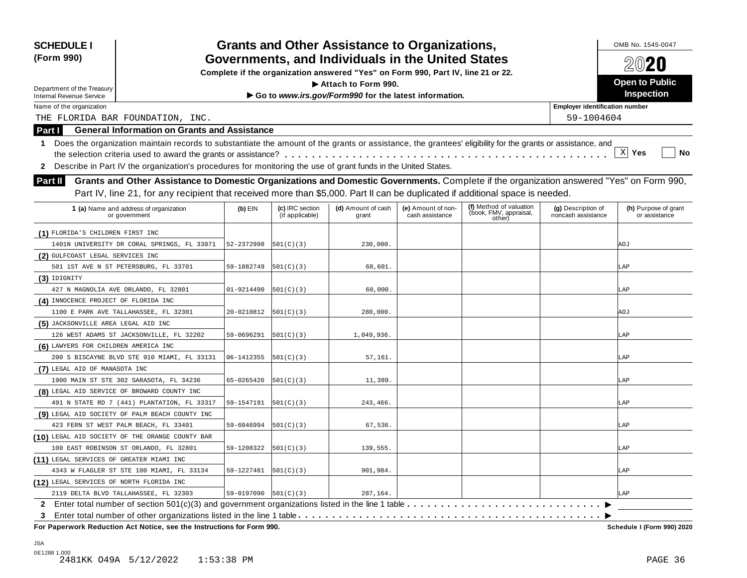| <b>SCHEDULE I</b><br>(Form 990)                                                                                                                                                                                                                                                    | <b>Grants and Other Assistance to Organizations,</b><br>Governments, and Individuals in the United States |                                    |                                                                                  |                                       |                                                             |                                          |                                       |  |  |
|------------------------------------------------------------------------------------------------------------------------------------------------------------------------------------------------------------------------------------------------------------------------------------|-----------------------------------------------------------------------------------------------------------|------------------------------------|----------------------------------------------------------------------------------|---------------------------------------|-------------------------------------------------------------|------------------------------------------|---------------------------------------|--|--|
|                                                                                                                                                                                                                                                                                    |                                                                                                           |                                    | Complete if the organization answered "Yes" on Form 990, Part IV, line 21 or 22. |                                       |                                                             |                                          | $20$ 20                               |  |  |
| Department of the Treasury                                                                                                                                                                                                                                                         |                                                                                                           |                                    | Attach to Form 990.                                                              |                                       |                                                             |                                          | <b>Open to Public</b>                 |  |  |
| <b>Internal Revenue Service</b>                                                                                                                                                                                                                                                    |                                                                                                           | <b>Inspection</b>                  |                                                                                  |                                       |                                                             |                                          |                                       |  |  |
| Name of the organization                                                                                                                                                                                                                                                           |                                                                                                           |                                    |                                                                                  |                                       |                                                             | <b>Employer identification number</b>    |                                       |  |  |
| THE FLORIDA BAR FOUNDATION, INC.                                                                                                                                                                                                                                                   |                                                                                                           |                                    |                                                                                  |                                       |                                                             | 59-1004604                               |                                       |  |  |
| <b>General Information on Grants and Assistance</b><br><b>Part I</b>                                                                                                                                                                                                               |                                                                                                           |                                    |                                                                                  |                                       |                                                             |                                          |                                       |  |  |
| Does the organization maintain records to substantiate the amount of the grants or assistance, the grantees' eligibility for the grants or assistance, and<br>1<br>2 Describe in Part IV the organization's procedures for monitoring the use of grant funds in the United States. |                                                                                                           |                                    |                                                                                  |                                       |                                                             |                                          | $\mathbf{x}$<br><b>No</b><br>Yes      |  |  |
| Grants and Other Assistance to Domestic Organizations and Domestic Governments. Complete if the organization answered "Yes" on Form 990,<br><b>Part II</b>                                                                                                                         |                                                                                                           |                                    |                                                                                  |                                       |                                                             |                                          |                                       |  |  |
| Part IV, line 21, for any recipient that received more than \$5,000. Part II can be duplicated if additional space is needed.                                                                                                                                                      |                                                                                                           |                                    |                                                                                  |                                       |                                                             |                                          |                                       |  |  |
| 1 (a) Name and address of organization<br>or government                                                                                                                                                                                                                            | $(b)$ EIN                                                                                                 | (c) IRC section<br>(if applicable) | (d) Amount of cash<br>grant                                                      | (e) Amount of non-<br>cash assistance | (f) Method of valuation<br>(book, FMV, appraisal,<br>other) | (g) Description of<br>noncash assistance | (h) Purpose of grant<br>or assistance |  |  |
| (1) FLORIDA'S CHILDREN FIRST INC                                                                                                                                                                                                                                                   |                                                                                                           |                                    |                                                                                  |                                       |                                                             |                                          |                                       |  |  |
| 1401N UNIVERSITY DR CORAL SPRINGS, FL 33071                                                                                                                                                                                                                                        | 52-2372998                                                                                                | 501(C)(3)                          | 230,000.                                                                         |                                       |                                                             |                                          | <b>AOJ</b>                            |  |  |
| (2) GULFCOAST LEGAL SERVICES INC                                                                                                                                                                                                                                                   |                                                                                                           |                                    |                                                                                  |                                       |                                                             |                                          |                                       |  |  |
| 501 1ST AVE N ST PETERSBURG, FL 33701                                                                                                                                                                                                                                              | 59-1882749                                                                                                | 501(C)(3)                          | 68,601.                                                                          |                                       |                                                             |                                          | LAP                                   |  |  |
| $(3)$ IDIGNITY                                                                                                                                                                                                                                                                     |                                                                                                           |                                    |                                                                                  |                                       |                                                             |                                          |                                       |  |  |
| 427 N MAGNOLIA AVE ORLANDO, FL 32801                                                                                                                                                                                                                                               | 01-9214490                                                                                                | 501(C)(3)                          | 60,000.                                                                          |                                       |                                                             |                                          | LAP                                   |  |  |
| (4) INNOCENCE PROJECT OF FLORIDA INC                                                                                                                                                                                                                                               |                                                                                                           |                                    |                                                                                  |                                       |                                                             |                                          |                                       |  |  |
| 1100 E PARK AVE TALLAHASSEE, FL 32301                                                                                                                                                                                                                                              | 20-0210812                                                                                                | 501(C)(3)                          | 280,000.                                                                         |                                       |                                                             |                                          | <b>AOJ</b>                            |  |  |
| (5) JACKSONVILLE AREA LEGAL AID INC                                                                                                                                                                                                                                                |                                                                                                           |                                    |                                                                                  |                                       |                                                             |                                          |                                       |  |  |
| 126 WEST ADAMS ST JACKSONVILLE, FL 32202                                                                                                                                                                                                                                           | 59-0696291                                                                                                | 501(C)(3)                          | 1,049,936                                                                        |                                       |                                                             |                                          | LAP                                   |  |  |
| (6) LAWYERS FOR CHILDREN AMERICA INC                                                                                                                                                                                                                                               |                                                                                                           |                                    |                                                                                  |                                       |                                                             |                                          |                                       |  |  |
| 200 S BISCAYNE BLVD STE 910 MIAMI, FL 33131                                                                                                                                                                                                                                        | 06-1412355                                                                                                | 501(C)(3)                          | 57,161.                                                                          |                                       |                                                             |                                          | LAP                                   |  |  |
| (7) LEGAL AID OF MANASOTA INC                                                                                                                                                                                                                                                      |                                                                                                           |                                    |                                                                                  |                                       |                                                             |                                          |                                       |  |  |
| 1900 MAIN ST STE 302 SARASOTA, FL 34236                                                                                                                                                                                                                                            | 65-0265426                                                                                                | 501(C)(3)                          | 11,389                                                                           |                                       |                                                             |                                          | LAP                                   |  |  |
| (8) LEGAL AID SERVICE OF BROWARD COUNTY INC                                                                                                                                                                                                                                        |                                                                                                           |                                    |                                                                                  |                                       |                                                             |                                          |                                       |  |  |
| 491 N STATE RD 7 (441) PLANTATION, FL 33317                                                                                                                                                                                                                                        | 59-1547191                                                                                                | 501(C)(3)                          | 243,466.                                                                         |                                       |                                                             |                                          | .AP                                   |  |  |
| (9) LEGAL AID SOCIETY OF PALM BEACH COUNTY INC                                                                                                                                                                                                                                     |                                                                                                           |                                    |                                                                                  |                                       |                                                             |                                          |                                       |  |  |
| 423 FERN ST WEST PALM BEACH, FL 33401                                                                                                                                                                                                                                              | 59-6046994                                                                                                | 501(C)(3)                          | 67,536.                                                                          |                                       |                                                             |                                          | LAP                                   |  |  |
| (10) LEGAL AID SOCIETY OF THE ORANGE COUNTY BAR                                                                                                                                                                                                                                    |                                                                                                           |                                    |                                                                                  |                                       |                                                             |                                          |                                       |  |  |
| 100 EAST ROBINSON ST ORLANDO, FL 32801                                                                                                                                                                                                                                             | 59-1208322                                                                                                | 501(C)(3)                          | 139,555.                                                                         |                                       |                                                             |                                          | .AP                                   |  |  |
| (11) LEGAL SERVICES OF GREATER MIAMI INC                                                                                                                                                                                                                                           |                                                                                                           |                                    |                                                                                  |                                       |                                                             |                                          |                                       |  |  |
| 4343 W FLAGLER ST STE 100 MIAMI, FL 33134                                                                                                                                                                                                                                          | 59-1227481                                                                                                | 501(C)(3)                          | 901,984.                                                                         |                                       |                                                             |                                          | LAP                                   |  |  |
| (12) LEGAL SERVICES OF NORTH FLORIDA INC                                                                                                                                                                                                                                           |                                                                                                           |                                    |                                                                                  |                                       |                                                             |                                          |                                       |  |  |
| 2119 DELTA BLVD TALLAHASSEE, FL 32303                                                                                                                                                                                                                                              | $59-0197090$ $501(C)(3)$                                                                                  |                                    | 287,164.                                                                         |                                       |                                                             |                                          | LAP                                   |  |  |
| Enter total number of section 501(c)(3) and government organizations listed in the line 1 table $\dots \dots \dots$                                                                                                                                                                |                                                                                                           |                                    |                                                                                  |                                       |                                                             |                                          |                                       |  |  |
|                                                                                                                                                                                                                                                                                    |                                                                                                           |                                    |                                                                                  |                                       |                                                             |                                          |                                       |  |  |

 $F$  **Paperwork Reduction Act Notice, see the Instructions for Form 990.** 

Schedule I (Form 990) 2020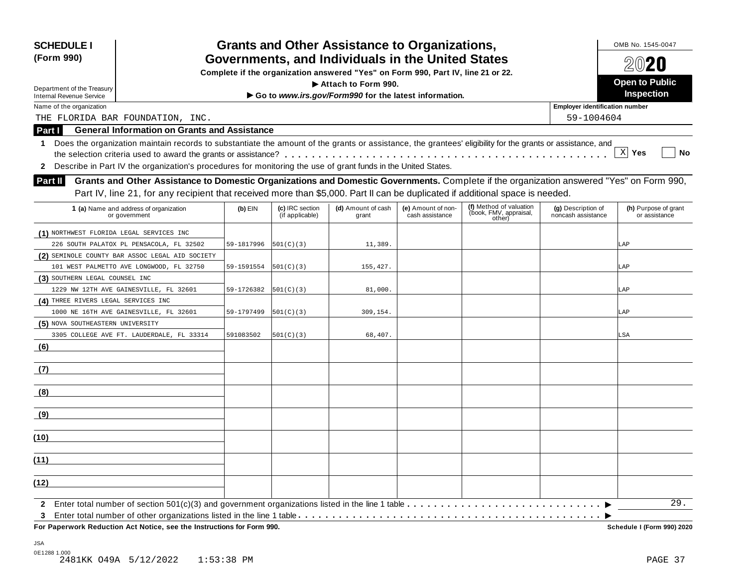| <b>SCHEDULE I</b><br>(Form 990)                                                                                                                                 | <b>Grants and Other Assistance to Organizations,</b><br>Governments, and Individuals in the United States |                                    |                                                                                  |                                       |                                                             |                                          |                                       |  |  |
|-----------------------------------------------------------------------------------------------------------------------------------------------------------------|-----------------------------------------------------------------------------------------------------------|------------------------------------|----------------------------------------------------------------------------------|---------------------------------------|-------------------------------------------------------------|------------------------------------------|---------------------------------------|--|--|
|                                                                                                                                                                 |                                                                                                           |                                    | Complete if the organization answered "Yes" on Form 990, Part IV, line 21 or 22. |                                       |                                                             |                                          | $20$ 20                               |  |  |
| Department of the Treasury                                                                                                                                      |                                                                                                           |                                    | Attach to Form 990.                                                              |                                       |                                                             |                                          | <b>Open to Public</b>                 |  |  |
| <b>Internal Revenue Service</b>                                                                                                                                 |                                                                                                           |                                    | Go to www.irs.gov/Form990 for the latest information.                            |                                       |                                                             |                                          | Inspection                            |  |  |
| Name of the organization                                                                                                                                        |                                                                                                           |                                    |                                                                                  |                                       |                                                             | <b>Employer identification number</b>    |                                       |  |  |
| THE FLORIDA BAR FOUNDATION, INC.                                                                                                                                |                                                                                                           |                                    |                                                                                  |                                       |                                                             | 59-1004604                               |                                       |  |  |
| <b>General Information on Grants and Assistance</b><br><b>Part I</b>                                                                                            |                                                                                                           |                                    |                                                                                  |                                       |                                                             |                                          |                                       |  |  |
| Does the organization maintain records to substantiate the amount of the grants or assistance, the grantees' eligibility for the grants or assistance, and<br>1 |                                                                                                           |                                    |                                                                                  |                                       |                                                             |                                          | X Yes<br><b>No</b>                    |  |  |
| 2 Describe in Part IV the organization's procedures for monitoring the use of grant funds in the United States.                                                 |                                                                                                           |                                    |                                                                                  |                                       |                                                             |                                          |                                       |  |  |
| Grants and Other Assistance to Domestic Organizations and Domestic Governments. Complete if the organization answered "Yes" on Form 990,<br><b>Part II</b>      |                                                                                                           |                                    |                                                                                  |                                       |                                                             |                                          |                                       |  |  |
| Part IV, line 21, for any recipient that received more than \$5,000. Part II can be duplicated if additional space is needed.                                   |                                                                                                           |                                    |                                                                                  |                                       |                                                             |                                          |                                       |  |  |
| 1 (a) Name and address of organization<br>or government                                                                                                         | $(b)$ EIN                                                                                                 | (c) IRC section<br>(if applicable) | (d) Amount of cash<br>grant                                                      | (e) Amount of non-<br>cash assistance | (f) Method of valuation<br>(book, FMV, appraisal,<br>other) | (g) Description of<br>noncash assistance | (h) Purpose of grant<br>or assistance |  |  |
| (1) NORTHWEST FLORIDA LEGAL SERVICES INC                                                                                                                        |                                                                                                           |                                    |                                                                                  |                                       |                                                             |                                          |                                       |  |  |
| 226 SOUTH PALATOX PL PENSACOLA, FL 32502                                                                                                                        | 59-1817996                                                                                                | 501(C)(3)                          | 11,389.                                                                          |                                       |                                                             |                                          | LAP                                   |  |  |
| (2) SEMINOLE COUNTY BAR ASSOC LEGAL AID SOCIETY                                                                                                                 |                                                                                                           |                                    |                                                                                  |                                       |                                                             |                                          |                                       |  |  |
| 101 WEST PALMETTO AVE LONGWOOD, FL 32750                                                                                                                        | 59-1591554                                                                                                | 501(C)(3)                          | 155,427.                                                                         |                                       |                                                             |                                          | LAP                                   |  |  |
| (3) SOUTHERN LEGAL COUNSEL INC                                                                                                                                  |                                                                                                           |                                    |                                                                                  |                                       |                                                             |                                          |                                       |  |  |
| 1229 NW 12TH AVE GAINESVILLE, FL 32601                                                                                                                          | 59-1726382                                                                                                | 501(C)(3)                          | 81,000.                                                                          |                                       |                                                             |                                          | LAP                                   |  |  |
| (4) THREE RIVERS LEGAL SERVICES INC                                                                                                                             |                                                                                                           |                                    |                                                                                  |                                       |                                                             |                                          |                                       |  |  |
| 1000 NE 16TH AVE GAINESVILLE, FL 32601                                                                                                                          | 59-1797499                                                                                                | 501(C)(3)                          | 309,154.                                                                         |                                       |                                                             |                                          | LAP                                   |  |  |
| (5) NOVA SOUTHEASTERN UNIVERSITY                                                                                                                                |                                                                                                           |                                    |                                                                                  |                                       |                                                             |                                          |                                       |  |  |
| 3305 COLLEGE AVE FT. LAUDERDALE, FL 33314                                                                                                                       | 591083502                                                                                                 | 501(C)(3)                          | 68,407.                                                                          |                                       |                                                             |                                          | LSA                                   |  |  |
| (6)                                                                                                                                                             |                                                                                                           |                                    |                                                                                  |                                       |                                                             |                                          |                                       |  |  |
| (7)                                                                                                                                                             |                                                                                                           |                                    |                                                                                  |                                       |                                                             |                                          |                                       |  |  |
| (8)                                                                                                                                                             |                                                                                                           |                                    |                                                                                  |                                       |                                                             |                                          |                                       |  |  |
| <u>(9)</u>                                                                                                                                                      |                                                                                                           |                                    |                                                                                  |                                       |                                                             |                                          |                                       |  |  |
| (10)                                                                                                                                                            |                                                                                                           |                                    |                                                                                  |                                       |                                                             |                                          |                                       |  |  |
| (11)                                                                                                                                                            |                                                                                                           |                                    |                                                                                  |                                       |                                                             |                                          |                                       |  |  |
|                                                                                                                                                                 |                                                                                                           |                                    |                                                                                  |                                       |                                                             |                                          |                                       |  |  |
| (12)                                                                                                                                                            |                                                                                                           |                                    |                                                                                  |                                       |                                                             |                                          |                                       |  |  |
| $\mathbf{2}$<br>3                                                                                                                                               |                                                                                                           |                                    |                                                                                  |                                       |                                                             |                                          | 29.                                   |  |  |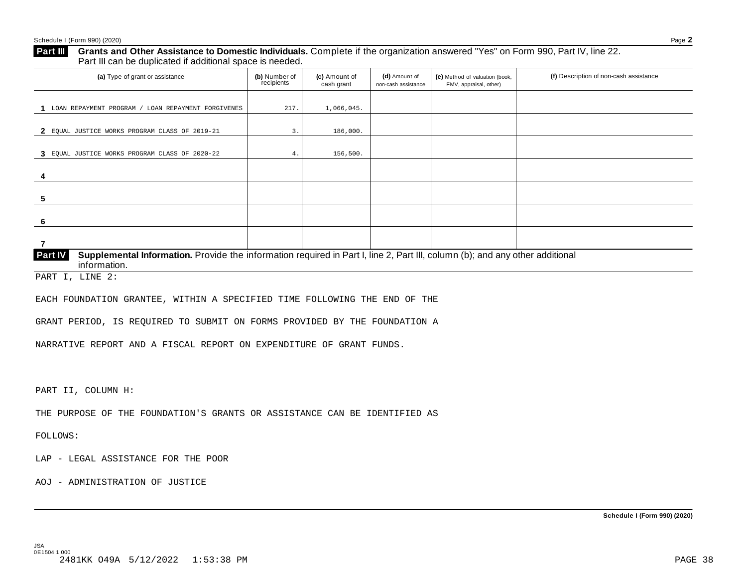#### **Grants and Other Assistance to Domestic Individuals.** Complete ifthe organization answered "Yes" on Form 990, Part IV, line 22. **Part III** Grants and Other Assistance to Domestic Individuals<br>Part III can be duplicated if additional space is needed.

| (a) Type of grant or assistance                                                                                                                         | (b) Number of<br>recipients | (c) Amount of<br>cash grant | (d) Amount of<br>non-cash assistance | (e) Method of valuation (book,<br>FMV, appraisal, other) | (f) Description of non-cash assistance |
|---------------------------------------------------------------------------------------------------------------------------------------------------------|-----------------------------|-----------------------------|--------------------------------------|----------------------------------------------------------|----------------------------------------|
| LOAN REPAYMENT PROGRAM / LOAN REPAYMENT FORGIVENES                                                                                                      | 217.                        | 1,066,045.                  |                                      |                                                          |                                        |
|                                                                                                                                                         |                             |                             |                                      |                                                          |                                        |
| 2 EQUAL JUSTICE WORKS PROGRAM CLASS OF 2019-21                                                                                                          | 3.                          | 186,000.                    |                                      |                                                          |                                        |
| 3 EQUAL JUSTICE WORKS PROGRAM CLASS OF 2020-22                                                                                                          | 4.                          | 156,500.                    |                                      |                                                          |                                        |
|                                                                                                                                                         |                             |                             |                                      |                                                          |                                        |
| 5                                                                                                                                                       |                             |                             |                                      |                                                          |                                        |
| 6                                                                                                                                                       |                             |                             |                                      |                                                          |                                        |
|                                                                                                                                                         |                             |                             |                                      |                                                          |                                        |
| Part IV<br>Supplemental Information. Provide the information required in Part I, line 2, Part III, column (b); and any other additional<br>information. |                             |                             |                                      |                                                          |                                        |

PART I, LINE 2:

EACH FOUNDATION GRANTEE, WITHIN A SPECIFIED TIME FOLLOWING THE END OF THE

GRANT PERIOD, IS REQUIRED TO SUBMIT ON FORMS PROVIDED BY THE FOUNDATION A

NARRATIVE REPORT AND A FISCAL REPORT ON EXPENDITURE OF GRANT FUNDS.

PART II, COLUMN H:

THE PURPOSE OF THE FOUNDATION'S GRANTS OR ASSISTANCE CAN BE IDENTIFIED AS

FOLLOWS:

LAP - LEGAL ASSISTANCE FOR THE POOR

AOJ - ADMINISTRATION OF JUSTICE

**Schedule I (Form 990) (2020)**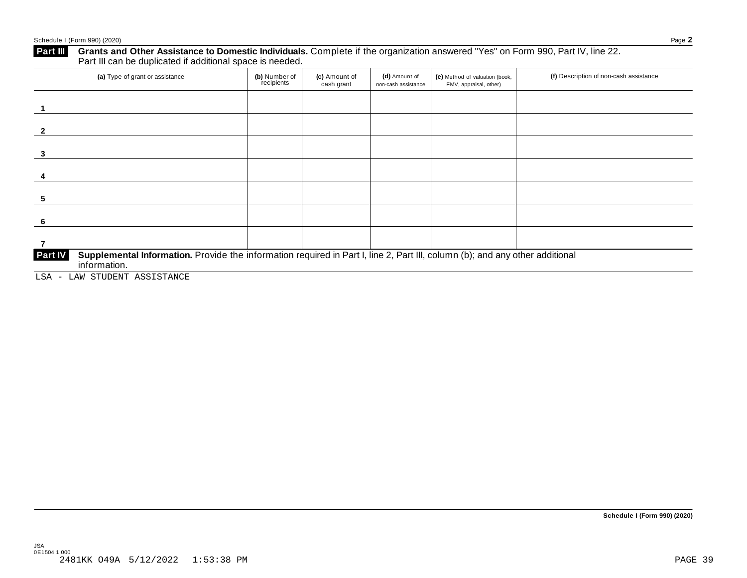## **Part III** Grants and Other Assistance to Domestic Individuals. Complete if the organization answered "Yes" on Form 990, Part IV, line 22.<br>Part III can be duplicated if additional space is needed.

| (a) Type of grant or assistance                                                                                                                                                                                                                                                                                                                                                                                                                                                                                | (b) Number of<br>recipients | (c) Amount of<br>cash grant | (d) Amount of<br>non-cash assistance | (e) Method of valuation (book,<br>FMV, appraisal, other) | (f) Description of non-cash assistance |
|----------------------------------------------------------------------------------------------------------------------------------------------------------------------------------------------------------------------------------------------------------------------------------------------------------------------------------------------------------------------------------------------------------------------------------------------------------------------------------------------------------------|-----------------------------|-----------------------------|--------------------------------------|----------------------------------------------------------|----------------------------------------|
|                                                                                                                                                                                                                                                                                                                                                                                                                                                                                                                |                             |                             |                                      |                                                          |                                        |
|                                                                                                                                                                                                                                                                                                                                                                                                                                                                                                                |                             |                             |                                      |                                                          |                                        |
| 3                                                                                                                                                                                                                                                                                                                                                                                                                                                                                                              |                             |                             |                                      |                                                          |                                        |
|                                                                                                                                                                                                                                                                                                                                                                                                                                                                                                                |                             |                             |                                      |                                                          |                                        |
| -5                                                                                                                                                                                                                                                                                                                                                                                                                                                                                                             |                             |                             |                                      |                                                          |                                        |
| -6                                                                                                                                                                                                                                                                                                                                                                                                                                                                                                             |                             |                             |                                      |                                                          |                                        |
|                                                                                                                                                                                                                                                                                                                                                                                                                                                                                                                |                             |                             |                                      |                                                          |                                        |
| Supplemental Information. Provide the information required in Part I, line 2, Part III, column (b); and any other additional<br><b>Part IV</b><br>information.<br>$\tau$ , $\tau$ , $\tau$ , $\tau$ , $\tau$ , $\tau$ , $\tau$ , $\tau$ , $\tau$ , $\tau$ , $\tau$ , $\tau$ , $\tau$ , $\tau$ , $\tau$ , $\tau$ , $\tau$ , $\tau$ , $\tau$ , $\tau$ , $\tau$ , $\tau$ , $\tau$ , $\tau$ , $\tau$ , $\tau$ , $\tau$ , $\tau$ , $\tau$ , $\tau$ , $\tau$ , $\tau$ , $\tau$ , $\tau$ , $\tau$ , $\tau$ , $\tau$ , |                             |                             |                                      |                                                          |                                        |

LSA - LAW STUDENT ASSISTANCE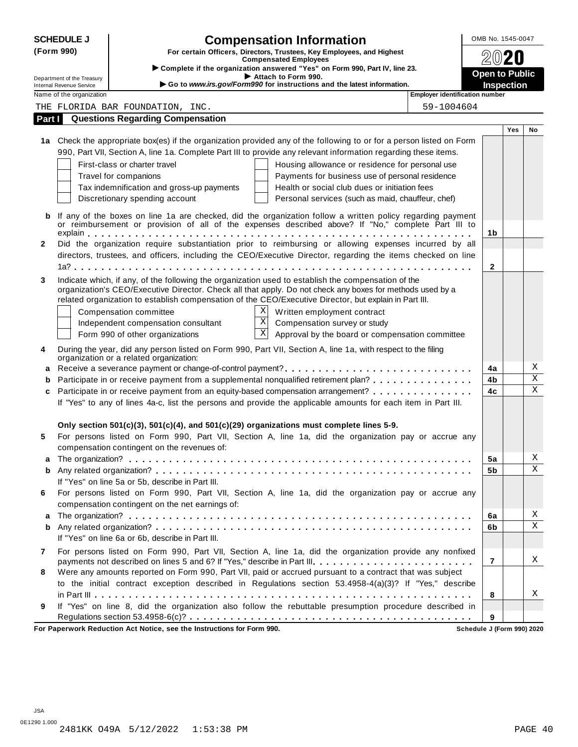|              | <b>SCHEDULE J</b>                                      | <b>Compensation Information</b>                                                                                                                                                                                     | OMB No. 1545-0047                          |     |             |
|--------------|--------------------------------------------------------|---------------------------------------------------------------------------------------------------------------------------------------------------------------------------------------------------------------------|--------------------------------------------|-----|-------------|
|              | (Form 990)                                             | For certain Officers, Directors, Trustees, Key Employees, and Highest                                                                                                                                               |                                            |     |             |
|              |                                                        | <b>Compensated Employees</b><br>Complete if the organization answered "Yes" on Form 990, Part IV, line 23.                                                                                                          |                                            |     |             |
|              | Department of the Treasury<br>Internal Revenue Service | Attach to Form 990.<br>Go to www.irs.gov/Form990 for instructions and the latest information.                                                                                                                       | <b>Open to Public</b><br><b>Inspection</b> |     |             |
|              | Name of the organization                               | <b>Employer identification number</b>                                                                                                                                                                               |                                            |     |             |
|              |                                                        | 59-1004604<br>THE FLORIDA BAR FOUNDATION, INC.                                                                                                                                                                      |                                            |     |             |
| Part I       |                                                        | <b>Questions Regarding Compensation</b>                                                                                                                                                                             |                                            |     |             |
|              |                                                        |                                                                                                                                                                                                                     |                                            | Yes | No          |
|              |                                                        | 1a Check the appropriate box(es) if the organization provided any of the following to or for a person listed on Form                                                                                                |                                            |     |             |
|              |                                                        | 990, Part VII, Section A, line 1a. Complete Part III to provide any relevant information regarding these items.                                                                                                     |                                            |     |             |
|              |                                                        | First-class or charter travel<br>Housing allowance or residence for personal use                                                                                                                                    |                                            |     |             |
|              |                                                        | Travel for companions<br>Payments for business use of personal residence                                                                                                                                            |                                            |     |             |
|              |                                                        | Health or social club dues or initiation fees<br>Tax indemnification and gross-up payments                                                                                                                          |                                            |     |             |
|              |                                                        | Discretionary spending account<br>Personal services (such as maid, chauffeur, chef)                                                                                                                                 |                                            |     |             |
| b            |                                                        | If any of the boxes on line 1a are checked, did the organization follow a written policy regarding payment                                                                                                          |                                            |     |             |
|              |                                                        | or reimbursement or provision of all of the expenses described above? If "No," complete Part III to                                                                                                                 |                                            |     |             |
|              |                                                        |                                                                                                                                                                                                                     | 1b                                         |     |             |
| $\mathbf{2}$ |                                                        | Did the organization require substantiation prior to reimbursing or allowing expenses incurred by all                                                                                                               |                                            |     |             |
|              |                                                        | directors, trustees, and officers, including the CEO/Executive Director, regarding the items checked on line                                                                                                        |                                            |     |             |
|              |                                                        |                                                                                                                                                                                                                     | $\mathbf{2}$                               |     |             |
| 3            |                                                        | Indicate which, if any, of the following the organization used to establish the compensation of the                                                                                                                 |                                            |     |             |
|              |                                                        | organization's CEO/Executive Director. Check all that apply. Do not check any boxes for methods used by a<br>related organization to establish compensation of the CEO/Executive Director, but explain in Part III. |                                            |     |             |
|              |                                                        | X<br>Compensation committee<br>Written employment contract                                                                                                                                                          |                                            |     |             |
|              |                                                        | X<br>Compensation survey or study<br>Independent compensation consultant                                                                                                                                            |                                            |     |             |
|              |                                                        | $\mathbf X$<br>Approval by the board or compensation committee<br>Form 990 of other organizations                                                                                                                   |                                            |     |             |
|              |                                                        |                                                                                                                                                                                                                     |                                            |     |             |
| 4            |                                                        | During the year, did any person listed on Form 990, Part VII, Section A, line 1a, with respect to the filing<br>organization or a related organization:                                                             |                                            |     |             |
| a            |                                                        |                                                                                                                                                                                                                     | 4a                                         |     | Χ           |
|              |                                                        | Participate in or receive payment from a supplemental nonqualified retirement plan?                                                                                                                                 | 4b                                         |     | $\rm X$     |
| C            |                                                        | Participate in or receive payment from an equity-based compensation arrangement?                                                                                                                                    | 4c                                         |     | $\mathbf X$ |
|              |                                                        | If "Yes" to any of lines 4a-c, list the persons and provide the applicable amounts for each item in Part III.                                                                                                       |                                            |     |             |
|              |                                                        |                                                                                                                                                                                                                     |                                            |     |             |
|              |                                                        | Only section 501(c)(3), 501(c)(4), and 501(c)(29) organizations must complete lines 5-9.                                                                                                                            |                                            |     |             |
| 5            |                                                        | For persons listed on Form 990, Part VII, Section A, line 1a, did the organization pay or accrue any                                                                                                                |                                            |     |             |
|              |                                                        | compensation contingent on the revenues of:                                                                                                                                                                         |                                            |     |             |
| a            |                                                        |                                                                                                                                                                                                                     | 5a                                         |     | Χ           |
| b            |                                                        |                                                                                                                                                                                                                     | 5b                                         |     | X           |
|              |                                                        | If "Yes" on line 5a or 5b, describe in Part III.                                                                                                                                                                    |                                            |     |             |
| 6            |                                                        | For persons listed on Form 990, Part VII, Section A, line 1a, did the organization pay or accrue any                                                                                                                |                                            |     |             |
|              |                                                        | compensation contingent on the net earnings of:                                                                                                                                                                     |                                            |     | Χ           |
| а            |                                                        |                                                                                                                                                                                                                     | 6a                                         |     | $\mathbf X$ |
| b            |                                                        | If "Yes" on line 6a or 6b, describe in Part III.                                                                                                                                                                    | 6b                                         |     |             |
|              |                                                        |                                                                                                                                                                                                                     |                                            |     |             |
| $\mathbf{7}$ |                                                        | For persons listed on Form 990, Part VII, Section A, line 1a, did the organization provide any nonfixed<br>payments not described on lines 5 and 6? If "Yes," describe in Part III.                                 | $\overline{7}$                             |     | Χ           |
| 8            |                                                        | Were any amounts reported on Form 990, Part VII, paid or accrued pursuant to a contract that was subject                                                                                                            |                                            |     |             |
|              |                                                        | to the initial contract exception described in Regulations section 53.4958-4(a)(3)? If "Yes," describe                                                                                                              |                                            |     |             |
|              |                                                        |                                                                                                                                                                                                                     | 8                                          |     | Χ           |
| 9            |                                                        | If "Yes" on line 8, did the organization also follow the rebuttable presumption procedure described in                                                                                                              |                                            |     |             |
|              |                                                        |                                                                                                                                                                                                                     | 9                                          |     |             |
|              |                                                        | For Paperwork Reduction Act Notice, see the Instructions for Form 990.                                                                                                                                              | Schedule J (Form 990) 2020                 |     |             |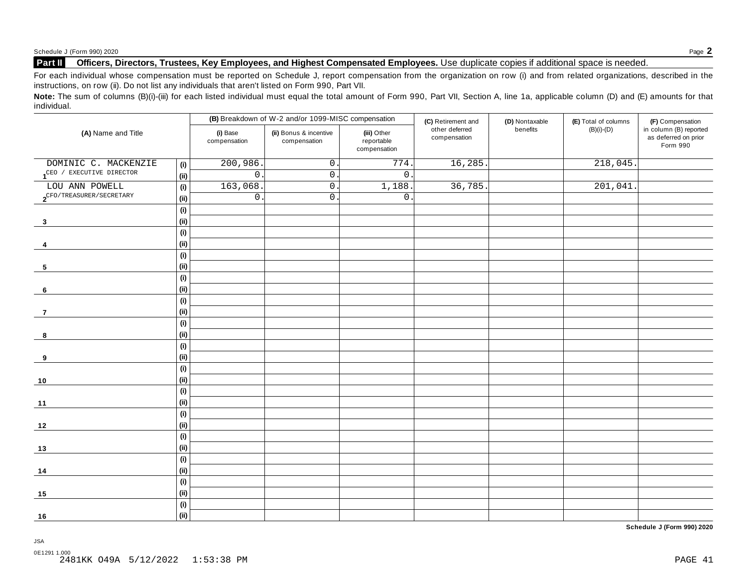#### **Part II Officers, Directors, Trustees, Key Employees, and Highest Compensated Employees.** Use duplicate copies ifadditional space is needed.

For each individual whose compensation must be reported on Schedule J, report compensation from the organization on row (i) and from related organizations, described in the instructions, on row (ii). Do not list any individuals that aren't listed on Form 990, Part VII.

Note: The sum of columns (B)(i)-(iii) for each listed individual must equal the total amount of Form 990, Part VII, Section A, line 1a, applicable column (D) and (E) amounts for that individual.

|                                       |      |                          | (B) Breakdown of W-2 and/or 1099-MISC compensation |                                           | (C) Retirement and             | (D) Nontaxable | (E) Total of columns | (F) Compensation                                           |  |
|---------------------------------------|------|--------------------------|----------------------------------------------------|-------------------------------------------|--------------------------------|----------------|----------------------|------------------------------------------------------------|--|
| (A) Name and Title                    |      | (i) Base<br>compensation | (ii) Bonus & incentive<br>compensation             | (iii) Other<br>reportable<br>compensation | other deferred<br>compensation | benefits       | $(B)(i)-(D)$         | in column (B) reported<br>as deferred on prior<br>Form 990 |  |
| DOMINIC C. MACKENZIE                  | (i)  | 200,986.                 | $0\,$ .                                            | 774                                       | 16,285                         |                | 218,045.             |                                                            |  |
| 1 <sup>CEO</sup> / EXECUTIVE DIRECTOR | (ii) | $\mathsf{O}$             | $\overline{0}$ .                                   | $\overline{0}$ .                          |                                |                |                      |                                                            |  |
| LOU ANN POWELL                        | (i)  | 163,068                  | $\overline{0}$ .                                   | 1,188.                                    | 36,785                         |                | 201,041              |                                                            |  |
| $2^{\text{CFO/TREASURER/SECRETARY}}$  | (ii) | $\mathsf{O}\xspace$      | $0$ .                                              | $\mathsf{O}$                              |                                |                |                      |                                                            |  |
|                                       | (i)  |                          |                                                    |                                           |                                |                |                      |                                                            |  |
| $\mathbf{3}$                          | (ii) |                          |                                                    |                                           |                                |                |                      |                                                            |  |
|                                       | (i)  |                          |                                                    |                                           |                                |                |                      |                                                            |  |
| 4                                     | (ii) |                          |                                                    |                                           |                                |                |                      |                                                            |  |
|                                       | (i)  |                          |                                                    |                                           |                                |                |                      |                                                            |  |
| 5                                     | (ii) |                          |                                                    |                                           |                                |                |                      |                                                            |  |
|                                       | (i)  |                          |                                                    |                                           |                                |                |                      |                                                            |  |
| $6\phantom{.}6$                       | (ii) |                          |                                                    |                                           |                                |                |                      |                                                            |  |
|                                       | (i)  |                          |                                                    |                                           |                                |                |                      |                                                            |  |
| 7                                     | (ii) |                          |                                                    |                                           |                                |                |                      |                                                            |  |
|                                       | (i)  |                          |                                                    |                                           |                                |                |                      |                                                            |  |
| 8                                     | (ii) |                          |                                                    |                                           |                                |                |                      |                                                            |  |
|                                       | (i)  |                          |                                                    |                                           |                                |                |                      |                                                            |  |
| 9                                     | (ii) |                          |                                                    |                                           |                                |                |                      |                                                            |  |
|                                       | (i)  |                          |                                                    |                                           |                                |                |                      |                                                            |  |
| $10$                                  | (ii) |                          |                                                    |                                           |                                |                |                      |                                                            |  |
|                                       | (i)  |                          |                                                    |                                           |                                |                |                      |                                                            |  |
| 11                                    | (ii) |                          |                                                    |                                           |                                |                |                      |                                                            |  |
|                                       | (i)  |                          |                                                    |                                           |                                |                |                      |                                                            |  |
| 12                                    | (ii) |                          |                                                    |                                           |                                |                |                      |                                                            |  |
|                                       | (i)  |                          |                                                    |                                           |                                |                |                      |                                                            |  |
| 13                                    | (ii) |                          |                                                    |                                           |                                |                |                      |                                                            |  |
|                                       | (i)  |                          |                                                    |                                           |                                |                |                      |                                                            |  |
| 14                                    | (ii) |                          |                                                    |                                           |                                |                |                      |                                                            |  |
|                                       | (i)  |                          |                                                    |                                           |                                |                |                      |                                                            |  |
| 15                                    | (ii) |                          |                                                    |                                           |                                |                |                      |                                                            |  |
|                                       | (i)  |                          |                                                    |                                           |                                |                |                      |                                                            |  |
| 16                                    | (ii) |                          |                                                    |                                           |                                |                |                      |                                                            |  |

**Schedule J (Form 990) 2020**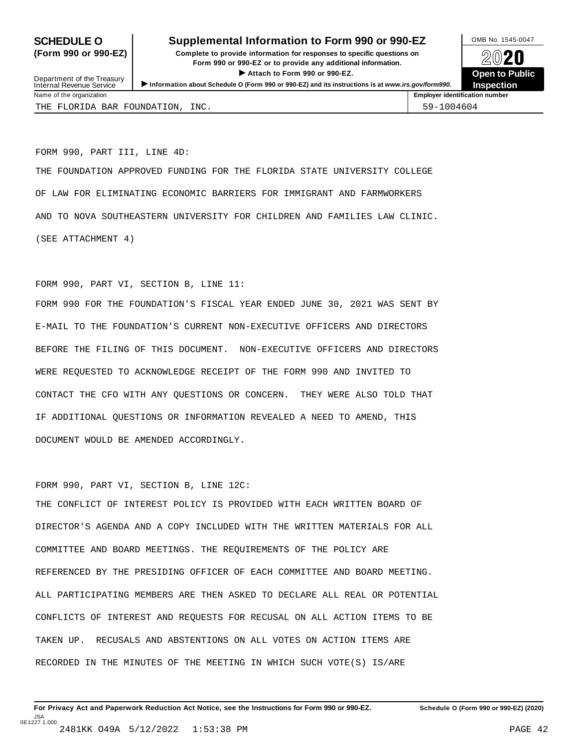#### **SCHEDULE O** Supplemental Information to Form 990 or 990-EZ DAMB No. 1545-0047

**(Form 990 or 990-EZ) Complete to provide information for responses to specific questions on** plete to provide information for responses to specific questions on  $\bigotimes_{\mathbb{Z}}\mathbb{Q}$  20 **EVECT**<br>
Attach to Form 990 or 990-EZ.<br>
and the Communication of the Communication of the Communication of the Communication of the Communication of the Communication of the Communication of the Communication of the Commu



Department of the Treasury<br>Internal Revenue Service Department of the Treasury <br>Depen to Public<br>Name of the organization<br>Name of the organization<br>Name of the organization<br>Name of the organization THE FLORIDA BAR FOUNDATION, INC.  $\vert$  59-1004604

FORM 990, PART III, LINE 4D:

THE FOUNDATION APPROVED FUNDING FOR THE FLORIDA STATE UNIVERSITY COLLEGE OF LAW FOR ELIMINATING ECONOMIC BARRIERS FOR IMMIGRANT AND FARMWORKERS AND TO NOVA SOUTHEASTERN UNIVERSITY FOR CHILDREN AND FAMILIES LAW CLINIC. (SEE ATTACHMENT 4)

FORM 990, PART VI, SECTION B, LINE 11:

FORM 990 FOR THE FOUNDATION'S FISCAL YEAR ENDED JUNE 30, 2021 WAS SENT BY E-MAIL TO THE FOUNDATION'S CURRENT NON-EXECUTIVE OFFICERS AND DIRECTORS BEFORE THE FILING OF THIS DOCUMENT. NON-EXECUTIVE OFFICERS AND DIRECTORS WERE REQUESTED TO ACKNOWLEDGE RECEIPT OF THE FORM 990 AND INVITED TO CONTACT THE CFO WITH ANY QUESTIONS OR CONCERN. THEY WERE ALSO TOLD THAT IF ADDITIONAL QUESTIONS OR INFORMATION REVEALED A NEED TO AMEND, THIS DOCUMENT WOULD BE AMENDED ACCORDINGLY.

FORM 990, PART VI, SECTION B, LINE 12C:

THE CONFLICT OF INTEREST POLICY IS PROVIDED WITH EACH WRITTEN BOARD OF DIRECTOR'S AGENDA AND A COPY INCLUDED WITH THE WRITTEN MATERIALS FOR ALL COMMITTEE AND BOARD MEETINGS. THE REQUIREMENTS OF THE POLICY ARE REFERENCED BY THE PRESIDING OFFICER OF EACH COMMITTEE AND BOARD MEETING. ALL PARTICIPATING MEMBERS ARE THEN ASKED TO DECLARE ALL REAL OR POTENTIAL CONFLICTS OF INTEREST AND REQUESTS FOR RECUSAL ON ALL ACTION ITEMS TO BE TAKEN UP. RECUSALS AND ABSTENTIONS ON ALL VOTES ON ACTION ITEMS ARE RECORDED IN THE MINUTES OF THE MEETING IN WHICH SUCH VOTE(S) IS/ARE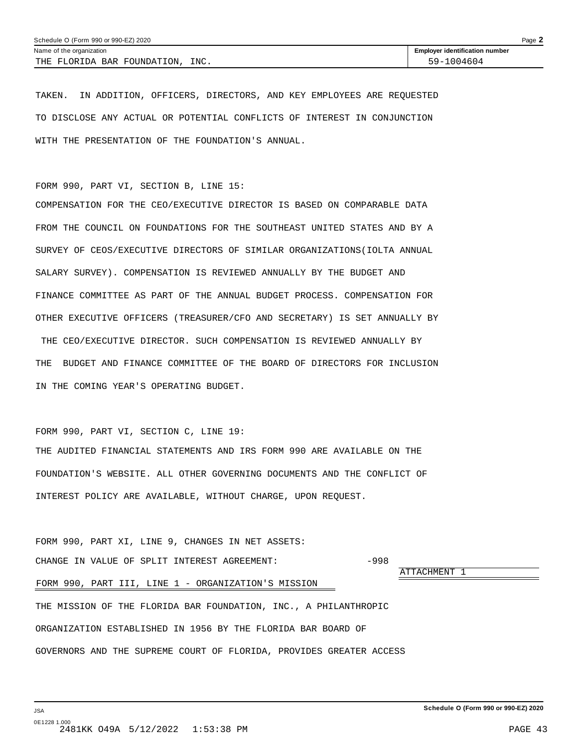TAKEN. IN ADDITION, OFFICERS, DIRECTORS, AND KEY EMPLOYEES ARE REQUESTED TO DISCLOSE ANY ACTUAL OR POTENTIAL CONFLICTS OF INTEREST IN CONJUNCTION WITH THE PRESENTATION OF THE FOUNDATION'S ANNUAL.

FORM 990, PART VI, SECTION B, LINE 15:

COMPENSATION FOR THE CEO/EXECUTIVE DIRECTOR IS BASED ON COMPARABLE DATA FROM THE COUNCIL ON FOUNDATIONS FOR THE SOUTHEAST UNITED STATES AND BY A SURVEY OF CEOS/EXECUTIVE DIRECTORS OF SIMILAR ORGANIZATIONS(IOLTA ANNUAL SALARY SURVEY). COMPENSATION IS REVIEWED ANNUALLY BY THE BUDGET AND FINANCE COMMITTEE AS PART OF THE ANNUAL BUDGET PROCESS. COMPENSATION FOR OTHER EXECUTIVE OFFICERS (TREASURER/CFO AND SECRETARY) IS SET ANNUALLY BY THE CEO/EXECUTIVE DIRECTOR. SUCH COMPENSATION IS REVIEWED ANNUALLY BY THE BUDGET AND FINANCE COMMITTEE OF THE BOARD OF DIRECTORS FOR INCLUSION IN THE COMING YEAR'S OPERATING BUDGET.

FORM 990, PART VI, SECTION C, LINE 19:

THE AUDITED FINANCIAL STATEMENTS AND IRS FORM 990 ARE AVAILABLE ON THE FOUNDATION'S WEBSITE. ALL OTHER GOVERNING DOCUMENTS AND THE CONFLICT OF INTEREST POLICY ARE AVAILABLE, WITHOUT CHARGE, UPON REQUEST.

FORM 990, PART XI, LINE 9, CHANGES IN NET ASSETS: CHANGE IN VALUE OF SPLIT INTEREST AGREEMENT:  $-998$ ATTACHMENT 1 FORM 990, PART III, LINE 1 - ORGANIZATION'S MISSION THE MISSION OF THE FLORIDA BAR FOUNDATION, INC., A PHILANTHROPIC ORGANIZATION ESTABLISHED IN 1956 BY THE FLORIDA BAR BOARD OF GOVERNORS AND THE SUPREME COURT OF FLORIDA, PROVIDES GREATER ACCESS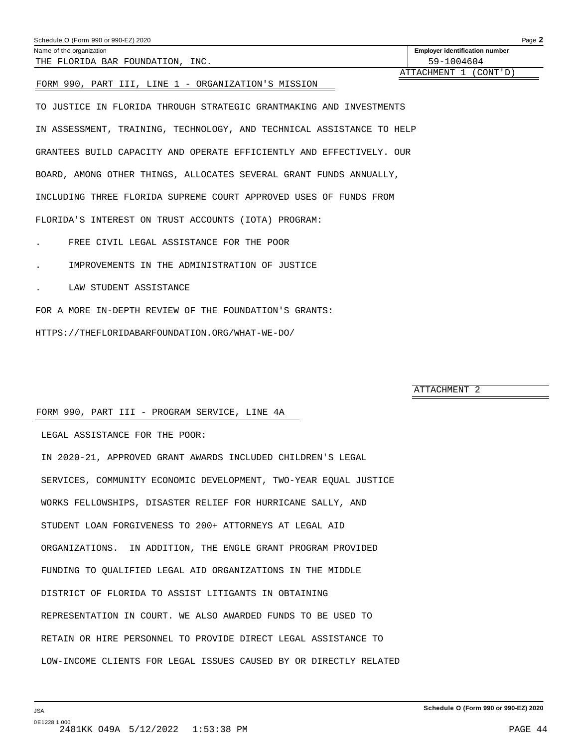| Schedule O (Form 990 or 990-EZ) 2020                | Page 2                                |
|-----------------------------------------------------|---------------------------------------|
| Name of the organization                            | <b>Employer identification number</b> |
| THE FLORIDA BAR FOUNDATION, INC.                    | 59-1004604                            |
|                                                     | ATTACHMENT 1 (CONT'D)                 |
| FORM 990, PART III, LINE 1 - ORGANIZATION'S MISSION |                                       |
|                                                     |                                       |

TO JUSTICE IN FLORIDA THROUGH STRATEGIC GRANTMAKING AND INVESTMENTS IN ASSESSMENT, TRAINING, TECHNOLOGY, AND TECHNICAL ASSISTANCE TO HELP GRANTEES BUILD CAPACITY AND OPERATE EFFICIENTLY AND EFFECTIVELY. OUR BOARD, AMONG OTHER THINGS, ALLOCATES SEVERAL GRANT FUNDS ANNUALLY, INCLUDING THREE FLORIDA SUPREME COURT APPROVED USES OF FUNDS FROM FLORIDA'S INTEREST ON TRUST ACCOUNTS (IOTA) PROGRAM:

- . FREE CIVIL LEGAL ASSISTANCE FOR THE POOR
- . IMPROVEMENTS IN THE ADMINISTRATION OF JUSTICE
- . LAW STUDENT ASSISTANCE

FOR A MORE IN-DEPTH REVIEW OF THE FOUNDATION'S GRANTS:

HTTPS://THEFLORIDABARFOUNDATION.ORG/WHAT-WE-DO/

ATTACHMENT 2

#### FORM 990, PART III - PROGRAM SERVICE, LINE 4A

LEGAL ASSISTANCE FOR THE POOR:

IN 2020-21, APPROVED GRANT AWARDS INCLUDED CHILDREN'S LEGAL SERVICES, COMMUNITY ECONOMIC DEVELOPMENT, TWO-YEAR EQUAL JUSTICE WORKS FELLOWSHIPS, DISASTER RELIEF FOR HURRICANE SALLY, AND STUDENT LOAN FORGIVENESS TO 200+ ATTORNEYS AT LEGAL AID ORGANIZATIONS. IN ADDITION, THE ENGLE GRANT PROGRAM PROVIDED FUNDING TO QUALIFIED LEGAL AID ORGANIZATIONS IN THE MIDDLE DISTRICT OF FLORIDA TO ASSIST LITIGANTS IN OBTAINING REPRESENTATION IN COURT. WE ALSO AWARDED FUNDS TO BE USED TO RETAIN OR HIRE PERSONNEL TO PROVIDE DIRECT LEGAL ASSISTANCE TO LOW-INCOME CLIENTS FOR LEGAL ISSUES CAUSED BY OR DIRECTLY RELATED

**Schedule O (Form 990 or 990-EZ) 2020**

JSA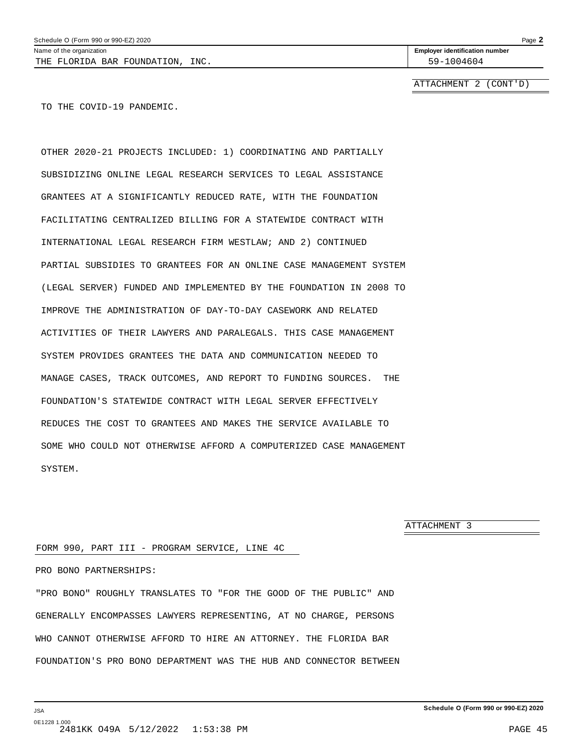ATTACHMENT 2 (CONT'D)

TO THE COVID-19 PANDEMIC.

OTHER 2020-21 PROJECTS INCLUDED: 1) COORDINATING AND PARTIALLY SUBSIDIZING ONLINE LEGAL RESEARCH SERVICES TO LEGAL ASSISTANCE GRANTEES AT A SIGNIFICANTLY REDUCED RATE, WITH THE FOUNDATION FACILITATING CENTRALIZED BILLING FOR A STATEWIDE CONTRACT WITH INTERNATIONAL LEGAL RESEARCH FIRM WESTLAW; AND 2) CONTINUED PARTIAL SUBSIDIES TO GRANTEES FOR AN ONLINE CASE MANAGEMENT SYSTEM (LEGAL SERVER) FUNDED AND IMPLEMENTED BY THE FOUNDATION IN 2008 TO IMPROVE THE ADMINISTRATION OF DAY-TO-DAY CASEWORK AND RELATED ACTIVITIES OF THEIR LAWYERS AND PARALEGALS. THIS CASE MANAGEMENT SYSTEM PROVIDES GRANTEES THE DATA AND COMMUNICATION NEEDED TO MANAGE CASES, TRACK OUTCOMES, AND REPORT TO FUNDING SOURCES. THE FOUNDATION'S STATEWIDE CONTRACT WITH LEGAL SERVER EFFECTIVELY REDUCES THE COST TO GRANTEES AND MAKES THE SERVICE AVAILABLE TO SOME WHO COULD NOT OTHERWISE AFFORD A COMPUTERIZED CASE MANAGEMENT SYSTEM.

ATTACHMENT 3

#### FORM 990, PART III - PROGRAM SERVICE, LINE 4C

#### PRO BONO PARTNERSHIPS:

"PRO BONO" ROUGHLY TRANSLATES TO "FOR THE GOOD OF THE PUBLIC" AND GENERALLY ENCOMPASSES LAWYERS REPRESENTING, AT NO CHARGE, PERSONS WHO CANNOT OTHERWISE AFFORD TO HIRE AN ATTORNEY. THE FLORIDA BAR FOUNDATION'S PRO BONO DEPARTMENT WAS THE HUB AND CONNECTOR BETWEEN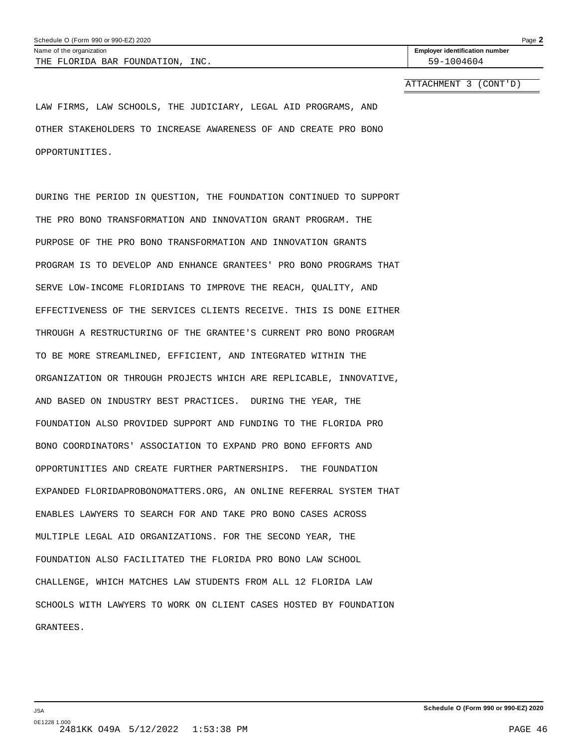ATTACHMENT 3 (CONT'D)

LAW FIRMS, LAW SCHOOLS, THE JUDICIARY, LEGAL AID PROGRAMS, AND OTHER STAKEHOLDERS TO INCREASE AWARENESS OF AND CREATE PRO BONO OPPORTUNITIES.

DURING THE PERIOD IN QUESTION, THE FOUNDATION CONTINUED TO SUPPORT THE PRO BONO TRANSFORMATION AND INNOVATION GRANT PROGRAM. THE PURPOSE OF THE PRO BONO TRANSFORMATION AND INNOVATION GRANTS PROGRAM IS TO DEVELOP AND ENHANCE GRANTEES' PRO BONO PROGRAMS THAT SERVE LOW-INCOME FLORIDIANS TO IMPROVE THE REACH, QUALITY, AND EFFECTIVENESS OF THE SERVICES CLIENTS RECEIVE. THIS IS DONE EITHER THROUGH A RESTRUCTURING OF THE GRANTEE'S CURRENT PRO BONO PROGRAM TO BE MORE STREAMLINED, EFFICIENT, AND INTEGRATED WITHIN THE ORGANIZATION OR THROUGH PROJECTS WHICH ARE REPLICABLE, INNOVATIVE, AND BASED ON INDUSTRY BEST PRACTICES. DURING THE YEAR, THE FOUNDATION ALSO PROVIDED SUPPORT AND FUNDING TO THE FLORIDA PRO BONO COORDINATORS' ASSOCIATION TO EXPAND PRO BONO EFFORTS AND OPPORTUNITIES AND CREATE FURTHER PARTNERSHIPS. THE FOUNDATION EXPANDED FLORIDAPROBONOMATTERS.ORG, AN ONLINE REFERRAL SYSTEM THAT ENABLES LAWYERS TO SEARCH FOR AND TAKE PRO BONO CASES ACROSS MULTIPLE LEGAL AID ORGANIZATIONS. FOR THE SECOND YEAR, THE FOUNDATION ALSO FACILITATED THE FLORIDA PRO BONO LAW SCHOOL CHALLENGE, WHICH MATCHES LAW STUDENTS FROM ALL 12 FLORIDA LAW SCHOOLS WITH LAWYERS TO WORK ON CLIENT CASES HOSTED BY FOUNDATION GRANTEES.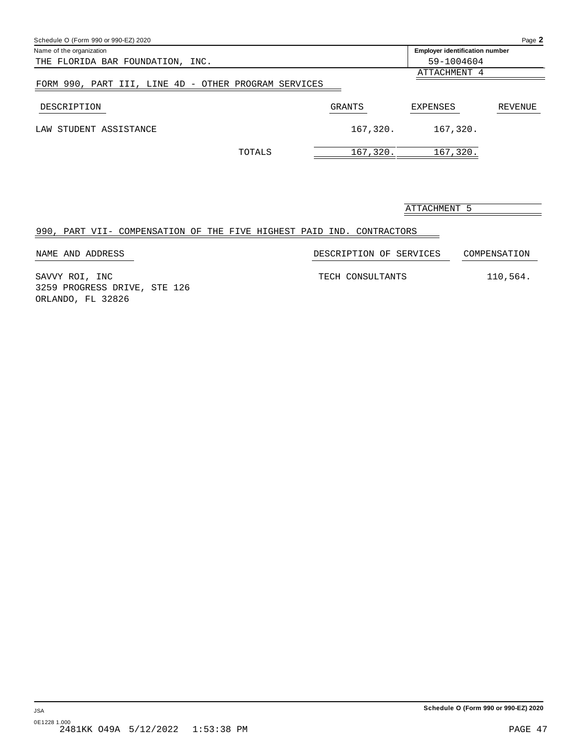| Schedule O (Form 990 or 990-EZ) 2020                 |          |                                       | Page 2  |
|------------------------------------------------------|----------|---------------------------------------|---------|
| Name of the organization                             |          | <b>Employer identification number</b> |         |
| THE FLORIDA BAR FOUNDATION, INC.                     |          | 59-1004604                            |         |
|                                                      |          | ATTACHMENT 4                          |         |
| FORM 990, PART III, LINE 4D - OTHER PROGRAM SERVICES |          |                                       |         |
| DESCRIPTION                                          | GRANTS   | <b>EXPENSES</b>                       | REVENUE |
| LAW STUDENT ASSISTANCE                               | 167,320. | 167,320.                              |         |
| TOTALS                                               | 167,320. | 167,320.                              |         |

ATTACHMENT 5

### 990, PART VII- COMPENSATION OF THE FIVE HIGHEST PAID IND. CONTRACTORS

| NAME AND ADDRESS                               | DESCRIPTION OF SERVICES | COMPENSATION |
|------------------------------------------------|-------------------------|--------------|
| SAVVY ROI, INC<br>3259 PROGRESS DRIVE, STE 126 | TECH CONSULTANTS        | 110,564.     |
| ORLANDO, FL 32826                              |                         |              |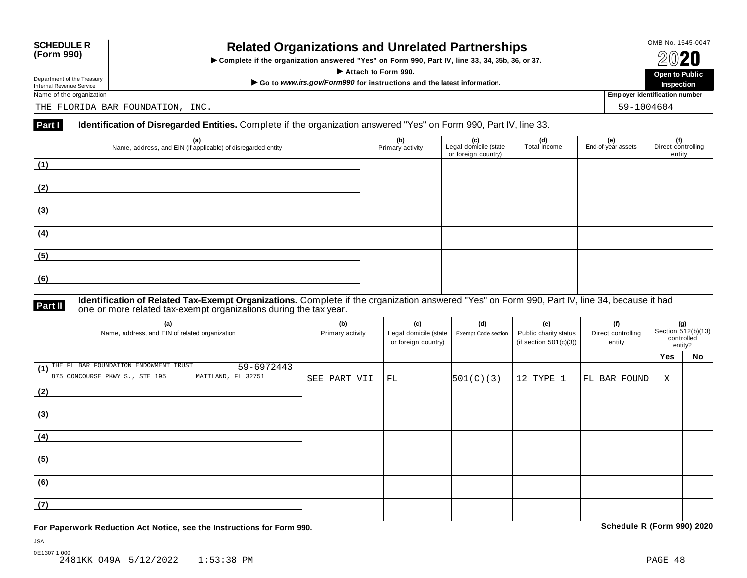## OMB No. 1545-0047 **SCHEDULE R (Form 990) Related Organizations and Unrelated Partnerships**

 $\triangleright$  Complete if the organization answered "Yes" on Form 990, Part IV, line 33, 34, 35b, 36, or 37.  $\angle$  **COLO**<br>  $\angle$  Attach to Form 990.<br>  $\angle$  Attach to Form 990.

Department of the Treasury<br>
Internal Revenue Service<br>
Name of the organization<br>
Name of the organization<br>
Name of the organization<br> **Name of the organization** 

Department of the Treasury<br>Internal Revenue Service

THE FLORIDA BAR FOUNDATION, INC. THE SALE OF A SALE OF A SALE OF A SALE OF A SALE OF A SALE OF A SALE OF A SALE

#### **Part I Identification of Disregarded Entities.** Complete if the organization answered "Yes" on Form 990, Part IV, line 33.

| (a)<br>Name, address, and EIN (if applicable) of disregarded entity | (b)<br>Primary activity | (c)<br>Legal domicile (state<br>or foreign country) | (d)<br>Total income | (e)<br>End-of-year assets | (f)<br>Direct controlling<br>entity |
|---------------------------------------------------------------------|-------------------------|-----------------------------------------------------|---------------------|---------------------------|-------------------------------------|
| (1)                                                                 |                         |                                                     |                     |                           |                                     |
| (2)                                                                 |                         |                                                     |                     |                           |                                     |
| (3)                                                                 |                         |                                                     |                     |                           |                                     |
| (4)                                                                 |                         |                                                     |                     |                           |                                     |
| (5)                                                                 |                         |                                                     |                     |                           |                                     |
| (6)                                                                 |                         |                                                     |                     |                           |                                     |

#### **Identification of Related Tax-Exempt Organizations.** Complete if the organization answered "Yes" on Form 990, Part IV, line 34, because it had **Part II** one or more related tax-exempt organizations. Complete is one or more related tax-exempt organizations during the tax year.

| (a)<br>Name, address, and EIN of related organization   | (b)<br>Primary activity | (c)<br>Legal domicile (state<br>or foreign country) | (d)<br><b>Exempt Code section</b> | (e)<br>Public charity status<br>(if section $501(c)(3)$ ) | (f)<br>Direct controlling<br>entity | (g)<br>Section 512(b)(13)<br>controlled<br>entity? |    |
|---------------------------------------------------------|-------------------------|-----------------------------------------------------|-----------------------------------|-----------------------------------------------------------|-------------------------------------|----------------------------------------------------|----|
|                                                         |                         |                                                     |                                   |                                                           |                                     | <b>Yes</b>                                         | No |
| (1) THE FL BAR FOUNDATION ENDOWMENT TRUST<br>59-6972443 |                         |                                                     |                                   |                                                           |                                     |                                                    |    |
| 875 CONCOURSE PKWY S., STE 195<br>MAITLAND, FL 32751    | SEE PART VII            | FL                                                  | 501(C)(3)                         | 12 TYPE 1                                                 | FL BAR FOUND                        | X                                                  |    |
| (2)                                                     |                         |                                                     |                                   |                                                           |                                     |                                                    |    |
|                                                         |                         |                                                     |                                   |                                                           |                                     |                                                    |    |
| (3)                                                     |                         |                                                     |                                   |                                                           |                                     |                                                    |    |
|                                                         |                         |                                                     |                                   |                                                           |                                     |                                                    |    |
| (4)                                                     |                         |                                                     |                                   |                                                           |                                     |                                                    |    |
|                                                         |                         |                                                     |                                   |                                                           |                                     |                                                    |    |
| (5)                                                     |                         |                                                     |                                   |                                                           |                                     |                                                    |    |
|                                                         |                         |                                                     |                                   |                                                           |                                     |                                                    |    |
| (6)                                                     |                         |                                                     |                                   |                                                           |                                     |                                                    |    |
|                                                         |                         |                                                     |                                   |                                                           |                                     |                                                    |    |
| (7)                                                     |                         |                                                     |                                   |                                                           |                                     |                                                    |    |
|                                                         |                         |                                                     |                                   |                                                           |                                     |                                                    |    |

**For Paperwork Reduction Act Notice, see the Instructions for Form 990. Schedule R (Form 990) 2020**



**Inspection**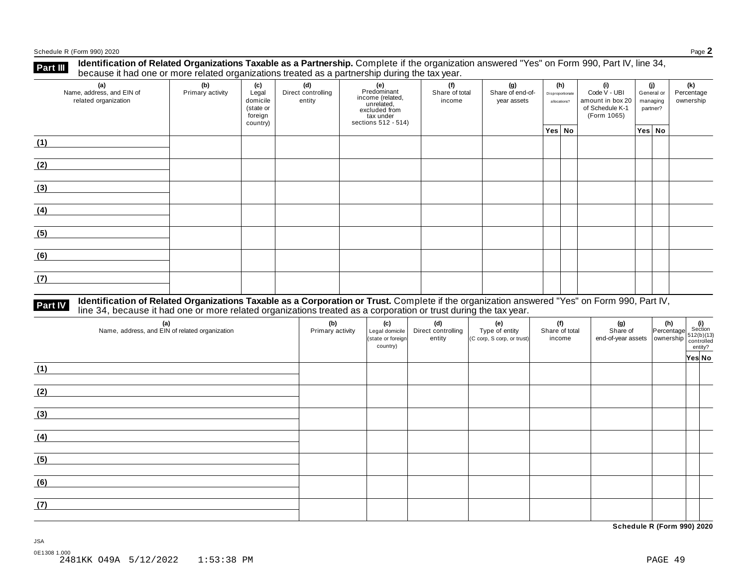Schedule <sup>R</sup> (Form 990) <sup>2020</sup> Page **2**

**Identification of Related Organizations Taxable as a Partnership.** Complete if the organization answered "Yes" on Form 990, Part IV, line 34, **because it had one or more related organizations Taxable as a Partnership.** Complete if the organizations treated as a partnership during the tax year.

| (a)<br>Name, address, and EIN of<br>related organization | (b)<br>Primary activity | (c)<br>Legal<br>domicile<br>(state or<br>foreign<br>country) | (d)<br>Direct controlling<br>entity | (e)<br>Predominant<br>income (related,<br>unrelated,<br>excluded from<br>tax under<br>sections 512 - 514) | (f)<br>Share of total<br>income | (g)<br>Share of end-of-<br>year assets | (h)<br>Disproportionate<br>allocations? |  | (i)<br>Code V - UBI<br>amount in box 20<br>of Schedule K-1<br>(Form 1065) | (i)<br>General or<br>managing<br>partner? |        | (k)<br>Percentage<br>ownership |
|----------------------------------------------------------|-------------------------|--------------------------------------------------------------|-------------------------------------|-----------------------------------------------------------------------------------------------------------|---------------------------------|----------------------------------------|-----------------------------------------|--|---------------------------------------------------------------------------|-------------------------------------------|--------|--------------------------------|
|                                                          |                         |                                                              |                                     |                                                                                                           |                                 |                                        | Yes No                                  |  |                                                                           |                                           | Yes No |                                |
| (1)                                                      |                         |                                                              |                                     |                                                                                                           |                                 |                                        |                                         |  |                                                                           |                                           |        |                                |
| (2)                                                      |                         |                                                              |                                     |                                                                                                           |                                 |                                        |                                         |  |                                                                           |                                           |        |                                |
| (3)                                                      |                         |                                                              |                                     |                                                                                                           |                                 |                                        |                                         |  |                                                                           |                                           |        |                                |
| (4)                                                      |                         |                                                              |                                     |                                                                                                           |                                 |                                        |                                         |  |                                                                           |                                           |        |                                |
| (5)                                                      |                         |                                                              |                                     |                                                                                                           |                                 |                                        |                                         |  |                                                                           |                                           |        |                                |
| (6)                                                      |                         |                                                              |                                     |                                                                                                           |                                 |                                        |                                         |  |                                                                           |                                           |        |                                |
| (7)                                                      |                         |                                                              |                                     |                                                                                                           |                                 |                                        |                                         |  |                                                                           |                                           |        |                                |

## **Part IV** Identification of Related Organizations Taxable as a Corporation or Trust. Complete if the organization answered "Yes" on Form 990, Part IV,<br>line 34, because it had one or more related organizations treated as a

| (a)<br>Name, address, and EIN of related organization | (b)<br>Primary activity | (c)<br>Legal domicile<br>(state or foreign<br>country) | (d)<br>Direct controlling<br>entity | (e)<br>Type of entity<br>(C corp, S corp, or trust) | (f)<br>Share of total<br>income | (g) (h) $\frac{1}{2}$ (i) $\frac{1}{2}$ (i) $\frac{1}{2}$ (i) $\frac{1}{2}$ (i) $\frac{1}{2}$ (b)(13) $\frac{1}{2}$ end-of-year assets ownership $\frac{1}{2}$ (c)(b)(13) $\frac{1}{2}$ entity? | Yes No |
|-------------------------------------------------------|-------------------------|--------------------------------------------------------|-------------------------------------|-----------------------------------------------------|---------------------------------|-------------------------------------------------------------------------------------------------------------------------------------------------------------------------------------------------|--------|
| (1)                                                   |                         |                                                        |                                     |                                                     |                                 |                                                                                                                                                                                                 |        |
| (2)                                                   |                         |                                                        |                                     |                                                     |                                 |                                                                                                                                                                                                 |        |
| (3)                                                   |                         |                                                        |                                     |                                                     |                                 |                                                                                                                                                                                                 |        |
| (4)                                                   |                         |                                                        |                                     |                                                     |                                 |                                                                                                                                                                                                 |        |
| (5)                                                   |                         |                                                        |                                     |                                                     |                                 |                                                                                                                                                                                                 |        |
| (6)                                                   |                         |                                                        |                                     |                                                     |                                 |                                                                                                                                                                                                 |        |
| (7)                                                   |                         |                                                        |                                     |                                                     |                                 |                                                                                                                                                                                                 |        |

**Schedule R (Form 990) 2020**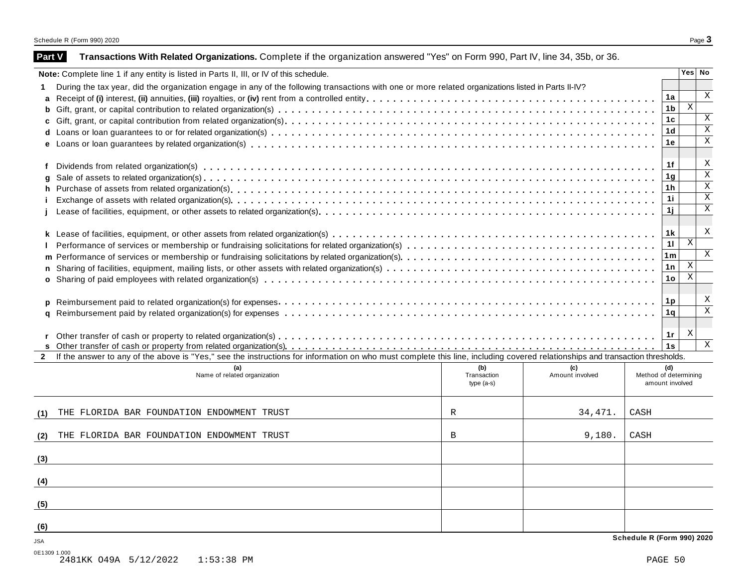| <b>Part V</b>              | Transactions With Related Organizations. Complete if the organization answered "Yes" on Form 990, Part IV, line 34, 35b, or 36.                                              |                                    |                        |                                                 |              |                         |
|----------------------------|------------------------------------------------------------------------------------------------------------------------------------------------------------------------------|------------------------------------|------------------------|-------------------------------------------------|--------------|-------------------------|
|                            | Note: Complete line 1 if any entity is listed in Parts II, III, or IV of this schedule.                                                                                      |                                    |                        |                                                 |              | Yes   No                |
|                            | During the tax year, did the organization engage in any of the following transactions with one or more related organizations listed in Parts II-IV?                          |                                    |                        |                                                 |              |                         |
|                            |                                                                                                                                                                              |                                    |                        | 1a                                              |              | X                       |
|                            |                                                                                                                                                                              |                                    |                        | 1 <sub>b</sub>                                  | $\mathbf{x}$ |                         |
|                            |                                                                                                                                                                              |                                    |                        | 1 <sub>c</sub>                                  |              | X                       |
|                            |                                                                                                                                                                              |                                    |                        | 1 <sub>d</sub>                                  |              | $\overline{X}$          |
|                            |                                                                                                                                                                              |                                    |                        | 1e                                              |              | $\overline{X}$          |
| f                          |                                                                                                                                                                              |                                    |                        | 1f                                              |              | X                       |
| g                          |                                                                                                                                                                              |                                    |                        | 1 <sub>g</sub>                                  |              | $\overline{\mathbf{x}}$ |
|                            |                                                                                                                                                                              |                                    |                        | 1 <sub>h</sub>                                  |              | $\overline{\text{X}}$   |
|                            |                                                                                                                                                                              |                                    |                        | 11                                              |              | $\overline{\mathbf{x}}$ |
|                            |                                                                                                                                                                              |                                    |                        | 1j                                              |              | $\overline{X}$          |
|                            |                                                                                                                                                                              |                                    |                        | 1 <sub>k</sub>                                  |              | X                       |
|                            |                                                                                                                                                                              |                                    |                        | 11                                              | $\mathbf{x}$ |                         |
|                            |                                                                                                                                                                              |                                    |                        | 1 <sub>m</sub>                                  |              | $\mathbf{X}$            |
|                            |                                                                                                                                                                              |                                    |                        | 1 n                                             | $\mathbf{X}$ |                         |
|                            |                                                                                                                                                                              |                                    |                        | 1 <sub>o</sub>                                  | $\,$ X       |                         |
|                            |                                                                                                                                                                              |                                    |                        | 1p                                              |              | X                       |
|                            |                                                                                                                                                                              |                                    |                        | 1 <sub>q</sub>                                  |              | $\overline{\mathbf{x}}$ |
|                            |                                                                                                                                                                              |                                    |                        | 1r                                              | X            |                         |
|                            |                                                                                                                                                                              |                                    |                        | 1s                                              |              | $\mathbf{X}$            |
|                            | If the answer to any of the above is "Yes," see the instructions for information on who must complete this line, including covered relationships and transaction thresholds. |                                    |                        |                                                 |              |                         |
|                            | (a)<br>Name of related organization                                                                                                                                          | (b)<br>Transaction<br>type $(a-s)$ | (c)<br>Amount involved | (d)<br>Method of determining<br>amount involved |              |                         |
| (1)                        | THE FLORIDA BAR FOUNDATION ENDOWMENT TRUST                                                                                                                                   | R                                  | 34, 471.               | CASH                                            |              |                         |
| (2)                        | THE FLORIDA BAR FOUNDATION ENDOWMENT TRUST                                                                                                                                   | B                                  | 9,180.                 | CASH                                            |              |                         |
| (3)                        |                                                                                                                                                                              |                                    |                        |                                                 |              |                         |
| (4)                        |                                                                                                                                                                              |                                    |                        |                                                 |              |                         |
|                            |                                                                                                                                                                              |                                    |                        |                                                 |              |                         |
| (5)                        |                                                                                                                                                                              |                                    |                        |                                                 |              |                         |
| (6)                        |                                                                                                                                                                              |                                    |                        | Schedule R (Form 990) 2020                      |              |                         |
| <b>JSA</b><br>0E1309 1.000 |                                                                                                                                                                              |                                    |                        |                                                 |              |                         |
|                            | 2481KK 049A 5/12/2022<br>$1:53:38$ PM                                                                                                                                        |                                    |                        | PAGE 50                                         |              |                         |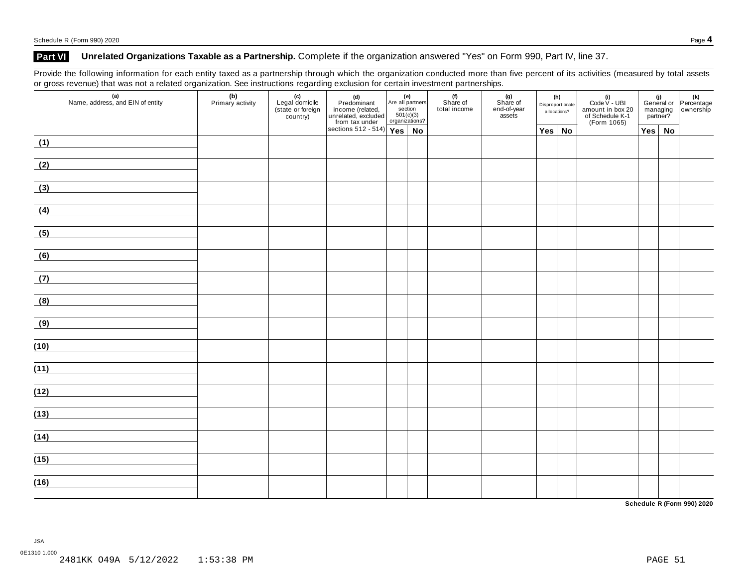#### **Part VI Unrelated Organizations Taxable as a Partnership.** Complete if the organization answered "Yes" on Form 990, Part IV, line 37.

Provide the following information for each entity taxed as a partnership through which the organization conducted more than five percent of its activities (measured by total assets or gross revenue) that was not a related organization. See instructions regarding exclusion for certain investment partnerships.

| $\tilde{}$<br>(a)<br>Name, address, and EIN of entity | $\sim$<br>(b)<br>Primary activity |  | (d)<br>Predominant<br>income (related, and all particulared, excluded<br>unrelated, excluded 501(c)<br>from tax under organizat<br>sections 512 - 514) | Are all partners<br>section<br>501(c)(3)<br>organizations? |    | (f)<br>Share of<br>total income | (g)<br>Share of<br>end-of-year<br>assets | (h)<br>Disproportionate<br>allocations? |               | (i)<br>Code $V - UBI$<br>amount in box 20<br>of Schedule K-1<br>(Form 1065) | managing<br>partner? |  | (i)<br>General or Percentage<br>managing ownership |
|-------------------------------------------------------|-----------------------------------|--|--------------------------------------------------------------------------------------------------------------------------------------------------------|------------------------------------------------------------|----|---------------------------------|------------------------------------------|-----------------------------------------|---------------|-----------------------------------------------------------------------------|----------------------|--|----------------------------------------------------|
|                                                       |                                   |  |                                                                                                                                                        |                                                            | No |                                 |                                          |                                         | $Yes \mid No$ |                                                                             | $Yes \mid No$        |  |                                                    |
| (1)                                                   |                                   |  |                                                                                                                                                        |                                                            |    |                                 |                                          |                                         |               |                                                                             |                      |  |                                                    |
| (2)                                                   |                                   |  |                                                                                                                                                        |                                                            |    |                                 |                                          |                                         |               |                                                                             |                      |  |                                                    |
| (3)                                                   |                                   |  |                                                                                                                                                        |                                                            |    |                                 |                                          |                                         |               |                                                                             |                      |  |                                                    |
| (4)                                                   |                                   |  |                                                                                                                                                        |                                                            |    |                                 |                                          |                                         |               |                                                                             |                      |  |                                                    |
| (5)                                                   |                                   |  |                                                                                                                                                        |                                                            |    |                                 |                                          |                                         |               |                                                                             |                      |  |                                                    |
| (6)                                                   |                                   |  |                                                                                                                                                        |                                                            |    |                                 |                                          |                                         |               |                                                                             |                      |  |                                                    |
| (7)<br><u> 1989 - Jan Barbara (</u>                   |                                   |  |                                                                                                                                                        |                                                            |    |                                 |                                          |                                         |               |                                                                             |                      |  |                                                    |
| (8)                                                   |                                   |  |                                                                                                                                                        |                                                            |    |                                 |                                          |                                         |               |                                                                             |                      |  |                                                    |
| (9)                                                   |                                   |  |                                                                                                                                                        |                                                            |    |                                 |                                          |                                         |               |                                                                             |                      |  |                                                    |
| (10)                                                  |                                   |  |                                                                                                                                                        |                                                            |    |                                 |                                          |                                         |               |                                                                             |                      |  |                                                    |
| (11)                                                  |                                   |  |                                                                                                                                                        |                                                            |    |                                 |                                          |                                         |               |                                                                             |                      |  |                                                    |
| (12)                                                  |                                   |  |                                                                                                                                                        |                                                            |    |                                 |                                          |                                         |               |                                                                             |                      |  |                                                    |
|                                                       |                                   |  |                                                                                                                                                        |                                                            |    |                                 |                                          |                                         |               |                                                                             |                      |  |                                                    |
| (13)                                                  |                                   |  |                                                                                                                                                        |                                                            |    |                                 |                                          |                                         |               |                                                                             |                      |  |                                                    |
| (14)                                                  |                                   |  |                                                                                                                                                        |                                                            |    |                                 |                                          |                                         |               |                                                                             |                      |  |                                                    |
| (15)                                                  |                                   |  |                                                                                                                                                        |                                                            |    |                                 |                                          |                                         |               |                                                                             |                      |  |                                                    |
| (16)                                                  |                                   |  |                                                                                                                                                        |                                                            |    |                                 |                                          |                                         |               |                                                                             |                      |  |                                                    |

**Schedule R (Form 990) 2020**